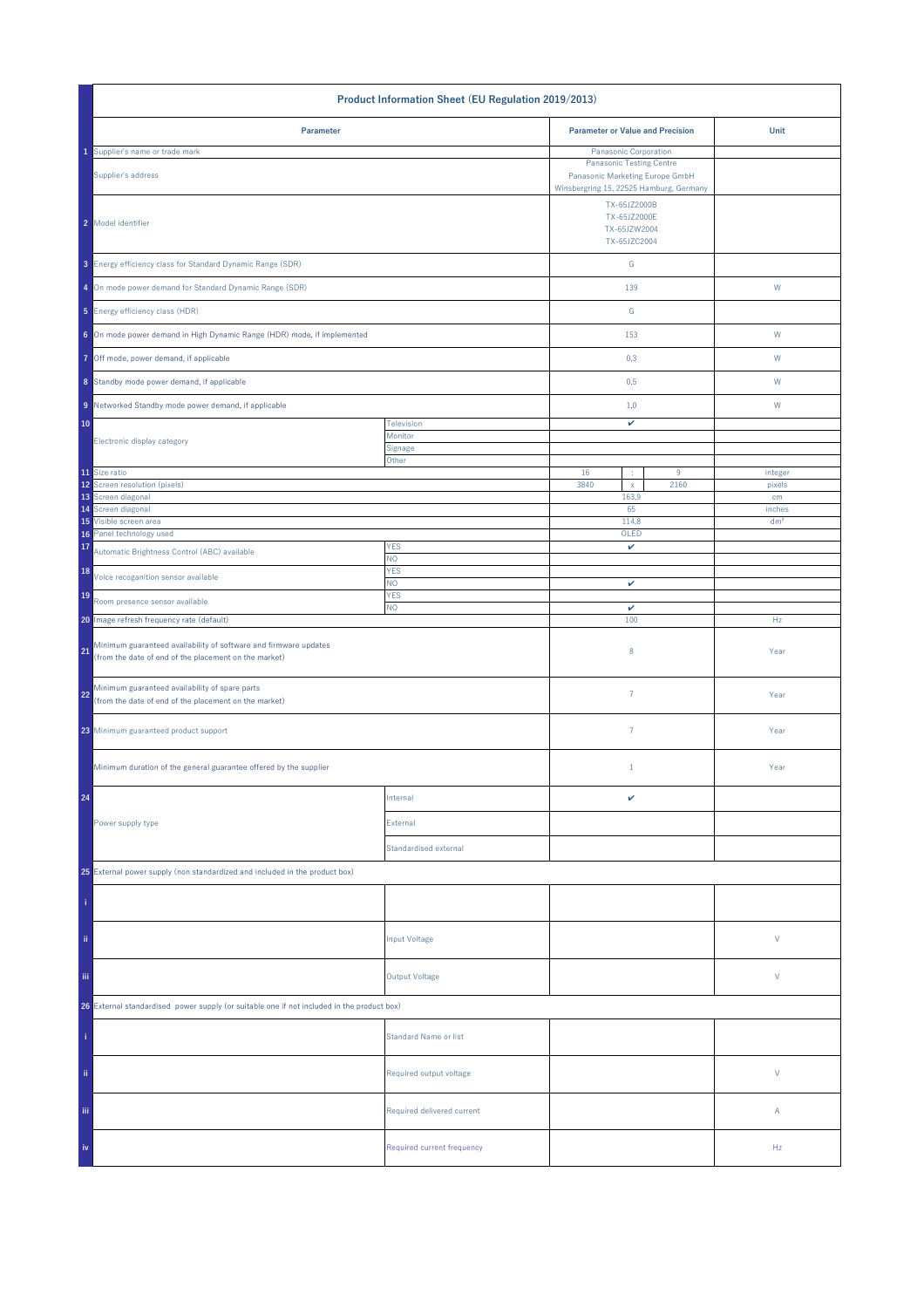| Product Information Sheet (EU Regulation 2019/2013)                                                                             |                              |                                                                                                               |                                         |                 |
|---------------------------------------------------------------------------------------------------------------------------------|------------------------------|---------------------------------------------------------------------------------------------------------------|-----------------------------------------|-----------------|
| Parameter                                                                                                                       |                              |                                                                                                               | <b>Parameter or Value and Precision</b> | Unit            |
| Supplier's name or trade mark                                                                                                   |                              | Panasonic Corporation                                                                                         |                                         |                 |
| Supplier's address                                                                                                              |                              | <b>Panasonic Testing Centre</b><br>Panasonic Marketing Europe GmbH<br>Winsbergring 15, 22525 Hamburg, Germany |                                         |                 |
| 2 Model identifier                                                                                                              |                              | TX-65JZ2000B<br>TX-65JZ2000E<br>TX-65JZW2004<br>TX-65JZC2004                                                  |                                         |                 |
| 3 Energy efficiency class for Standard Dynamic Range (SDR)                                                                      |                              | G                                                                                                             |                                         |                 |
| 4 On mode power demand for Standard Dynamic Range (SDR)                                                                         |                              | 139                                                                                                           |                                         | ${\sf W}$       |
| 5 Energy efficiency class (HDR)                                                                                                 |                              | ${\mathsf G}$                                                                                                 |                                         |                 |
| 6 On mode power demand in High Dynamic Range (HDR) mode, if implemented                                                         |                              | 153                                                                                                           |                                         | W               |
| 7 Off mode, power demand, if applicable                                                                                         |                              | 0,3                                                                                                           |                                         | W               |
| 8 Standby mode power demand, if applicable                                                                                      |                              | 0,5                                                                                                           |                                         | W               |
| 9 Networked Standby mode power demand, if applicable                                                                            |                              | 1,0                                                                                                           |                                         | W               |
| 10                                                                                                                              | Television<br>Monitor        | v                                                                                                             |                                         |                 |
| Electronic display category                                                                                                     | Signage                      |                                                                                                               |                                         |                 |
| 11 Size ratio                                                                                                                   | Other                        | 16<br>÷                                                                                                       | 9                                       | integer         |
| 12 Screen resolution (pixels)                                                                                                   |                              | 3840<br>$\mathsf X$                                                                                           | 2160                                    | pixels          |
| 13 Screen diagonal<br>14 Screen diagonal                                                                                        |                              | 163,9<br>65                                                                                                   |                                         | cm<br>inches    |
| 15 Visible screen area                                                                                                          |                              | 114,8                                                                                                         |                                         | dm <sup>2</sup> |
| Panel technology used<br>16                                                                                                     |                              | OLED                                                                                                          |                                         |                 |
| 17<br>Automatic Brightness Control (ABC) available                                                                              | <b>YES</b><br>NO.            | v                                                                                                             |                                         |                 |
| 18<br>Voice recoganition sensor available                                                                                       | <b>YES</b><br>NO.            | v                                                                                                             |                                         |                 |
| 19<br>Room presence sensor available                                                                                            | <b>YES</b><br>NO.            | $\checkmark$                                                                                                  |                                         |                 |
| 20 Image refresh frequency rate (default)                                                                                       |                              | 100                                                                                                           |                                         | Hz              |
| Minimum guaranteed availability of software and firmware updates<br>21<br>(from the date of end of the placement on the market) |                              | 8                                                                                                             |                                         | Year            |
| Minimum guaranteed availability of spare parts<br>22<br>(from the date of end of the placement on the market)                   |                              | $\overline{7}$                                                                                                |                                         | Year            |
| 23 Minimum guaranteed product support                                                                                           |                              | $\overline{7}$                                                                                                |                                         | Year            |
| Minimum duration of the general guarantee offered by the supplier                                                               |                              | $1\,$                                                                                                         |                                         | Year            |
| 24                                                                                                                              | Internal                     | v                                                                                                             |                                         |                 |
| Power supply type                                                                                                               | External                     |                                                                                                               |                                         |                 |
|                                                                                                                                 | Standardised external        |                                                                                                               |                                         |                 |
| 25 External power supply (non standardized and included in the product box)                                                     |                              |                                                                                                               |                                         |                 |
|                                                                                                                                 |                              |                                                                                                               |                                         |                 |
| ii.                                                                                                                             | Input Voltage                |                                                                                                               |                                         | $\mathsf{V}$    |
| iii.                                                                                                                            | <b>Output Voltage</b>        |                                                                                                               |                                         | V               |
| 26 External standardised power supply (or suitable one if not included in the product box)                                      |                              |                                                                                                               |                                         |                 |
|                                                                                                                                 | <b>Standard Name or list</b> |                                                                                                               |                                         |                 |
| ii.                                                                                                                             | Required output voltage      |                                                                                                               |                                         | V               |
| Ϊij                                                                                                                             | Required delivered current   |                                                                                                               |                                         | Α               |
| iv                                                                                                                              | Required current frequency   |                                                                                                               |                                         | Hz              |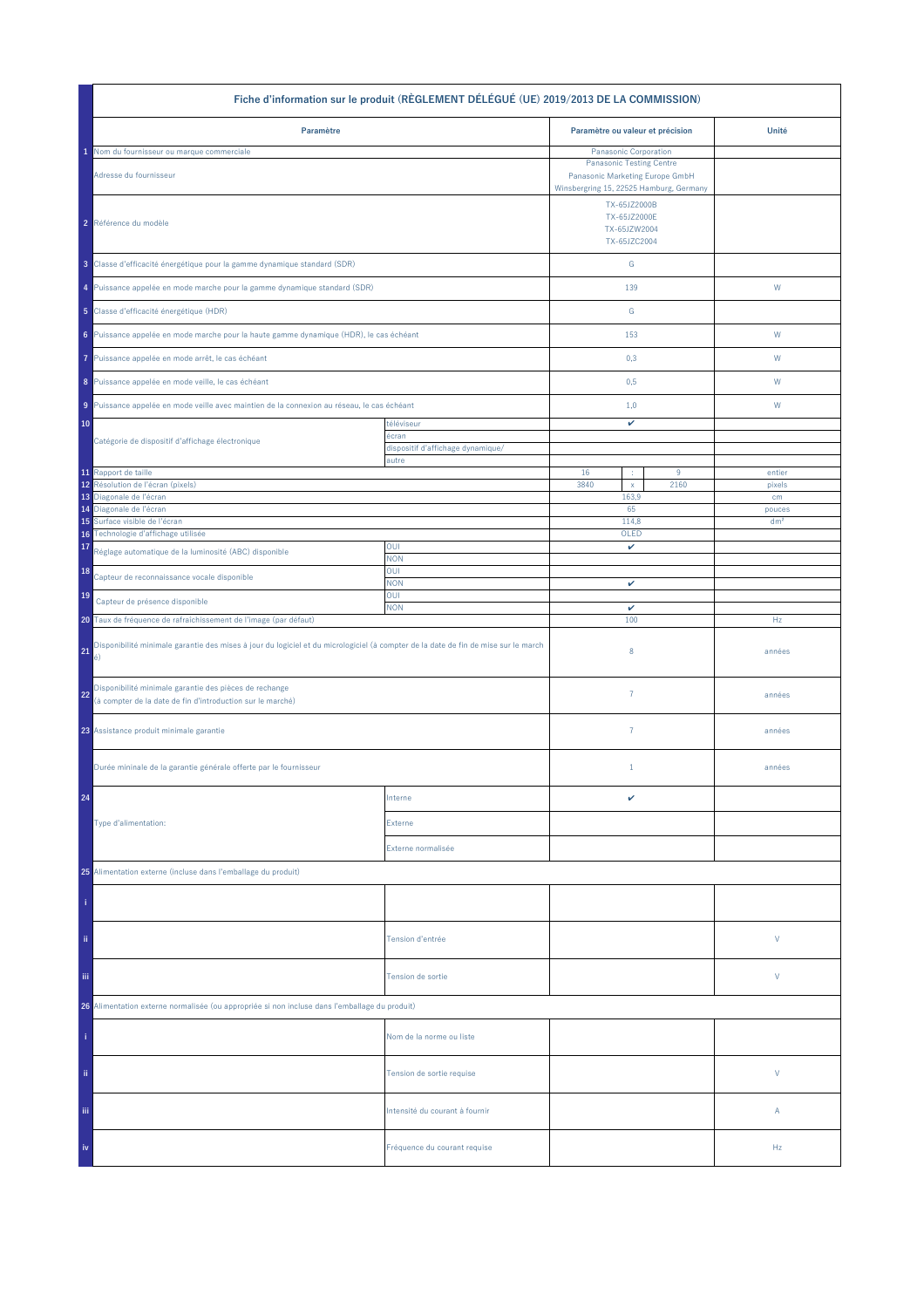| Fiche d'information sur le produit (RÈGLEMENT DÉLÉGUÉ (UE) 2019/2013 DE LA COMMISSION)                                                         |                                            |                                                                                                         |      |                 |  |
|------------------------------------------------------------------------------------------------------------------------------------------------|--------------------------------------------|---------------------------------------------------------------------------------------------------------|------|-----------------|--|
| Paramètre                                                                                                                                      |                                            | Paramètre ou valeur et précision                                                                        |      | Unité           |  |
| Nom du fournisseur ou marque commerciale                                                                                                       |                                            | Panasonic Corporation                                                                                   |      |                 |  |
| Adresse du fournisseur                                                                                                                         |                                            | <b>Panasonic Testing Centre</b><br>Panasonic Marketing Europe GmbH                                      |      |                 |  |
| 2 Référence du modèle                                                                                                                          |                                            | Winsbergring 15, 22525 Hamburg, Germany<br>TX-65JZ2000B<br>TX-65JZ2000E<br>TX-65JZW2004<br>TX-65JZC2004 |      |                 |  |
| 3 Classe d'efficacité énergétique pour la gamme dynamique standard (SDR)                                                                       |                                            | ${\mathsf G}$                                                                                           |      |                 |  |
| 4 Puissance appelée en mode marche pour la gamme dynamique standard (SDR)                                                                      |                                            | 139                                                                                                     |      | W               |  |
| 5 Classe d'efficacité énergétique (HDR)                                                                                                        |                                            | ${\mathbb G}$                                                                                           |      |                 |  |
| 6 Puissance appelée en mode marche pour la haute gamme dynamique (HDR), le cas échéant                                                         |                                            | 153                                                                                                     |      | W               |  |
| Puissance appelée en mode arrêt, le cas échéant<br>7                                                                                           |                                            | 0,3                                                                                                     |      | W               |  |
| 8 Puissance appelée en mode veille, le cas échéant                                                                                             |                                            | 0,5                                                                                                     |      | W               |  |
| 9 Puissance appelée en mode veille avec maintien de la connexion au réseau, le cas échéant                                                     |                                            | 1,0                                                                                                     |      | W               |  |
| 10<br>Catégorie de dispositif d'affichage électronique                                                                                         | téléviseur<br>écran                        | v                                                                                                       |      |                 |  |
|                                                                                                                                                | dispositif d'affichage dynamique/<br>autre |                                                                                                         |      |                 |  |
| 11 Rapport de taille                                                                                                                           |                                            | 16<br>÷                                                                                                 | 9    | entier          |  |
| Résolution de l'écran (pixels)<br>12<br>13 Diagonale de l'écran                                                                                |                                            | 3840<br>$\mathsf X$<br>163,9                                                                            | 2160 | pixels<br>cm    |  |
| 14 Diagonale de l'écran                                                                                                                        |                                            | 65                                                                                                      |      | pouces          |  |
| Surface visible de l'écran<br>15                                                                                                               |                                            | 114,8                                                                                                   |      | dm <sup>2</sup> |  |
| Technologie d'affichage utilisée<br>16<br>17<br>Réglage automatique de la luminosité (ABC) disponible                                          | OUI                                        | OLED<br>v                                                                                               |      |                 |  |
| 18<br>Capteur de reconnaissance vocale disponible                                                                                              | <b>NON</b><br>OUI                          |                                                                                                         |      |                 |  |
| 19<br>Capteur de présence disponible                                                                                                           | <b>NON</b><br>OUI                          | v                                                                                                       |      |                 |  |
| <b>NON</b><br>20 Taux de fréquence de rafraîchissement de l'image (par défaut)                                                                 |                                            | $\checkmark$<br>100                                                                                     |      | Hz              |  |
| Disponibilité minimale garantie des mises à jour du logiciel et du micrologiciel (à compter de la date de fin de mise sur le march<br>21<br>é) |                                            | 8                                                                                                       |      | années          |  |
| Disponibilité minimale garantie des pièces de rechange<br>22<br>(à compter de la date de fin d'introduction sur le marché)                     |                                            | $\overline{7}$                                                                                          |      | années          |  |
| 23 Assistance produit minimale garantie                                                                                                        |                                            | $\overline{7}$                                                                                          |      | années          |  |
| Durée mininale de la garantie générale offerte par le fournisseur                                                                              |                                            | $1\,$                                                                                                   |      | années          |  |
| 24                                                                                                                                             | Interne                                    | v                                                                                                       |      |                 |  |
| Type d'alimentation:                                                                                                                           | Externe                                    |                                                                                                         |      |                 |  |
|                                                                                                                                                | Externe normalisée                         |                                                                                                         |      |                 |  |
| 25 Alimentation externe (incluse dans l'emballage du produit)                                                                                  |                                            |                                                                                                         |      |                 |  |
|                                                                                                                                                |                                            |                                                                                                         |      |                 |  |
| ii.                                                                                                                                            | Tension d'entrée                           |                                                                                                         |      | V               |  |
| iii.                                                                                                                                           | Tension de sortie                          |                                                                                                         |      | V               |  |
| 26 Alimentation externe normalisée (ou appropriée si non incluse dans l'emballage du produit)                                                  |                                            |                                                                                                         |      |                 |  |
|                                                                                                                                                | Nom de la norme ou liste                   |                                                                                                         |      |                 |  |
| ii.                                                                                                                                            | Tension de sortie requise                  |                                                                                                         |      | V               |  |
| Ϊij                                                                                                                                            | Intensité du courant à fournir             |                                                                                                         |      | Α               |  |
| iv                                                                                                                                             | Fréquence du courant requise               |                                                                                                         |      | Hz              |  |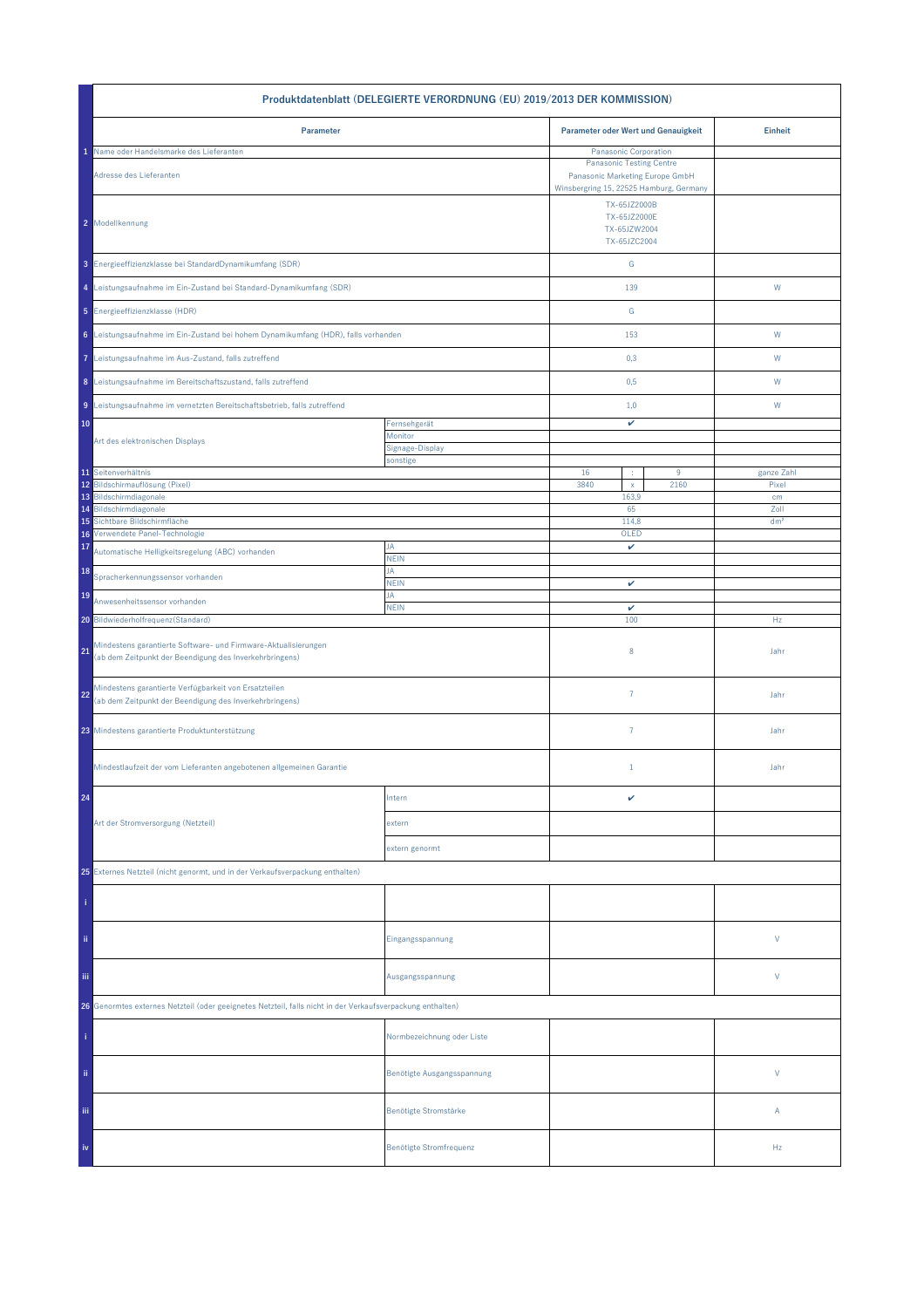| Produktdatenblatt (DELEGIERTE VERORDNUNG (EU) 2019/2013 DER KOMMISSION)                                                         |                             |                                     |                                                                                                                                        |                 |  |
|---------------------------------------------------------------------------------------------------------------------------------|-----------------------------|-------------------------------------|----------------------------------------------------------------------------------------------------------------------------------------|-----------------|--|
| Parameter                                                                                                                       |                             | Parameter oder Wert und Genauigkeit |                                                                                                                                        | Einheit         |  |
| Name oder Handelsmarke des Lieferanten<br>Adresse des Lieferanten                                                               |                             |                                     | Panasonic Corporation<br><b>Panasonic Testing Centre</b><br>Panasonic Marketing Europe GmbH<br>Winsbergring 15, 22525 Hamburg, Germany |                 |  |
| 2 Modellkennung                                                                                                                 |                             |                                     | TX-65JZ2000B<br>TX-65JZ2000E<br>TX-65JZW2004<br>TX-65JZC2004                                                                           |                 |  |
| 3 Energieeffizienzklasse bei StandardDynamikumfang (SDR)                                                                        |                             | ${\mathsf G}$                       |                                                                                                                                        |                 |  |
| 4 Leistungsaufnahme im Ein-Zustand bei Standard-Dynamikumfang (SDR)                                                             |                             | 139                                 |                                                                                                                                        | W               |  |
| 5 Energieeffizienzklasse (HDR)                                                                                                  |                             | G                                   |                                                                                                                                        |                 |  |
| 6 Leistungsaufnahme im Ein-Zustand bei hohem Dynamikumfang (HDR), falls vorhanden                                               |                             | 153                                 |                                                                                                                                        | W               |  |
| 7 Leistungsaufnahme im Aus-Zustand, falls zutreffend                                                                            |                             | 0,3                                 |                                                                                                                                        | W               |  |
| 8 Leistungsaufnahme im Bereitschaftszustand, falls zutreffend                                                                   |                             | 0,5                                 |                                                                                                                                        | W               |  |
| 9 Leistungsaufnahme im vernetzten Bereitschaftsbetrieb, falls zutreffend                                                        |                             | 1,0                                 |                                                                                                                                        | W               |  |
| 10                                                                                                                              | Fernsehgerät<br>Monitor     | v                                   |                                                                                                                                        |                 |  |
| Art des elektronischen Displays                                                                                                 | Signage-Display<br>sonstige |                                     |                                                                                                                                        |                 |  |
| 11 Seitenverhältnis                                                                                                             |                             | 16<br>÷                             | $9\,$                                                                                                                                  | ganze Zahl      |  |
| 12 Bildschirmauflösung (Pixel)                                                                                                  |                             | 3840<br>$\mathsf{x}$                | 2160                                                                                                                                   | Pixel           |  |
| 13 Bildschirmdiagonale<br>Bildschirmdiagonale<br>14                                                                             |                             | 163,9<br>65                         |                                                                                                                                        | cm<br>Zoll      |  |
| Sichtbare Bildschirmfläche<br>15                                                                                                |                             | 114,8                               |                                                                                                                                        | dm <sup>2</sup> |  |
| Verwendete Panel-Technologie<br>16                                                                                              | JA                          | OLED                                |                                                                                                                                        |                 |  |
| 17<br>Automatische Helligkeitsregelung (ABC) vorhanden                                                                          | <b>NEIN</b>                 | v                                   |                                                                                                                                        |                 |  |
| 18<br>Spracherkennungssensor vorhanden                                                                                          | JA<br><b>NEIN</b>           | v                                   |                                                                                                                                        |                 |  |
| 19<br>Anwesenheitssensor vorhanden                                                                                              | JA<br><b>NEIN</b>           | $\checkmark$                        |                                                                                                                                        |                 |  |
| 20 Bildwiederholfrequenz(Standard)                                                                                              |                             | 100                                 |                                                                                                                                        | Hz              |  |
| Mindestens garantierte Software- und Firmware-Aktualisierungen<br>21<br>(ab dem Zeitpunkt der Beendigung des Inverkehrbringens) |                             | 8                                   |                                                                                                                                        | Jahr            |  |
| Mindestens garantierte Verfügbarkeit von Ersatzteilen<br>22<br>(ab dem Zeitpunkt der Beendigung des Inverkehrbringens)          |                             | $\overline{7}$                      |                                                                                                                                        | Jahr            |  |
| 23 Mindestens garantierte Produktunterstützung                                                                                  |                             | $\overline{7}$                      |                                                                                                                                        | Jahr            |  |
| Mindestlaufzeit der vom Lieferanten angebotenen allgemeinen Garantie                                                            |                             | $\mathbf{1}$                        |                                                                                                                                        | Jahr            |  |
| 24                                                                                                                              | Intern                      | v                                   |                                                                                                                                        |                 |  |
| Art der Stromversorgung (Netzteil)                                                                                              | extern                      |                                     |                                                                                                                                        |                 |  |
|                                                                                                                                 | extern genormt              |                                     |                                                                                                                                        |                 |  |
| 25 Externes Netzteil (nicht genormt, und in der Verkaufsverpackung enthalten)                                                   |                             |                                     |                                                                                                                                        |                 |  |
|                                                                                                                                 |                             |                                     |                                                                                                                                        |                 |  |
| ii.                                                                                                                             | Eingangsspannung            |                                     |                                                                                                                                        | V               |  |
| Ϊij                                                                                                                             | Ausgangsspannung            |                                     |                                                                                                                                        | V               |  |
| 26 Genormtes externes Netzteil (oder geeignetes Netzteil, falls nicht in der Verkaufsverpackung enthalten)                      |                             |                                     |                                                                                                                                        |                 |  |
|                                                                                                                                 | Normbezeichnung oder Liste  |                                     |                                                                                                                                        |                 |  |
| ii.                                                                                                                             | Benötigte Ausgangsspannung  |                                     |                                                                                                                                        | V               |  |
| Ϊij                                                                                                                             | Benötigte Stromstärke       |                                     |                                                                                                                                        | Α               |  |
| iv                                                                                                                              | Benötigte Stromfrequenz     |                                     |                                                                                                                                        | Hz              |  |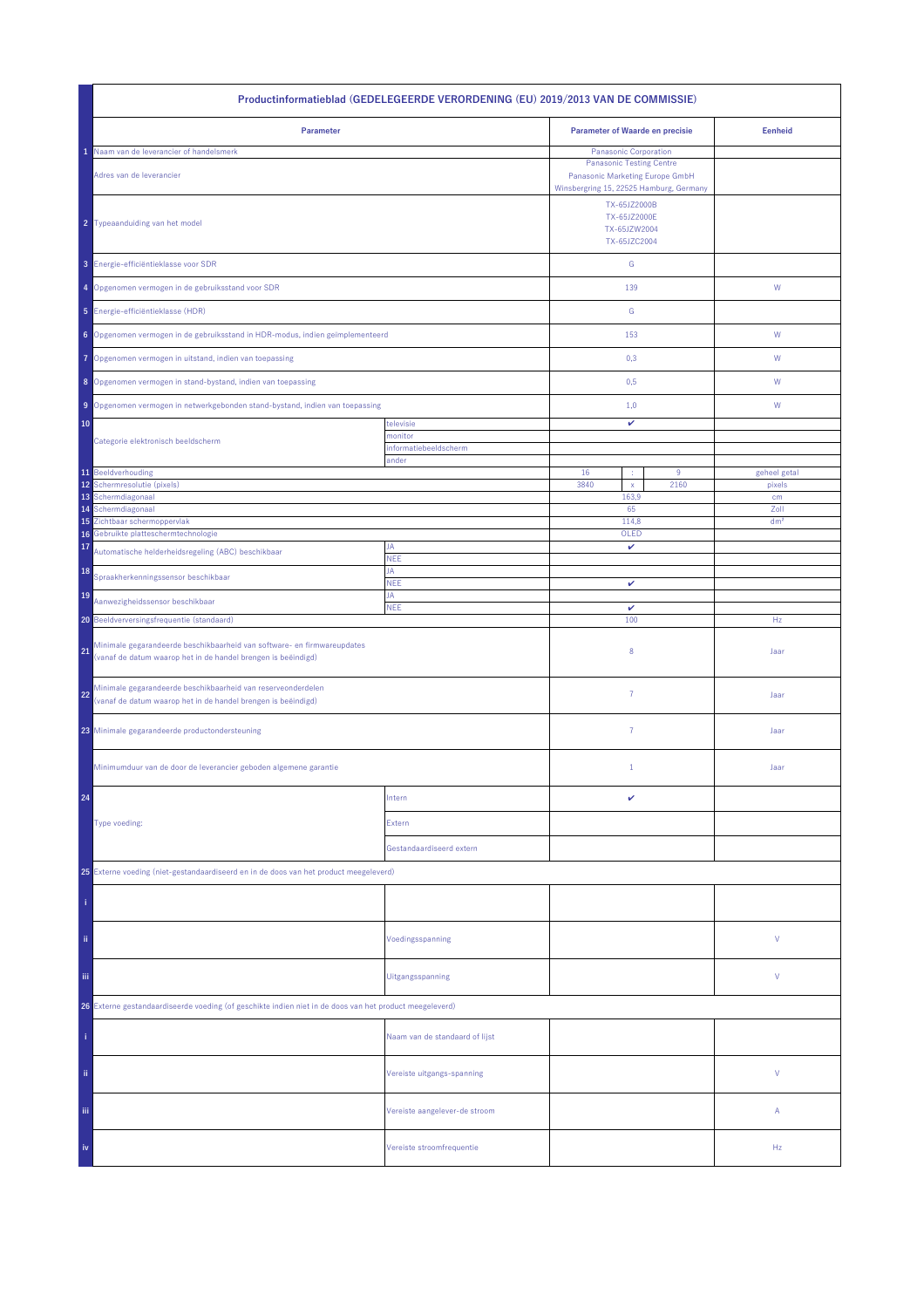| Productinformatieblad (GEDELEGEERDE VERORDENING (EU) 2019/2013 VAN DE COMMISSIE)                                                               |                                |                                                              |                                                                                                                                        |                 |
|------------------------------------------------------------------------------------------------------------------------------------------------|--------------------------------|--------------------------------------------------------------|----------------------------------------------------------------------------------------------------------------------------------------|-----------------|
| Parameter                                                                                                                                      |                                | <b>Parameter of Waarde en precisie</b>                       |                                                                                                                                        | <b>Eenheid</b>  |
| Naam van de leverancier of handelsmerk<br>Adres van de leverancier                                                                             |                                |                                                              | Panasonic Corporation<br><b>Panasonic Testing Centre</b><br>Panasonic Marketing Europe GmbH<br>Winsbergring 15, 22525 Hamburg, Germany |                 |
| 2 Typeaanduiding van het model                                                                                                                 |                                | TX-65JZ2000B<br>TX-65JZ2000E<br>TX-65JZW2004<br>TX-65JZC2004 |                                                                                                                                        |                 |
| 3 Energie-efficiëntieklasse voor SDR                                                                                                           |                                | ${\mathsf G}$                                                |                                                                                                                                        |                 |
| 4 Opgenomen vermogen in de gebruiksstand voor SDR                                                                                              |                                | 139                                                          |                                                                                                                                        | ${\mathsf W}$   |
| 5 Energie-efficiëntieklasse (HDR)                                                                                                              |                                | G                                                            |                                                                                                                                        |                 |
| 6 Opgenomen vermogen in de gebruiksstand in HDR-modus, indien geïmplementeerd                                                                  |                                | 153                                                          |                                                                                                                                        | W               |
| Opgenomen vermogen in uitstand, indien van toepassing<br>7                                                                                     |                                | 0,3                                                          |                                                                                                                                        | W               |
| 8 Opgenomen vermogen in stand-bystand, indien van toepassing                                                                                   |                                | 0,5                                                          |                                                                                                                                        | W               |
| 9 Opgenomen vermogen in netwerkgebonden stand-bystand, indien van toepassing                                                                   |                                | 1,0                                                          |                                                                                                                                        | W               |
| 10                                                                                                                                             | televisie<br>monitor           | v                                                            |                                                                                                                                        |                 |
| Categorie elektronisch beeldscherm                                                                                                             | informatiebeeldscherm<br>ander |                                                              |                                                                                                                                        |                 |
| 11 Beeldverhouding                                                                                                                             |                                | 16<br>÷                                                      | $9\,$                                                                                                                                  | geheel getal    |
| 12<br>Schermresolutie (pixels)<br>13<br>Schermdiagonaal                                                                                        |                                | 3840<br>$\mathsf{x}$<br>163,9                                | 2160                                                                                                                                   | pixels          |
| Schermdiagonaal<br>14                                                                                                                          |                                | 65                                                           |                                                                                                                                        | cm<br>Zoll      |
| Zichtbaar schermoppervlak<br>15                                                                                                                |                                | 114,8                                                        |                                                                                                                                        | dm <sup>2</sup> |
| Gebruikte platteschermtechnologie<br>16<br>17                                                                                                  | JA                             | OLED<br>v                                                    |                                                                                                                                        |                 |
| Automatische helderheidsregeling (ABC) beschikbaar                                                                                             | <b>NEE</b><br>JA               |                                                              |                                                                                                                                        |                 |
| 18<br>Spraakherkenningssensor beschikbaar                                                                                                      | <b>NEE</b>                     | v                                                            |                                                                                                                                        |                 |
| 19<br>Aanwezigheidssensor beschikbaar                                                                                                          | JA<br><b>NEE</b>               | $\checkmark$                                                 |                                                                                                                                        |                 |
| 20 Beeldverversingsfrequentie (standaard)                                                                                                      |                                | 100                                                          |                                                                                                                                        | Hz              |
| Minimale gegarandeerde beschikbaarheid van software- en firmwareupdates<br>21<br>(vanaf de datum waarop het in de handel brengen is beëindigd) |                                | 8                                                            |                                                                                                                                        | Jaar            |
| Minimale gegarandeerde beschikbaarheid van reserveonderdelen<br>22<br>(vanaf de datum waarop het in de handel brengen is beëindigd)            |                                | $\overline{7}$                                               |                                                                                                                                        | Jaar            |
| 23 Minimale gegarandeerde productondersteuning                                                                                                 |                                | $\overline{7}$                                               |                                                                                                                                        | Jaar            |
| Minimumduur van de door de leverancier geboden algemene garantie                                                                               |                                | $\mathbf{1}$                                                 |                                                                                                                                        | Jaar            |
| 24                                                                                                                                             | Intern                         | v                                                            |                                                                                                                                        |                 |
| Type voeding:                                                                                                                                  | Extern                         |                                                              |                                                                                                                                        |                 |
|                                                                                                                                                | Gestandaardiseerd extern       |                                                              |                                                                                                                                        |                 |
| 25 Externe voeding (niet-gestandaardiseerd en in de doos van het product meegeleverd)                                                          |                                |                                                              |                                                                                                                                        |                 |
|                                                                                                                                                |                                |                                                              |                                                                                                                                        |                 |
| ii.                                                                                                                                            | Voedingsspanning               |                                                              |                                                                                                                                        | ٧               |
| Ϊij                                                                                                                                            | Uitgangsspanning               |                                                              |                                                                                                                                        | ٧               |
| 26 Externe gestandaardiseerde voeding (of geschikte indien niet in de doos van het product meegeleverd)                                        |                                |                                                              |                                                                                                                                        |                 |
|                                                                                                                                                | Naam van de standaard of lijst |                                                              |                                                                                                                                        |                 |
| ii.                                                                                                                                            | Vereiste uitgangs-spanning     |                                                              |                                                                                                                                        | V               |
| Ϊij                                                                                                                                            | Vereiste aangelever-de stroom  |                                                              |                                                                                                                                        | Α               |
| iv                                                                                                                                             | Vereiste stroomfrequentie      |                                                              |                                                                                                                                        | Hz              |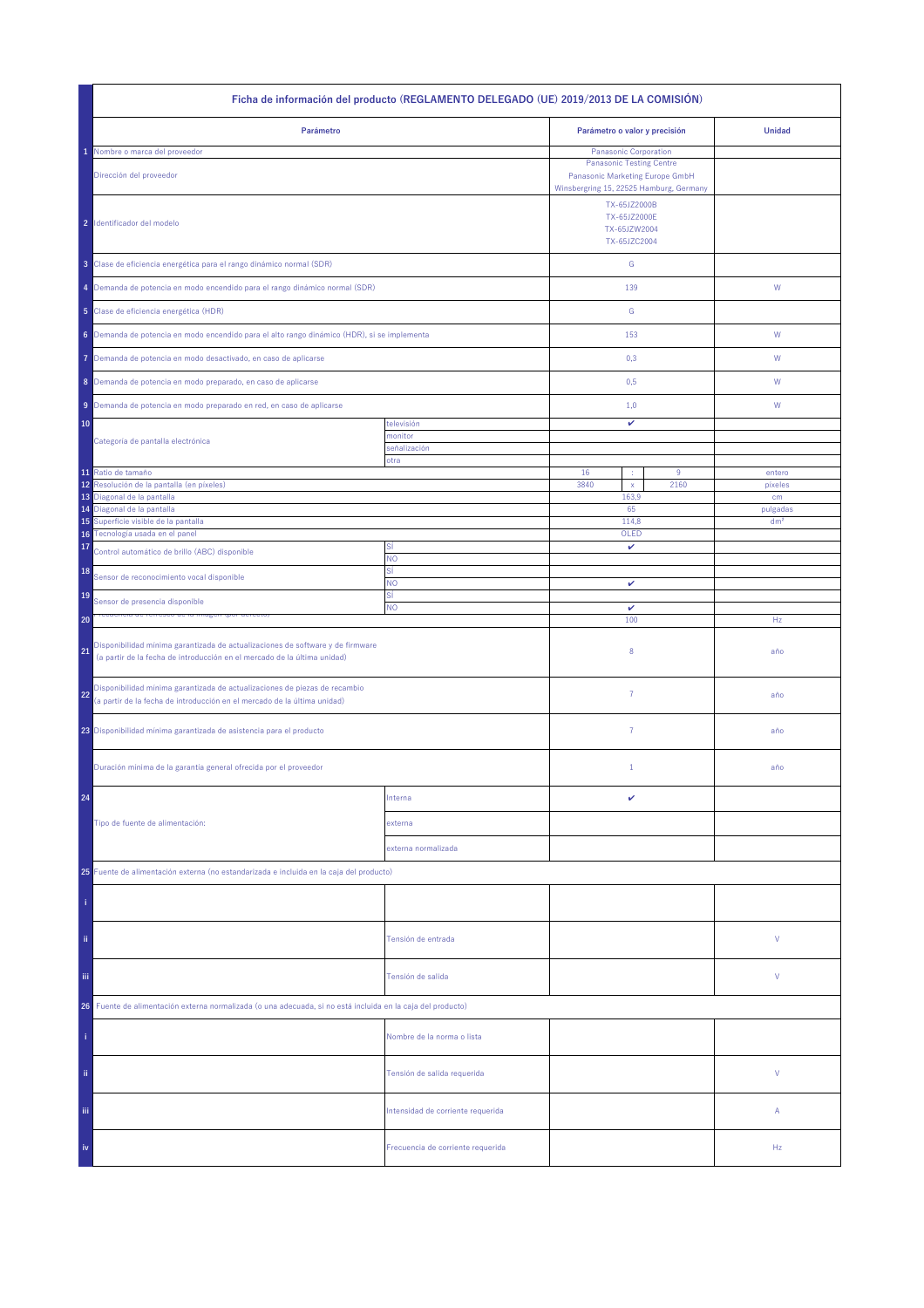|                                                                                                                                                                  | Ficha de información del producto (REGLAMENTO DELEGADO (UE) 2019/2013 DE LA COMISIÓN) |                                                                                                         |           |                   |
|------------------------------------------------------------------------------------------------------------------------------------------------------------------|---------------------------------------------------------------------------------------|---------------------------------------------------------------------------------------------------------|-----------|-------------------|
| Parámetro                                                                                                                                                        |                                                                                       | Parámetro o valor y precisión                                                                           |           | <b>Unidad</b>     |
| Nombre o marca del proveedor                                                                                                                                     |                                                                                       | <b>Panasonic Corporation</b>                                                                            |           |                   |
| Dirección del proveedor                                                                                                                                          |                                                                                       | <b>Panasonic Testing Centre</b><br>Panasonic Marketing Europe GmbH                                      |           |                   |
| 2 Identificador del modelo                                                                                                                                       |                                                                                       | Winsbergring 15, 22525 Hamburg, Germany<br>TX-65JZ2000B<br>TX-65JZ2000E<br>TX-65JZW2004<br>TX-65JZC2004 |           |                   |
| 3 Clase de eficiencia energética para el rango dinámico normal (SDR)                                                                                             |                                                                                       | ${\mathsf G}$                                                                                           |           |                   |
| 4 Demanda de potencia en modo encendido para el rango dinámico normal (SDR)                                                                                      |                                                                                       | 139                                                                                                     |           | W                 |
| 5 Clase de eficiencia energética (HDR)                                                                                                                           |                                                                                       | ${\mathbb G}$                                                                                           |           |                   |
| 6 Demanda de potencia en modo encendido para el alto rango dinámico (HDR), si se implementa                                                                      |                                                                                       | 153                                                                                                     |           | W                 |
| Demanda de potencia en modo desactivado, en caso de aplicarse<br>7                                                                                               |                                                                                       | 0,3                                                                                                     |           | W                 |
| 8 Demanda de potencia en modo preparado, en caso de aplicarse                                                                                                    |                                                                                       | 0,5                                                                                                     |           | W                 |
| 9 Demanda de potencia en modo preparado en red, en caso de aplicarse                                                                                             |                                                                                       | 1,0                                                                                                     |           | W                 |
| 10                                                                                                                                                               | televisión                                                                            | v                                                                                                       |           |                   |
| Categoría de pantalla electrónica                                                                                                                                | monitor<br>señalización                                                               |                                                                                                         |           |                   |
|                                                                                                                                                                  | otra                                                                                  |                                                                                                         |           |                   |
| 11 Ratio de tamaño<br>Resolución de la pantalla (en píxeles)<br>12                                                                                               |                                                                                       | 16<br>÷<br>3840<br>$\mathsf{x}$                                                                         | 9<br>2160 | entero<br>pixeles |
| Diagonal de la pantalla<br>13                                                                                                                                    |                                                                                       | 163,9                                                                                                   |           | cm                |
| 14 Diagonal de la pantalla                                                                                                                                       |                                                                                       | 65                                                                                                      |           | pulgadas          |
| Superficie visible de la pantalla<br>15                                                                                                                          |                                                                                       | 114,8                                                                                                   |           | dm <sup>2</sup>   |
| Tecnología usada en el panel<br>16<br>17<br>Control automático de brillo (ABC) disponible                                                                        | SÍ                                                                                    | OLED<br>v                                                                                               |           |                   |
| 18<br>Sensor de reconocimiento vocal disponible                                                                                                                  | <b>NO</b><br>SÍ                                                                       |                                                                                                         |           |                   |
| 19<br>Sensor de presencia disponible                                                                                                                             | NO.<br>SÍ                                                                             | v                                                                                                       |           |                   |
| 20                                                                                                                                                               | <b>NO</b>                                                                             | v<br>100                                                                                                |           | Hz                |
| Disponibilidad mínima garantizada de actualizaciones de software y de firmware<br>21<br>(a partir de la fecha de introducción en el mercado de la última unidad) |                                                                                       | 8                                                                                                       |           | año               |
| Disponibilidad mínima garantizada de actualizaciones de piezas de recambio<br>22<br>(a partir de la fecha de introducción en el mercado de la última unidad)     |                                                                                       | 7                                                                                                       |           | año               |
| 23 Disponibilidad mínima garantizada de asistencia para el producto                                                                                              |                                                                                       | $\overline{7}$                                                                                          |           | año               |
| Duración mínima de la garantía general ofrecida por el proveedor                                                                                                 |                                                                                       | $1\,$                                                                                                   |           | año               |
| 24                                                                                                                                                               | Interna                                                                               | v                                                                                                       |           |                   |
| Tipo de fuente de alimentación:                                                                                                                                  | externa                                                                               |                                                                                                         |           |                   |
|                                                                                                                                                                  | externa normalizada                                                                   |                                                                                                         |           |                   |
| 25 Fuente de alimentación externa (no estandarizada e incluida en la caja del producto)                                                                          |                                                                                       |                                                                                                         |           |                   |
|                                                                                                                                                                  |                                                                                       |                                                                                                         |           |                   |
| ii.                                                                                                                                                              | Tensión de entrada                                                                    |                                                                                                         |           | V                 |
| Ϊij                                                                                                                                                              | Tensión de salida                                                                     |                                                                                                         |           | V                 |
| Fuente de alimentación externa normalizada (o una adecuada, si no está incluida en la caja del producto)<br>26                                                   |                                                                                       |                                                                                                         |           |                   |
|                                                                                                                                                                  | Nombre de la norma o lista                                                            |                                                                                                         |           |                   |
| ii.                                                                                                                                                              | Tensión de salida requerida                                                           |                                                                                                         |           | V                 |
| Ϊij                                                                                                                                                              | Intensidad de corriente requerida                                                     |                                                                                                         |           | Α                 |
| iv                                                                                                                                                               | Frecuencia de corriente requerida                                                     |                                                                                                         |           | Hz                |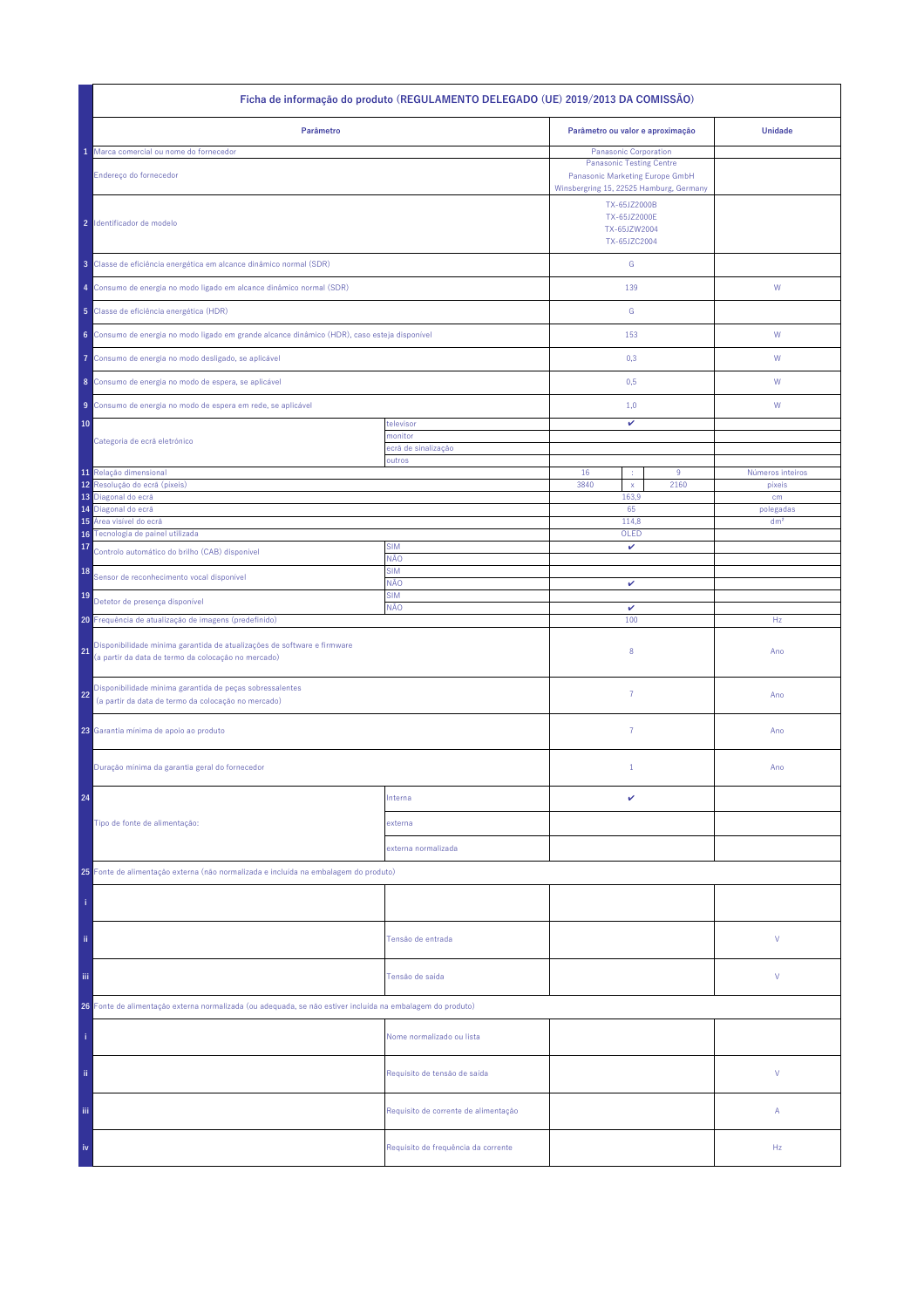| Ficha de informação do produto (REGULAMENTO DELEGADO (UE) 2019/2013 DA COMISSÃO)                                                     |                                      |                                                                                                               |                              |  |
|--------------------------------------------------------------------------------------------------------------------------------------|--------------------------------------|---------------------------------------------------------------------------------------------------------------|------------------------------|--|
| Parâmetro                                                                                                                            |                                      | Parâmetro ou valor e aproximação                                                                              | <b>Unidade</b>               |  |
| Marca comercial ou nome do fornecedor                                                                                                |                                      | Panasonic Corporation                                                                                         |                              |  |
| Endereço do fornecedor                                                                                                               |                                      | <b>Panasonic Testing Centre</b><br>Panasonic Marketing Europe GmbH<br>Winsbergring 15, 22525 Hamburg, Germany |                              |  |
| 2 Identificador de modelo                                                                                                            |                                      | TX-65JZ2000B<br>TX-65JZ2000E<br>TX-65JZW2004<br>TX-65JZC2004                                                  |                              |  |
| 3 Classe de eficiência energética em alcance dinâmico normal (SDR)                                                                   |                                      | ${\mathbb G}$                                                                                                 |                              |  |
| 4 Consumo de energia no modo ligado em alcance dinâmico normal (SDR)                                                                 |                                      | 139                                                                                                           | W                            |  |
| 5 Classe de eficiência energética (HDR)                                                                                              |                                      | ${\mathbb G}$                                                                                                 |                              |  |
| 6 Consumo de energia no modo ligado em grande alcance dinâmico (HDR), caso esteja disponível                                         |                                      | 153                                                                                                           | ${\sf W}$                    |  |
| Consumo de energia no modo desligado, se aplicável<br>Ô                                                                              |                                      | 0,3                                                                                                           | W                            |  |
| 8 Consumo de energia no modo de espera, se aplicável                                                                                 |                                      | 0,5                                                                                                           | W                            |  |
| Consumo de energia no modo de espera em rede, se aplicável<br>9                                                                      |                                      | 1,0                                                                                                           | W                            |  |
| 10                                                                                                                                   | televisor                            | v                                                                                                             |                              |  |
| Categoria de ecrã eletrónico                                                                                                         | monitor                              |                                                                                                               |                              |  |
|                                                                                                                                      | ecră de sinalização                  |                                                                                                               |                              |  |
| 11 Relação dimensional                                                                                                               | outros                               | 16<br>9                                                                                                       | Números inteiros             |  |
| Resolução do ecrã (píxeis)<br>12                                                                                                     |                                      | 3840<br>2160<br>$\mathsf X$                                                                                   | pixeis                       |  |
| 13<br>Diagonal do ecrã<br>Diagonal do ecrã                                                                                           |                                      | 163,9<br>65                                                                                                   | cm                           |  |
| 14<br>Área visível do ecrã<br>15                                                                                                     |                                      | 114,8                                                                                                         | polegadas<br>dm <sup>2</sup> |  |
| Tecnologia de painel utilizada<br>16 <sup>°</sup>                                                                                    |                                      | OLED                                                                                                          |                              |  |
| 17<br>Controlo automático do brilho (CAB) disponível                                                                                 | <b>SIM</b><br>NÃO                    | v                                                                                                             |                              |  |
| 18<br>Sensor de reconhecimento vocal disponível                                                                                      | <b>SIM</b><br>NÃO                    | v                                                                                                             |                              |  |
| 19<br>Detetor de presença disponível                                                                                                 | <b>SIM</b><br>NÃO                    | $\checkmark$                                                                                                  |                              |  |
| 20 Frequência de atualização de imagens (predefinido)                                                                                |                                      | 100                                                                                                           | Hz                           |  |
| Disponibilidade mínima garantida de atualizações de software e firmware<br>21<br>(a partir da data de termo da colocação no mercado) |                                      | 8                                                                                                             | Ano                          |  |
| Disponibilidade mínima garantida de peças sobressalentes<br>22<br>(a partir da data de termo da colocação no mercado)                |                                      | $\overline{7}$                                                                                                | Ano                          |  |
| 23 Garantia mínima de apoio ao produto                                                                                               |                                      | 7                                                                                                             | Ano                          |  |
| Duração mínima da garantia geral do fornecedor                                                                                       |                                      | $\mathbf{1}$                                                                                                  | Ano                          |  |
| 24                                                                                                                                   | Interna                              | v                                                                                                             |                              |  |
| Tipo de fonte de alimentação:                                                                                                        | externa                              |                                                                                                               |                              |  |
|                                                                                                                                      | externa normalizada                  |                                                                                                               |                              |  |
| 25 Fonte de alimentação externa (não normalizada e incluída na embalagem do produto)                                                 |                                      |                                                                                                               |                              |  |
|                                                                                                                                      |                                      |                                                                                                               |                              |  |
| ii.                                                                                                                                  | Tensão de entrada                    |                                                                                                               | V                            |  |
| Ϊij                                                                                                                                  | Tensão de saída                      |                                                                                                               | V                            |  |
| 26 Fonte de alimentação externa normalizada (ou adequada, se não estiver incluída na embalagem do produto)                           |                                      |                                                                                                               |                              |  |
|                                                                                                                                      | Nome normalizado ou lista            |                                                                                                               |                              |  |
| ii.                                                                                                                                  | Requisito de tensão de saída         |                                                                                                               | V                            |  |
| Ϊij                                                                                                                                  | Requisito de corrente de alimentação |                                                                                                               | Α                            |  |
| iv                                                                                                                                   | Requisito de frequência da corrente  |                                                                                                               | Hz                           |  |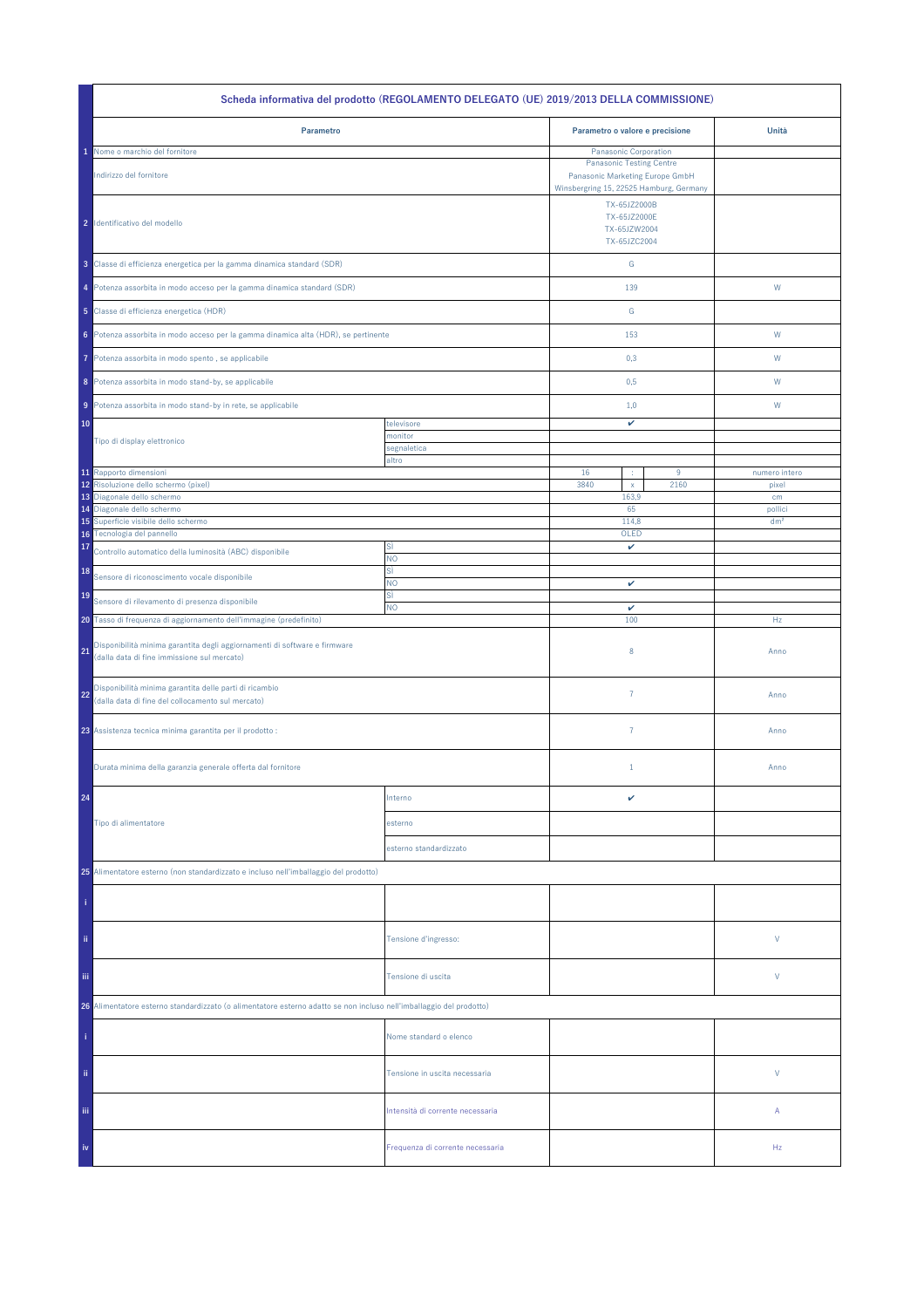| Scheda informativa del prodotto (REGOLAMENTO DELEGATO (UE) 2019/2013 DELLA COMMISSIONE)                                                         |                                  |                                                                                                                               |      |                 |
|-------------------------------------------------------------------------------------------------------------------------------------------------|----------------------------------|-------------------------------------------------------------------------------------------------------------------------------|------|-----------------|
| Parametro                                                                                                                                       |                                  | Parametro o valore e precisione                                                                                               |      | Unità           |
| Nome o marchio del fornitore                                                                                                                    |                                  | Panasonic Corporation                                                                                                         |      |                 |
| Indirizzo del fornitore                                                                                                                         |                                  | <b>Panasonic Testing Centre</b><br>Panasonic Marketing Europe GmbH<br>Winsbergring 15, 22525 Hamburg, Germany<br>TX-65JZ2000B |      |                 |
| 2 Identificativo del modello                                                                                                                    |                                  | TX-65JZ2000E<br>TX-65JZW2004<br>TX-65JZC2004                                                                                  |      |                 |
| 3 Classe di efficienza energetica per la gamma dinamica standard (SDR)                                                                          |                                  | G                                                                                                                             |      |                 |
| 4 Potenza assorbita in modo acceso per la gamma dinamica standard (SDR)                                                                         |                                  | 139                                                                                                                           |      | W               |
| 5 Classe di efficienza energetica (HDR)                                                                                                         |                                  | G                                                                                                                             |      |                 |
| 6 Potenza assorbita in modo acceso per la gamma dinamica alta (HDR), se pertinente                                                              |                                  | 153                                                                                                                           |      | W               |
| Potenza assorbita in modo spento, se applicabile<br>7                                                                                           |                                  | 0,3                                                                                                                           |      | W               |
| 8 Potenza assorbita in modo stand-by, se applicabile                                                                                            |                                  | 0,5                                                                                                                           |      | W               |
| 9 Potenza assorbita in modo stand-by in rete, se applicabile                                                                                    |                                  | 1,0                                                                                                                           |      | W               |
| 10                                                                                                                                              | televisore                       | v                                                                                                                             |      |                 |
| Tipo di display elettronico                                                                                                                     | monitor                          |                                                                                                                               |      |                 |
|                                                                                                                                                 | segnaletica<br>altro             |                                                                                                                               |      |                 |
| 11 Rapporto dimensioni                                                                                                                          |                                  | 16<br>÷                                                                                                                       | 9    | numero intero   |
| 12 Risoluzione dello schermo (pixel)                                                                                                            |                                  | 3840<br>$\mathsf X$                                                                                                           | 2160 | pixel           |
| 13 Diagonale dello schermo                                                                                                                      |                                  | 163,9                                                                                                                         |      | cm              |
| 14 Diagonale dello schermo                                                                                                                      |                                  | 65                                                                                                                            |      | pollici         |
| Superficie visibile dello schermo<br>15<br>16 Tecnologia del pannello                                                                           |                                  | 114,8<br>OLED                                                                                                                 |      | dm <sup>2</sup> |
| 17                                                                                                                                              | SÌ                               | v                                                                                                                             |      |                 |
| Controllo automatico della luminosità (ABC) disponibile<br>18                                                                                   | NO<br>sì                         |                                                                                                                               |      |                 |
| Sensore di riconoscimento vocale disponibile                                                                                                    | <b>NO</b>                        | $\checkmark$                                                                                                                  |      |                 |
| 19<br>Sensore di rilevamento di presenza disponibile                                                                                            | sì                               |                                                                                                                               |      |                 |
|                                                                                                                                                 | <b>NO</b>                        | v                                                                                                                             |      |                 |
| 20 Tasso di frequenza di aggiornamento dell'immagine (predefinito)<br>Disponibilità minima garantita degli aggiornamenti di software e firmware |                                  | 100                                                                                                                           |      | Hz              |
| 21<br>(dalla data di fine immissione sul mercato)                                                                                               |                                  | 8                                                                                                                             |      | Anno            |
| Disponibilità minima garantita delle parti di ricambio<br>22<br>(dalla data di fine del collocamento sul mercato)                               |                                  | $\overline{7}$                                                                                                                |      | Anno            |
| 23 Assistenza tecnica minima garantita per il prodotto :                                                                                        |                                  | $\overline{7}$                                                                                                                |      | Anno            |
| Durata minima della garanzia generale offerta dal fornitore                                                                                     |                                  | $1\,$                                                                                                                         |      | Anno            |
| 24                                                                                                                                              | Interno                          | v                                                                                                                             |      |                 |
| Tipo di alimentatore                                                                                                                            | esterno                          |                                                                                                                               |      |                 |
|                                                                                                                                                 | esterno standardizzato           |                                                                                                                               |      |                 |
| 25 Alimentatore esterno (non standardizzato e incluso nell'imballaggio del prodotto)                                                            |                                  |                                                                                                                               |      |                 |
|                                                                                                                                                 |                                  |                                                                                                                               |      |                 |
| ii.                                                                                                                                             | Tensione d'ingresso:             |                                                                                                                               |      | V               |
| iii.                                                                                                                                            | Tensione di uscita               |                                                                                                                               |      | V               |
| 26 Alimentatore esterno standardizzato (o alimentatore esterno adatto se non incluso nell'imballaggio del prodotto)                             |                                  |                                                                                                                               |      |                 |
|                                                                                                                                                 | Nome standard o elenco           |                                                                                                                               |      |                 |
| ii.                                                                                                                                             | Tensione in uscita necessaria    |                                                                                                                               |      | V               |
| Ϊij                                                                                                                                             | Intensità di corrente necessaria |                                                                                                                               |      | Α               |
| iv                                                                                                                                              | Frequenza di corrente necessaria |                                                                                                                               |      | Hz              |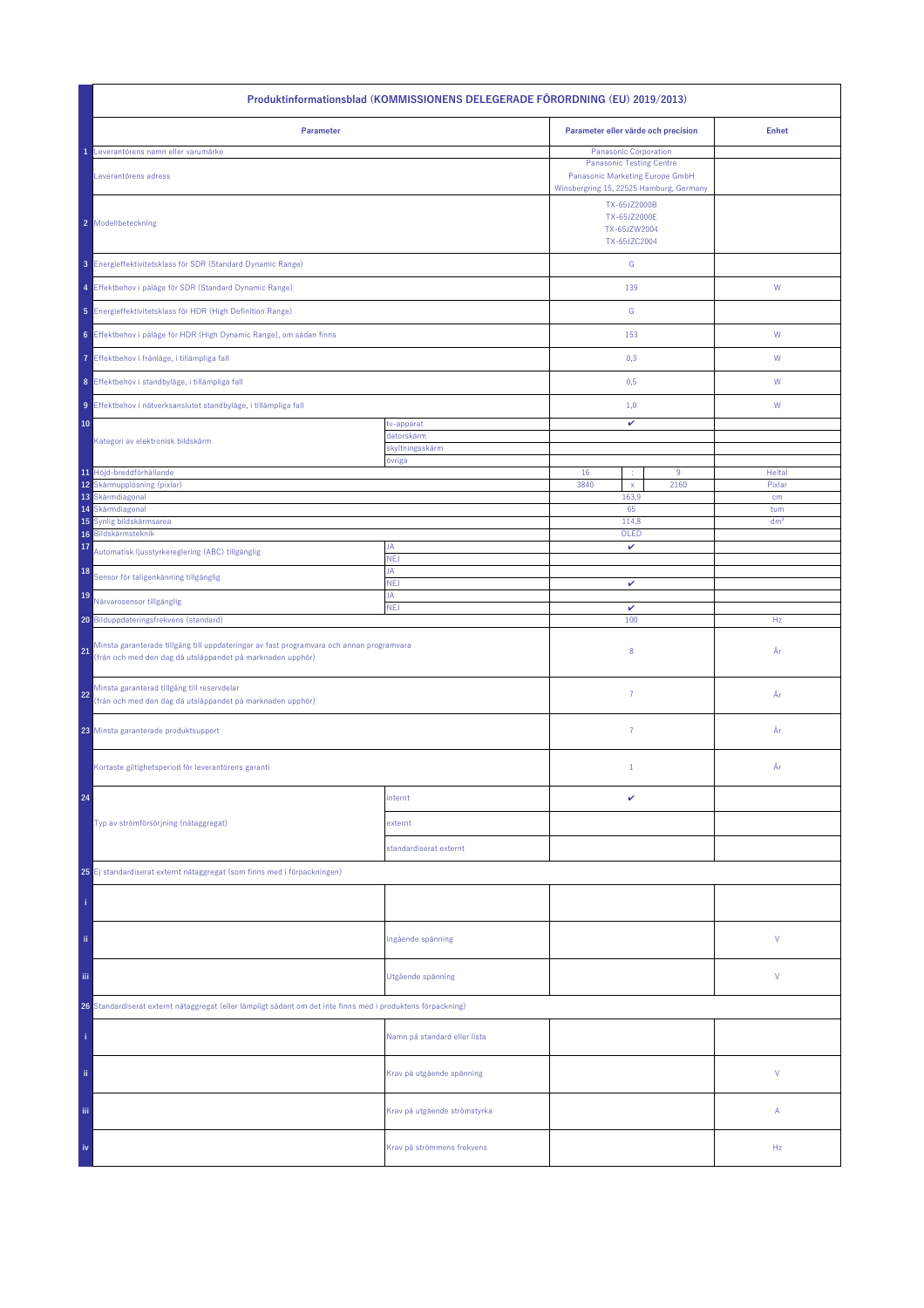| Produktinformationsblad (KOMMISSIONENS DELEGERADE FÖRORDNING (EU) 2019/2013)                                                                                 |                              |                                                                                                                                               |      |                 |
|--------------------------------------------------------------------------------------------------------------------------------------------------------------|------------------------------|-----------------------------------------------------------------------------------------------------------------------------------------------|------|-----------------|
| Parameter                                                                                                                                                    |                              | Parameter eller värde och precision                                                                                                           |      | <b>Enhet</b>    |
| Leverantörens namn eller varumärke<br>Leverantörens adress                                                                                                   |                              | <b>Panasonic Corporation</b><br><b>Panasonic Testing Centre</b><br>Panasonic Marketing Europe GmbH<br>Winsbergring 15, 22525 Hamburg, Germany |      |                 |
| 2 Modellbeteckning                                                                                                                                           |                              | TX-65JZ2000B<br>TX-65JZ2000E<br>TX-65JZW2004<br>TX-65JZC2004                                                                                  |      |                 |
| 3 Energieffektivitetsklass för SDR (Standard Dynamic Range)                                                                                                  |                              | ${\mathsf G}$                                                                                                                                 |      |                 |
| 4 Effektbehov i påläge för SDR (Standard Dynamic Range)                                                                                                      |                              | 139                                                                                                                                           |      | ${\mathsf W}$   |
| 5 Energieffektivitetsklass för HDR (High Definition Range)                                                                                                   |                              | ${\mathbb G}$                                                                                                                                 |      |                 |
| 6 Effektbehov i påläge för HDR (High Dynamic Range), om sådan finns                                                                                          |                              | 153                                                                                                                                           |      | W               |
| 7 Effektbehov i frånläge, i tillämpliga fall                                                                                                                 |                              | 0,3                                                                                                                                           |      | W               |
| 8 Effektbehov i standbyläge, i tillämpliga fall                                                                                                              |                              | 0,5                                                                                                                                           |      | W               |
| 9 Effektbehov i nätverksanslutet standbyläge, i tillämpliga fall                                                                                             |                              | 1,0                                                                                                                                           |      | W               |
| 10                                                                                                                                                           | tv-apparat<br>datorskärm     | v                                                                                                                                             |      |                 |
| Kategori av elektronisk bildskärm                                                                                                                            | skyltningsskärm<br>övriga    |                                                                                                                                               |      |                 |
| 11 Höjd-breddförhållande                                                                                                                                     |                              | 16<br>÷                                                                                                                                       | 9    | Heltal          |
| 12 Skärmupplösning (pixlar)<br>13 Skärmdiagonal                                                                                                              |                              | 3840<br>$\mathsf{x}$<br>163,9                                                                                                                 | 2160 | Pixlar<br>cm    |
| Skärmdiagonal<br>14                                                                                                                                          |                              | 65                                                                                                                                            |      | tum             |
| Synlig bildskärmsarea<br>15<br>Bildskärmsteknik<br>16                                                                                                        |                              | 114,8<br>OLED                                                                                                                                 |      | dm <sup>2</sup> |
| 17<br>Automatisk ljusstyrkereglering (ABC) tillgänglig                                                                                                       | JA<br><b>NEJ</b>             | v                                                                                                                                             |      |                 |
| 18<br>Sensor för taligenkänning tillgänglig                                                                                                                  | JA<br><b>NEJ</b>             | v                                                                                                                                             |      |                 |
| 19<br>Närvarosensor tillgänglig                                                                                                                              | JA                           |                                                                                                                                               |      |                 |
| 20 Bilduppdateringsfrekvens (standard)                                                                                                                       | <b>NEJ</b>                   | $\checkmark$<br>100                                                                                                                           |      | Hz              |
| Minsta garanterade tillgång till uppdateringar av fast programvara och annan programvara<br>21<br>(från och med den dag då utsläppandet på marknaden upphör) |                              | 8                                                                                                                                             |      | År              |
| Minsta garanterad tillgång till reservdelar<br>22<br>(från och med den dag då utsläppandet på marknaden upphör)                                              |                              | $\overline{7}$                                                                                                                                |      | År              |
| 23 Minsta garanterade produktsupport                                                                                                                         |                              | $\overline{7}$                                                                                                                                |      | År              |
| Kortaste giltighetsperiod för leverantörens garanti                                                                                                          |                              | $\mathbf{1}$                                                                                                                                  |      | År              |
| 24                                                                                                                                                           | internt                      | v                                                                                                                                             |      |                 |
| Typ av strömförsörjning (nätaggregat)                                                                                                                        | externt                      |                                                                                                                                               |      |                 |
|                                                                                                                                                              | standardiserat externt       |                                                                                                                                               |      |                 |
| 25 Ej standardiserat externt nätaggregat (som finns med i förpackningen)                                                                                     |                              |                                                                                                                                               |      |                 |
|                                                                                                                                                              |                              |                                                                                                                                               |      |                 |
| ii.                                                                                                                                                          | Ingående spänning            |                                                                                                                                               |      | ٧               |
| Ϊij                                                                                                                                                          | Utgående spänning            |                                                                                                                                               |      | ٧               |
| 26 Standardiserat externt nätaggregat (eller lämpligt sådant om det inte finns med i produktens förpackning)                                                 |                              |                                                                                                                                               |      |                 |
|                                                                                                                                                              | Namn på standard eller lista |                                                                                                                                               |      |                 |
| ii.                                                                                                                                                          | Krav på utgående spänning    |                                                                                                                                               |      | V               |
| Ϊij                                                                                                                                                          | Krav på utgående strömstyrka |                                                                                                                                               |      | Α               |
| iv                                                                                                                                                           | Krav på strömmens frekvens   |                                                                                                                                               |      | Hz              |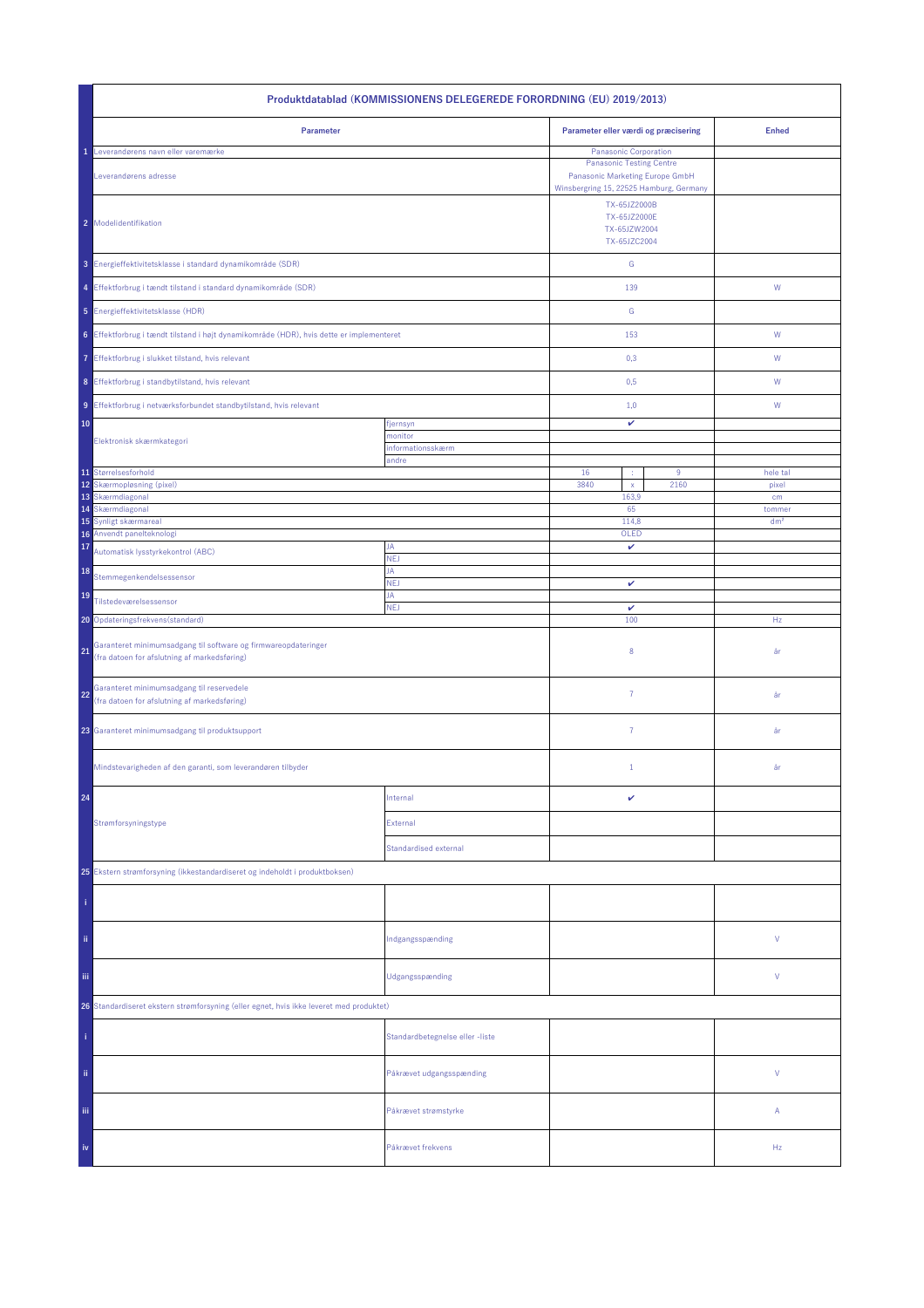| Produktdatablad (KOMMISSIONENS DELEGEREDE FORORDNING (EU) 2019/2013)                                                 |                                 |                                                                                                               |                   |  |
|----------------------------------------------------------------------------------------------------------------------|---------------------------------|---------------------------------------------------------------------------------------------------------------|-------------------|--|
| Parameter                                                                                                            |                                 | Parameter eller værdi og præcisering                                                                          | <b>Enhed</b>      |  |
| Leverandørens navn eller varemærke                                                                                   |                                 | Panasonic Corporation                                                                                         |                   |  |
| Leverandørens adresse                                                                                                |                                 | <b>Panasonic Testing Centre</b><br>Panasonic Marketing Europe GmbH<br>Winsbergring 15, 22525 Hamburg, Germany |                   |  |
| 2 Modelidentifikation                                                                                                |                                 |                                                                                                               |                   |  |
| 3 Energieffektivitetsklasse i standard dynamikområde (SDR)                                                           |                                 | ${\mathbb G}$                                                                                                 |                   |  |
| 4 Effektforbrug i tændt tilstand i standard dynamikområde (SDR)                                                      |                                 | 139                                                                                                           | W                 |  |
| 5 Energieffektivitetsklasse (HDR)                                                                                    |                                 | ${\mathbb G}$                                                                                                 |                   |  |
| 6 Effektforbrug i tændt tilstand i højt dynamikområde (HDR), hvis dette er implementeret                             |                                 | 153                                                                                                           | ${\sf W}$         |  |
| 7 Effektforbrug i slukket tilstand, hvis relevant                                                                    |                                 | 0,3                                                                                                           | W                 |  |
| 8 Effektforbrug i standbytilstand, hvis relevant                                                                     |                                 | 0,5                                                                                                           | W                 |  |
| 9 Effektforbrug i netværksforbundet standbytilstand, hvis relevant                                                   |                                 | 1,0                                                                                                           | W                 |  |
| 10                                                                                                                   | fjernsyn                        | $\checkmark$                                                                                                  |                   |  |
| Elektronisk skærmkategori                                                                                            | monitor<br>informationsskærm    |                                                                                                               |                   |  |
|                                                                                                                      | andre                           |                                                                                                               |                   |  |
| 11 Størrelsesforhold<br>12 <sup>°</sup><br>Skærmopløsning (pixel)                                                    |                                 | 16<br>9<br>3840<br>2160<br>$\mathsf X$                                                                        | hele tal<br>pixel |  |
| 13 Skærmdiagonal                                                                                                     |                                 | 163,9                                                                                                         | cm                |  |
| Skærmdiagonal<br>14                                                                                                  |                                 | 65                                                                                                            | tommer            |  |
| 15<br>Synligt skærmareal<br>16 Anvendt panelteknologi                                                                |                                 | 114,8<br>OLED                                                                                                 | dm <sup>2</sup>   |  |
| 17<br>Automatisk lysstyrkekontrol (ABC)                                                                              | JA<br>NEJ                       | v                                                                                                             |                   |  |
| 18<br>Stemmegenkendelsessensor                                                                                       | JA<br><b>NEJ</b>                | $\checkmark$                                                                                                  |                   |  |
| 19<br>Tilstedeværelsessensor                                                                                         | JA<br><b>NEJ</b>                | v                                                                                                             |                   |  |
| 20 Opdateringsfrekvens (standard)                                                                                    |                                 | 100                                                                                                           | Hz                |  |
| Garanteret minimumsadgang til software og firmwareopdateringer<br>21<br>(fra datoen for afslutning af markedsføring) |                                 | 8                                                                                                             | år                |  |
| Garanteret minimumsadgang til reservedele<br>22<br>(fra datoen for afslutning af markedsføring)                      |                                 | $\overline{7}$                                                                                                | år                |  |
| 23 Garanteret minimumsadgang til produktsupport                                                                      |                                 | $\overline{7}$                                                                                                | år                |  |
| Mindstevarigheden af den garanti, som leverandøren tilbyder                                                          |                                 | $\mathbf{1}$                                                                                                  | år                |  |
| 24                                                                                                                   | Internal                        | v                                                                                                             |                   |  |
| Strømforsyningstype                                                                                                  | External                        |                                                                                                               |                   |  |
|                                                                                                                      | <b>Standardised external</b>    |                                                                                                               |                   |  |
| 25 Ekstern strømforsyning (ikkestandardiseret og indeholdt i produktboksen)                                          |                                 |                                                                                                               |                   |  |
|                                                                                                                      |                                 |                                                                                                               |                   |  |
| ii.                                                                                                                  | Indgangsspænding                |                                                                                                               | V                 |  |
| Ϊij                                                                                                                  | Udgangsspænding                 |                                                                                                               | V                 |  |
| 26 Standardiseret ekstern strømforsyning (eller egnet, hvis ikke leveret med produktet)                              |                                 |                                                                                                               |                   |  |
|                                                                                                                      | Standardbetegnelse eller -liste |                                                                                                               |                   |  |
| ii.                                                                                                                  | Påkrævet udgangsspænding        |                                                                                                               | V                 |  |
| iii.                                                                                                                 | Påkrævet strømstyrke            |                                                                                                               | Α                 |  |
| iv                                                                                                                   | Påkrævet frekvens               |                                                                                                               | Hz                |  |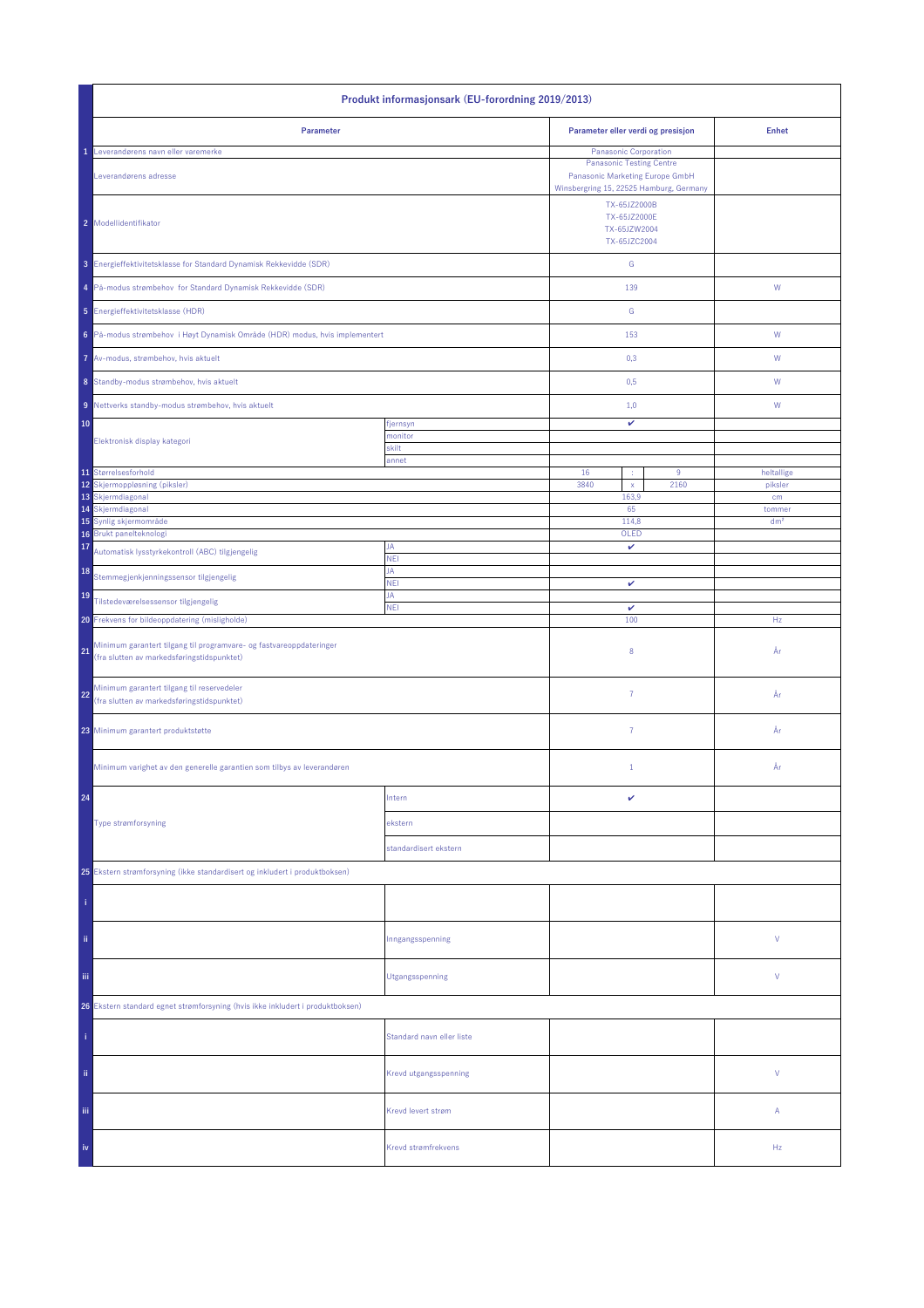| Produkt informasjonsark (EU-forordning 2019/2013)                                                                       |                           |                                                              |                                                                                                                                        |                 |
|-------------------------------------------------------------------------------------------------------------------------|---------------------------|--------------------------------------------------------------|----------------------------------------------------------------------------------------------------------------------------------------|-----------------|
| Parameter                                                                                                               |                           | Parameter eller verdi og presisjon                           |                                                                                                                                        | <b>Enhet</b>    |
| Leverandørens navn eller varemerke<br>Leverandørens adresse                                                             |                           |                                                              | Panasonic Corporation<br><b>Panasonic Testing Centre</b><br>Panasonic Marketing Europe GmbH<br>Winsbergring 15, 22525 Hamburg, Germany |                 |
| 2 Modellidentifikator                                                                                                   |                           | TX-65JZ2000B<br>TX-65JZ2000E<br>TX-65JZW2004<br>TX-65JZC2004 |                                                                                                                                        |                 |
| 3 Energieffektivitetsklasse for Standard Dynamisk Rekkevidde (SDR)                                                      |                           | ${\mathsf G}$                                                |                                                                                                                                        |                 |
| 4 På-modus strømbehov for Standard Dynamisk Rekkevidde (SDR)                                                            |                           | 139                                                          |                                                                                                                                        | ${\mathsf W}$   |
| 5 Energieffektivitetsklasse (HDR)                                                                                       |                           | G                                                            |                                                                                                                                        |                 |
| 6 På-modus strømbehov i Høyt Dynamisk Område (HDR) modus, hvis implementert                                             |                           | 153                                                          |                                                                                                                                        | W               |
| 7 Av-modus, strømbehov, hvis aktuelt                                                                                    |                           | 0,3                                                          |                                                                                                                                        | W               |
| 8 Standby-modus strømbehov, hvis aktuelt                                                                                |                           | 0,5                                                          |                                                                                                                                        | W               |
| 9 Nettverks standby-modus strømbehov, hvis aktuelt                                                                      |                           | 1,0                                                          |                                                                                                                                        | W               |
| 10                                                                                                                      | fjernsyn<br>monitor       | v                                                            |                                                                                                                                        |                 |
| Elektronisk display kategori                                                                                            | skilt<br>annet            |                                                              |                                                                                                                                        |                 |
| 11 Størrelsesforhold<br>12                                                                                              |                           | 16<br>÷<br>3840                                              | 9<br>2160                                                                                                                              | heltallige      |
| Skjermoppløsning (piksler)<br>13 Skjermdiagonal                                                                         |                           | $\mathsf{x}$<br>163,9                                        |                                                                                                                                        | piksler<br>cm   |
| 14 Skjermdiagonal                                                                                                       |                           | 65                                                           |                                                                                                                                        | tommer          |
| 15 Synlig skjermområde<br>16 Brukt panelteknologi                                                                       |                           | 114,8<br>OLED                                                |                                                                                                                                        | dm <sup>2</sup> |
| 17<br>Automatisk lysstyrkekontroll (ABC) tilgjengelig                                                                   | JA                        | v                                                            |                                                                                                                                        |                 |
| 18<br>Stemmegjenkjenningssensor tilgjengelig                                                                            | <b>NEI</b><br>JA          |                                                              |                                                                                                                                        |                 |
| 19<br>Tilstedeværelsessensor tilgjengelig                                                                               | <b>NEI</b><br>JA          | v                                                            |                                                                                                                                        |                 |
| Frekvens for bildeoppdatering (misligholde)<br>20 <sub>1</sub>                                                          | <b>NEI</b>                | $\checkmark$<br>100                                          |                                                                                                                                        | Hz              |
| Minimum garantert tilgang til programvare- og fastvareoppdateringer<br>21<br>(fra slutten av markedsføringstidspunktet) |                           | 8                                                            |                                                                                                                                        | År              |
| Minimum garantert tilgang til reservedeler<br>22<br>(fra slutten av markedsføringstidspunktet)                          |                           | $\overline{7}$                                               |                                                                                                                                        | År              |
| 23 Minimum garantert produktstøtte                                                                                      |                           | $\overline{7}$                                               |                                                                                                                                        | År              |
| Minimum varighet av den generelle garantien som tilbys av leverandøren                                                  |                           | $\mathbf{1}$                                                 |                                                                                                                                        | År              |
| 24                                                                                                                      | Intern                    | v                                                            |                                                                                                                                        |                 |
| Type strømforsyning                                                                                                     | ekstern                   |                                                              |                                                                                                                                        |                 |
|                                                                                                                         | standardisert ekstern     |                                                              |                                                                                                                                        |                 |
| 25 Ekstern strømforsyning (ikke standardisert og inkludert i produktboksen)                                             |                           |                                                              |                                                                                                                                        |                 |
|                                                                                                                         |                           |                                                              |                                                                                                                                        |                 |
| ii.                                                                                                                     | Inngangsspenning          |                                                              |                                                                                                                                        | V               |
| iii.                                                                                                                    | Utgangsspenning           |                                                              |                                                                                                                                        | V               |
| 26 Ekstern standard egnet strømforsyning (hvis ikke inkludert i produktboksen)                                          |                           |                                                              |                                                                                                                                        |                 |
|                                                                                                                         | Standard navn eller liste |                                                              |                                                                                                                                        |                 |
| ii.                                                                                                                     | Krevd utgangsspenning     |                                                              |                                                                                                                                        | V               |
| Ϊij                                                                                                                     | Krevd levert strøm        |                                                              |                                                                                                                                        | Α               |
| iv                                                                                                                      | Krevd strømfrekvens       |                                                              |                                                                                                                                        | Hz              |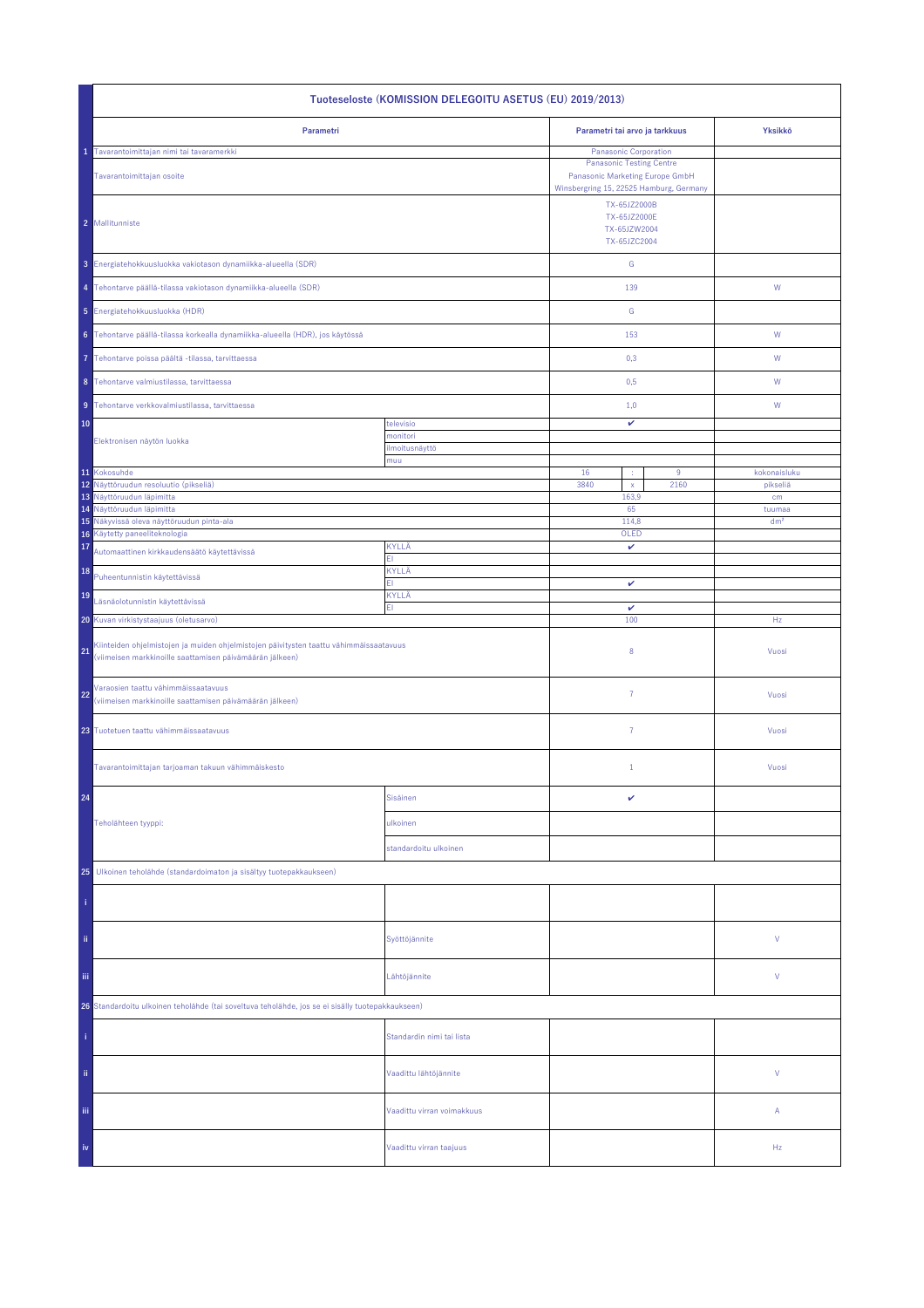| Tuoteseloste (KOMISSION DELEGOITU ASETUS (EU) 2019/2013)                                                                                                 |                            |                                                                                                                                        |                           |  |
|----------------------------------------------------------------------------------------------------------------------------------------------------------|----------------------------|----------------------------------------------------------------------------------------------------------------------------------------|---------------------------|--|
| Parametri                                                                                                                                                |                            | Parametri tai arvo ja tarkkuus                                                                                                         | Yksikkö                   |  |
| Tavarantoimittajan nimi tai tavaramerkki<br>Tavarantoimittajan osoite                                                                                    |                            | Panasonic Corporation<br><b>Panasonic Testing Centre</b><br>Panasonic Marketing Europe GmbH<br>Winsbergring 15, 22525 Hamburg, Germany |                           |  |
| 2 Mallitunniste                                                                                                                                          |                            | TX-65JZ2000B<br>TX-65JZ2000E<br>TX-65JZW2004<br>TX-65JZC2004                                                                           |                           |  |
| 3 Energiatehokkuusluokka vakiotason dynamiikka-alueella (SDR)                                                                                            |                            | G                                                                                                                                      |                           |  |
| 4 Tehontarve päällä-tilassa vakiotason dynamiikka-alueella (SDR)                                                                                         |                            | 139                                                                                                                                    | W                         |  |
| 5 Energiatehokkuusluokka (HDR)                                                                                                                           |                            | G                                                                                                                                      |                           |  |
| 6 Tehontarve päällä-tilassa korkealla dynamiikka-alueella (HDR), jos käytössä                                                                            |                            | 153                                                                                                                                    | ${\sf W}$                 |  |
| Tehontarve poissa päältä -tilassa, tarvittaessa<br>7                                                                                                     |                            | 0,3                                                                                                                                    | W                         |  |
| 8 Tehontarve valmiustilassa, tarvittaessa                                                                                                                |                            | 0,5                                                                                                                                    | W                         |  |
| 9 Tehontarve verkkovalmiustilassa, tarvittaessa                                                                                                          |                            | 1,0                                                                                                                                    | W                         |  |
| 10                                                                                                                                                       | televisio<br>monitori      | v                                                                                                                                      |                           |  |
| Elektronisen näytön luokka                                                                                                                               | ilmoitusnäyttö<br>muu      |                                                                                                                                        |                           |  |
| 11 Kokosuhde                                                                                                                                             |                            | 16<br>9<br>÷                                                                                                                           | kokonaisluku              |  |
| 12 Näyttöruudun resoluutio (pikseliä)<br>13 Näyttöruudun läpimitta                                                                                       |                            | 3840<br>2160<br>$\bar{\mathsf{x}}$<br>163,9                                                                                            | pikseliä<br>cm            |  |
| 14 Näyttöruudun läpimitta<br>15 Näkyvissä oleva näyttöruudun pinta-ala                                                                                   |                            | 65<br>114,8                                                                                                                            | tuumaa<br>dm <sup>2</sup> |  |
| Käytetty paneeliteknologia<br>16                                                                                                                         |                            | OLED                                                                                                                                   |                           |  |
| 17<br>Automaattinen kirkkaudensäätö käytettävissä                                                                                                        | KYLLÄ<br>FI.               | $\checkmark$                                                                                                                           |                           |  |
| 18<br>Puheentunnistin käytettävissä                                                                                                                      | KYLLÄ<br>FI                | v                                                                                                                                      |                           |  |
| 19<br>Läsnäolotunnistin käytettävissä                                                                                                                    | KYLLÄ<br>ΕI                |                                                                                                                                        |                           |  |
| Kuvan virkistystaajuus (oletusarvo)<br>20                                                                                                                |                            | v<br>100                                                                                                                               | Hz                        |  |
| Kiinteiden ohjelmistojen ja muiden ohjelmistojen päivitysten taattu vähimmäissaatavuus<br>21<br>(viimeisen markkinoille saattamisen päivämäärän jälkeen) |                            | 8                                                                                                                                      | Vuosi                     |  |
| Varaosien taattu vähimmäissaatavuus<br>22<br>(viimeisen markkinoille saattamisen päivämäärän jälkeen)                                                    |                            | 7                                                                                                                                      | Vuosi                     |  |
| 23 Tuotetuen taattu vähimmäissaatavuus                                                                                                                   |                            | $\overline{7}$                                                                                                                         | Vuosi                     |  |
| Tavarantoimittajan tarjoaman takuun vähimmäiskesto                                                                                                       |                            | $\mathbf{1}$                                                                                                                           | Vuosi                     |  |
| 24                                                                                                                                                       | Sisäinen                   | v                                                                                                                                      |                           |  |
| Teholähteen tyyppi:                                                                                                                                      | ulkoinen                   |                                                                                                                                        |                           |  |
|                                                                                                                                                          | standardoitu ulkoinen      |                                                                                                                                        |                           |  |
| Ulkoinen teholähde (standardoimaton ja sisältyy tuotepakkaukseen)<br>25                                                                                  |                            |                                                                                                                                        |                           |  |
|                                                                                                                                                          |                            |                                                                                                                                        |                           |  |
| ii.                                                                                                                                                      | Syöttöjännite              |                                                                                                                                        | V                         |  |
| Ϊij                                                                                                                                                      | Lähtöjännite               |                                                                                                                                        | V                         |  |
| 26 Standardoitu ulkoinen teholähde (tai soveltuva teholähde, jos se ei sisälly tuotepakkaukseen)                                                         |                            |                                                                                                                                        |                           |  |
|                                                                                                                                                          | Standardin nimi tai lista  |                                                                                                                                        |                           |  |
| ii.                                                                                                                                                      | Vaadittu lähtöjännite      |                                                                                                                                        | V                         |  |
| Ϊij                                                                                                                                                      | Vaadittu virran voimakkuus |                                                                                                                                        | A                         |  |
| iv                                                                                                                                                       | Vaadittu virran taajuus    |                                                                                                                                        | Hz                        |  |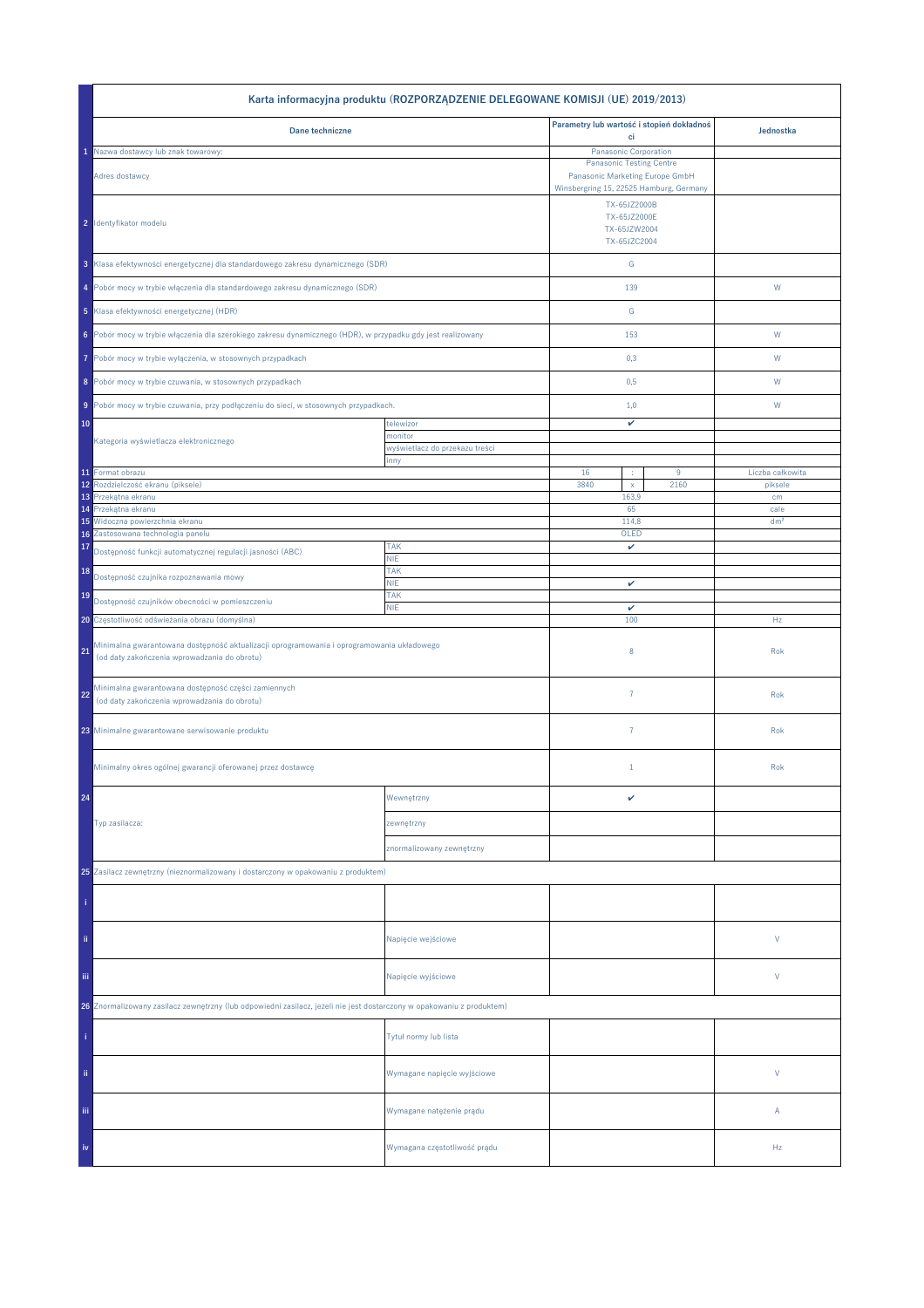|                                                                                                                                           | Karta informacyjna produktu (ROZPORZĄDZENIE DELEGOWANE KOMISJI (UE) 2019/2013) |                                                                    |      |                  |
|-------------------------------------------------------------------------------------------------------------------------------------------|--------------------------------------------------------------------------------|--------------------------------------------------------------------|------|------------------|
| Dane techniczne                                                                                                                           |                                                                                | Parametry lub wartość i stopień dokładnoś                          |      | Jednostka        |
| Nazwa dostawcy lub znak towarowy:                                                                                                         |                                                                                | ci<br>Panasonic Corporation                                        |      |                  |
| Adres dostawcy                                                                                                                            |                                                                                | <b>Panasonic Testing Centre</b><br>Panasonic Marketing Europe GmbH |      |                  |
|                                                                                                                                           |                                                                                | Winsbergring 15, 22525 Hamburg, Germany                            |      |                  |
| 2 Identyfikator modelu                                                                                                                    |                                                                                | TX-65JZ2000B<br>TX-65JZ2000E<br>TX-65JZW2004<br>TX-65JZC2004       |      |                  |
| 3 Klasa efektywności energetycznej dla standardowego zakresu dynamicznego (SDR)                                                           |                                                                                | ${\mathsf G}$                                                      |      |                  |
| 4 Pobór mocy w trybie włączenia dla standardowego zakresu dynamicznego (SDR)                                                              |                                                                                | 139                                                                |      | W                |
| 5 Klasa efektywności energetycznej (HDR)                                                                                                  |                                                                                | ${\mathbb G}$                                                      |      |                  |
| 6 Pobór mocy w trybie włączenia dla szerokiego zakresu dynamicznego (HDR), w przypadku gdy jest realizowany                               |                                                                                | 153                                                                |      | W                |
| Pobór mocy w trybie wyłączenia, w stosownych przypadkach<br>7                                                                             |                                                                                | 0,3                                                                |      | W                |
| 8 Pobór mocy w trybie czuwania, w stosownych przypadkach                                                                                  |                                                                                | 0,5                                                                |      | W                |
| 9 Pobór mocy w trybie czuwania, przy podłączeniu do sieci, w stosownych przypadkach.                                                      |                                                                                | 1,0                                                                |      | W                |
| 10                                                                                                                                        | telewizor<br>monitor                                                           | v                                                                  |      |                  |
| Kategoria wyświetlacza elektronicznego                                                                                                    | wyświetlacz do przekazu treści                                                 |                                                                    |      |                  |
| 11 Format obrazu                                                                                                                          | inny                                                                           | 16<br>÷                                                            | 9    | Liczba całkowita |
| Rozdzielczość ekranu (piksele)<br>12                                                                                                      |                                                                                | 3840<br>$\mathsf X$                                                | 2160 | piksele          |
| Przekątna ekranu<br>13<br>Przekątna ekranu<br>14                                                                                          |                                                                                | 163,9<br>65                                                        |      | cm<br>cale       |
| Widoczna powierzchnia ekranu<br>15                                                                                                        |                                                                                | 114,8                                                              |      | dm <sup>2</sup>  |
| Zastosowana technologia panelu<br>16                                                                                                      |                                                                                | OLED                                                               |      |                  |
| 17<br>Dostępność funkcji automatycznej regulacji jasności (ABC)                                                                           | <b>TAK</b><br><b>NIE</b>                                                       | v                                                                  |      |                  |
| 18<br>Dostępność czujnika rozpoznawania mowy                                                                                              | <b>TAK</b><br><b>NIE</b>                                                       | v                                                                  |      |                  |
| 19<br>Dostępność czujników obecności w pomieszczeniu                                                                                      | <b>TAK</b><br><b>NIE</b>                                                       | v                                                                  |      |                  |
| 20 Częstotliwość odświeżania obrazu (domyślna)                                                                                            |                                                                                | 100                                                                |      | Hz               |
| Minimalna gwarantowana dostępność aktualizacji oprogramowania i oprogramowania układowego<br>(od daty zakończenia wprowadzania do obrotu) |                                                                                | 8                                                                  |      | Rok              |
| Minimalna gwarantowana dostępność części zamiennych<br>22<br>(od daty zakończenia wprowadzania do obrotu)                                 |                                                                                | $\overline{7}$                                                     |      | Rok              |
| 23 Minimalne gwarantowane serwisowanie produktu                                                                                           |                                                                                | $\overline{7}$                                                     |      | Rok              |
| Minimalny okres ogólnej gwarancji oferowanej przez dostawcę                                                                               |                                                                                | $1\,$                                                              |      | Rok              |
| 24                                                                                                                                        | Wewnętrzny                                                                     | v                                                                  |      |                  |
| Typ zasilacza:                                                                                                                            | zewnętrzny                                                                     |                                                                    |      |                  |
|                                                                                                                                           | znormalizowany zewnętrzny                                                      |                                                                    |      |                  |
| 25 Zasilacz zewnętrzny (nieznormalizowany i dostarczony w opakowaniu z produktem)                                                         |                                                                                |                                                                    |      |                  |
|                                                                                                                                           |                                                                                |                                                                    |      |                  |
| ii.                                                                                                                                       | Napięcie wejściowe                                                             |                                                                    |      | V                |
| iii.                                                                                                                                      | Napięcie wyjściowe                                                             |                                                                    |      | V                |
| 26 Znormalizowany zasilacz zewnętrzny (lub odpowiedni zasilacz, jeżeli nie jest dostarczony w opakowaniu z produktem)                     |                                                                                |                                                                    |      |                  |
|                                                                                                                                           | Tytuł normy lub lista                                                          |                                                                    |      |                  |
| ii.                                                                                                                                       | Wymagane napięcie wyjściowe                                                    |                                                                    |      | V                |
| Ϊij                                                                                                                                       | Wymagane natężenie prądu                                                       |                                                                    |      | Α                |
| iv                                                                                                                                        | Wymagana częstotliwość prądu                                                   |                                                                    |      | Hz               |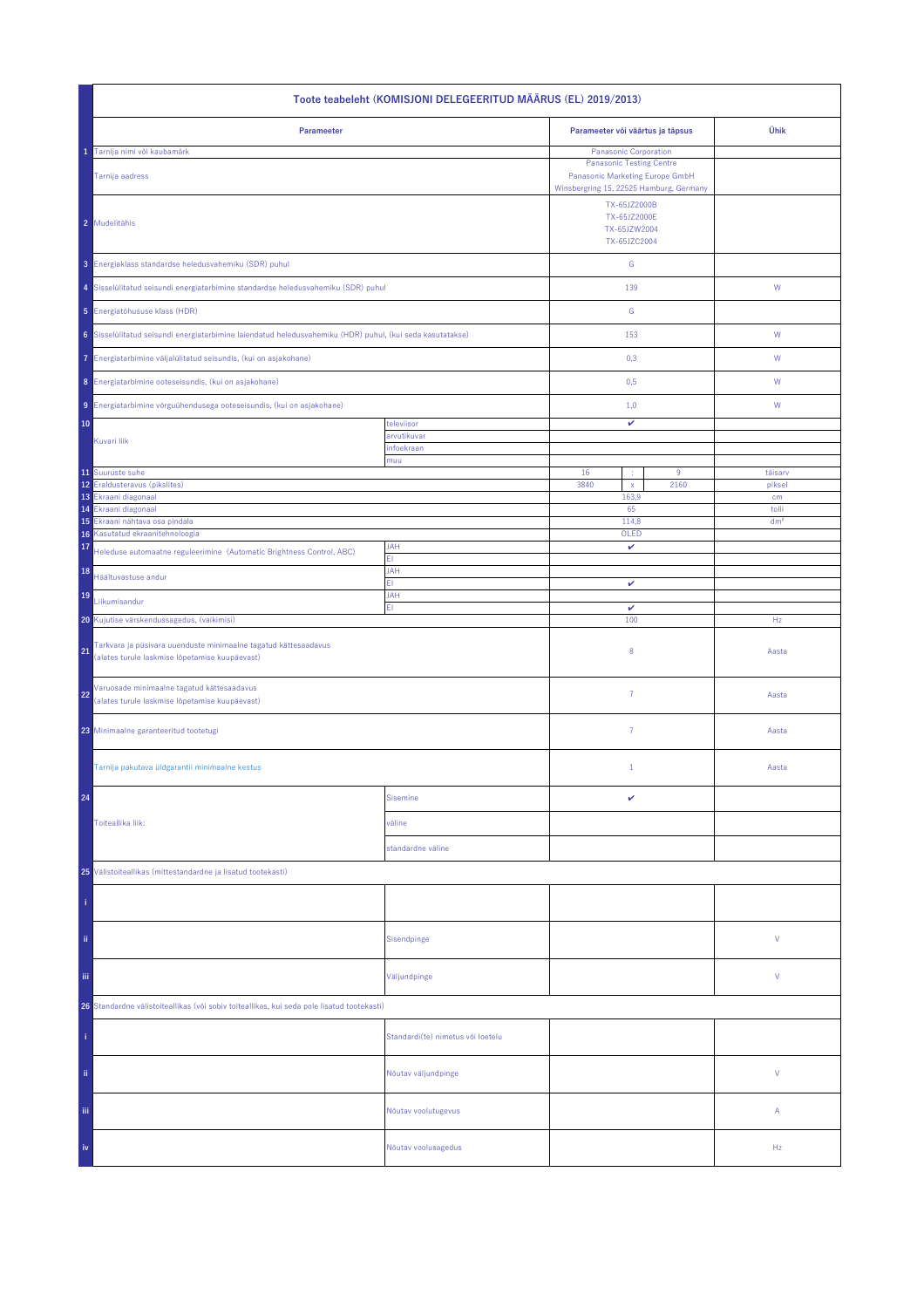| Toote teabeleht (KOMISJONI DELEGEERITUD MÄÄRUS (EL) 2019/2013)                                                          |                                   |                                                                                                                                        |      |                 |  |
|-------------------------------------------------------------------------------------------------------------------------|-----------------------------------|----------------------------------------------------------------------------------------------------------------------------------------|------|-----------------|--|
| Parameeter                                                                                                              |                                   | Parameeter või väärtus ja täpsus                                                                                                       |      | Ühik            |  |
| Tarnija nimi või kaubamärk<br>Tarnija aadress                                                                           |                                   | Panasonic Corporation<br><b>Panasonic Testing Centre</b><br>Panasonic Marketing Europe GmbH<br>Winsbergring 15, 22525 Hamburg, Germany |      |                 |  |
| 2 Mudelitähis                                                                                                           |                                   | TX-65JZ2000B<br>TX-65JZ2000E<br>TX-65JZW2004<br>TX-65JZC2004                                                                           |      |                 |  |
| 3 Energiaklass standardse heledusvahemiku (SDR) puhul                                                                   |                                   | ${\mathsf G}$                                                                                                                          |      |                 |  |
| 4 Sisselülitatud seisundi energiatarbimine standardse heledusvahemiku (SDR) puhul                                       |                                   | 139                                                                                                                                    |      | W               |  |
| 5 Energiatõhususe klass (HDR)                                                                                           |                                   | ${\mathsf G}$                                                                                                                          |      |                 |  |
| 6 Sisselülitatud seisundi energiatarbimine laiendatud heledusvahemiku (HDR) puhul, (kui seda kasutatakse)               |                                   | 153                                                                                                                                    |      | W               |  |
| 7 Energiatarbimine väljalülitatud seisundis, (kui on asjakohane)                                                        |                                   | 0,3                                                                                                                                    |      | W               |  |
| 8 Energiatarbimine ooteseisundis, (kui on asjakohane)                                                                   |                                   | 0,5                                                                                                                                    |      | W               |  |
| 9 Energiatarbimine võrguühendusega ooteseisundis, (kui on asjakohane)                                                   |                                   | 1,0                                                                                                                                    |      | W               |  |
| 10                                                                                                                      | televiisor                        | v                                                                                                                                      |      |                 |  |
| Kuvari liik                                                                                                             | arvutikuvar<br>infoekraan         |                                                                                                                                        |      |                 |  |
| 11 Suuruste suhe                                                                                                        | muu                               | 16                                                                                                                                     | 9    | täisarv         |  |
| 12 Eraldusteravus (pikslites)                                                                                           |                                   | 3840<br>$\bar{\mathbf{x}}$                                                                                                             | 2160 | piksel          |  |
| 13 Ekraani diagonaal<br>Ekraani diagonaal<br>14                                                                         |                                   | 163,9<br>65                                                                                                                            |      | cm<br>tolli     |  |
| 15<br>Ekraani nähtava osa pindala                                                                                       |                                   | 114,8                                                                                                                                  |      | dm <sup>2</sup> |  |
| Kasutatud ekraanitehnoloogia<br>16<br>17                                                                                | <b>JAH</b>                        | OLED<br>v                                                                                                                              |      |                 |  |
| Heleduse automaatne reguleerimine (Automatic Brightness Control, ABC)<br>18                                             | ΕI<br><b>JAH</b>                  |                                                                                                                                        |      |                 |  |
| Häältuvastuse andur                                                                                                     | FI.                               | v                                                                                                                                      |      |                 |  |
| 19<br>Liikumisandur                                                                                                     | JAH<br>EI.                        | $\checkmark$                                                                                                                           |      |                 |  |
| 20 Kujutise värskendussagedus, (vaikimisi)                                                                              |                                   | 100                                                                                                                                    |      | Hz              |  |
| Tarkvara ja püsivara uuenduste minimaalne tagatud kättesaadavus<br>21<br>(alates turule laskmise lõpetamise kuupäevast) |                                   | 8                                                                                                                                      |      | Aasta           |  |
| Varuosade minimaalne tagatud kättesaadavus<br>22<br>(alates turule laskmise lõpetamise kuupäevast)                      |                                   | $\overline{7}$                                                                                                                         |      | Aasta           |  |
| 23 Minimaalne garanteeritud tootetugi                                                                                   |                                   | 7                                                                                                                                      |      | Aasta           |  |
| Tarnija pakutava üldgarantii minimaalne kestus                                                                          |                                   | $\mathbf{1}$                                                                                                                           |      | Aasta           |  |
| 24                                                                                                                      | <b>Sisemine</b>                   | v                                                                                                                                      |      |                 |  |
| Toiteallika liik:                                                                                                       | väline                            |                                                                                                                                        |      |                 |  |
|                                                                                                                         | standardne väline                 |                                                                                                                                        |      |                 |  |
| 25 Välistoiteallikas (mittestandardne ja lisatud tootekasti)                                                            |                                   |                                                                                                                                        |      |                 |  |
|                                                                                                                         |                                   |                                                                                                                                        |      |                 |  |
| ii.                                                                                                                     | Sisendpinge                       |                                                                                                                                        |      | ٧               |  |
| iij<br>Väljundpinge                                                                                                     |                                   |                                                                                                                                        |      | ٧               |  |
| 26 Standardne välistoiteallikas (või sobiv toiteallikas, kui seda pole lisatud tootekasti)                              |                                   |                                                                                                                                        |      |                 |  |
|                                                                                                                         | Standardi(te) nimetus või loetelu |                                                                                                                                        |      |                 |  |
| ii.                                                                                                                     | Nõutav väljundpinge               |                                                                                                                                        |      | V               |  |
| Ϊij                                                                                                                     | Nõutav voolutugevus               |                                                                                                                                        |      | Α               |  |
| iv                                                                                                                      | Nõutav voolusagedus               |                                                                                                                                        |      | Hz              |  |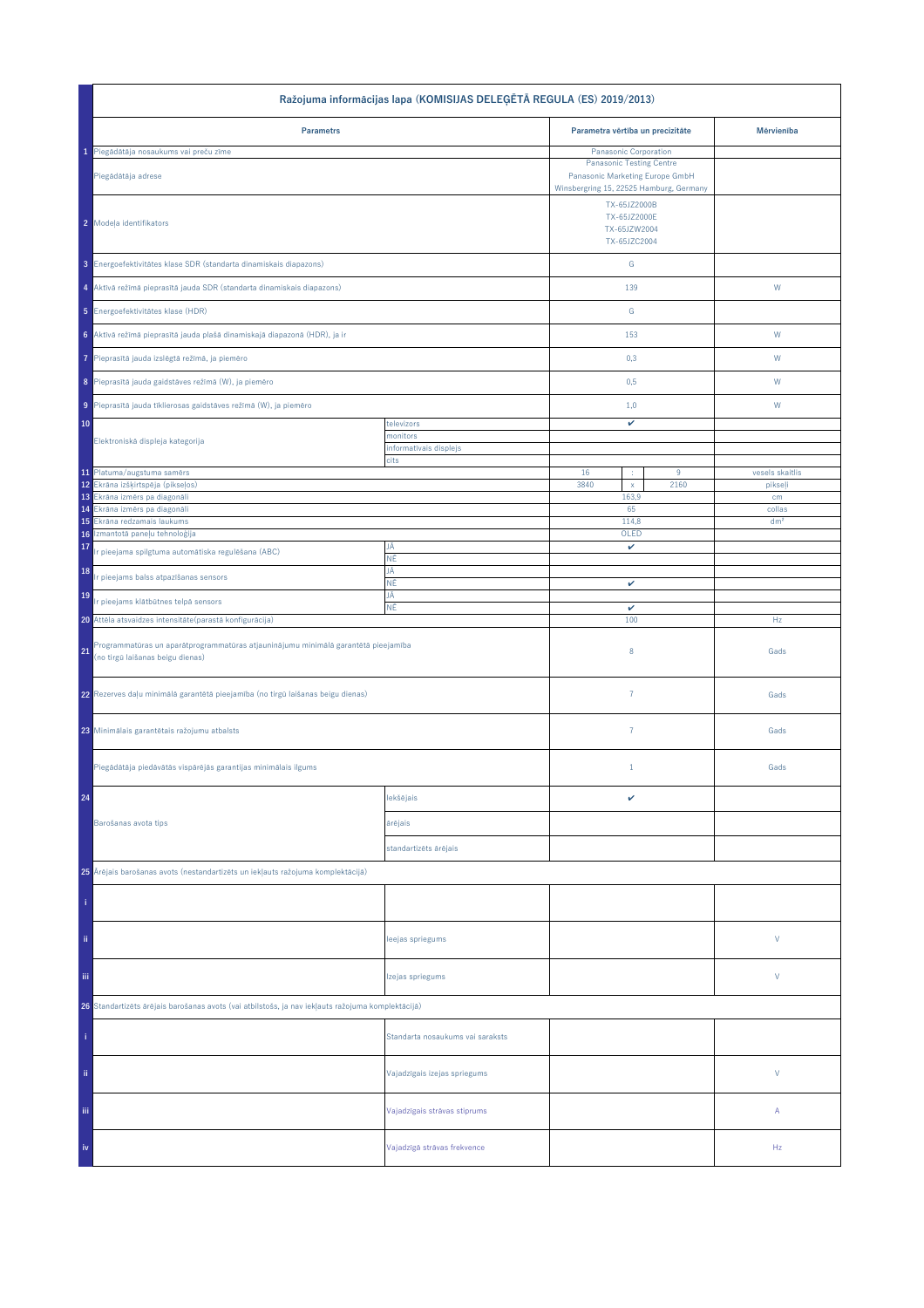| Ražojuma informācijas lapa (KOMISIJAS DELEĢĒTĀ REGULA (ES) 2019/2013)                                                        |                                  |                                                                    |           |                            |  |
|------------------------------------------------------------------------------------------------------------------------------|----------------------------------|--------------------------------------------------------------------|-----------|----------------------------|--|
| <b>Parametrs</b>                                                                                                             |                                  | Parametra vērtība un precizitāte                                   |           | Mērvienība                 |  |
| 1 Piegādātāja nosaukums vai preču zīme                                                                                       |                                  | Panasonic Corporation                                              |           |                            |  |
| Piegādātāja adrese                                                                                                           |                                  | <b>Panasonic Testing Centre</b><br>Panasonic Marketing Europe GmbH |           |                            |  |
|                                                                                                                              |                                  | Winsbergring 15, 22525 Hamburg, Germany                            |           |                            |  |
| 2 Modeļa identifikators                                                                                                      |                                  | TX-65JZ2000B<br>TX-65JZ2000E<br>TX-65JZW2004<br>TX-65JZC2004       |           |                            |  |
|                                                                                                                              |                                  |                                                                    |           |                            |  |
| 3 Energoefektivitätes klase SDR (standarta dinamiskais diapazons)                                                            |                                  | ${\mathsf G}$                                                      |           |                            |  |
| 4 Aktīvā režīmā pieprasītā jauda SDR (standarta dinamiskais diapazons)                                                       |                                  | 139                                                                |           | W                          |  |
| 5 Energoefektivitätes klase (HDR)                                                                                            |                                  | G                                                                  |           |                            |  |
| 6 Aktīvā režīmā pieprasītā jauda plašā dinamiskajā diapazonā (HDR), ja ir                                                    |                                  | 153                                                                |           | ${\mathsf W}$              |  |
| Pieprasītā jauda izslēgtā režīmā, ja piemēro                                                                                 |                                  | 0,3                                                                |           | W                          |  |
| 8 Pieprasītā jauda gaidstāves režīmā (W), ja piemēro                                                                         |                                  | 0,5                                                                |           | W                          |  |
| 9 Pieprasītā jauda tīklierosas gaidstāves režīmā (W), ja piemēro                                                             |                                  | 1,0                                                                |           | W                          |  |
| 10                                                                                                                           | televizors<br>monitors           | v                                                                  |           |                            |  |
| Elektroniskā displeja kategorija                                                                                             | informatīvais displejs           |                                                                    |           |                            |  |
|                                                                                                                              | cits                             |                                                                    |           |                            |  |
| 11 Platuma/augstuma samērs<br>12 Ekrāna izšķirtspēja (pikseļos)                                                              |                                  | 16<br>3840<br>$\mathsf{x}$                                         | 9<br>2160 | vesels skaitlis<br>pikseļi |  |
| 13 Ekrâna izmêrs pa diagonâli                                                                                                |                                  | 163,9                                                              |           | cm                         |  |
| 14 Ekrâna izmêrs pa diagonâli                                                                                                |                                  | 65                                                                 |           | collas                     |  |
| Ekrāna redzamais laukums<br>15<br>Izmantotā paneļu tehnoloģija                                                               |                                  | 114,8                                                              |           | dm <sup>2</sup>            |  |
| 16<br>17<br>Ir pieejama spilgtuma automātiska regulēšana (ABC)                                                               | JĀ                               | OLED<br>v                                                          |           |                            |  |
| 18<br>r pieejams balss atpazīšanas sensors                                                                                   | ΝĒ<br>JĀ                         |                                                                    |           |                            |  |
| 19<br>Ir pieejams klātbūtnes telpā sensors                                                                                   | ΝĒ<br>JĀ                         | v                                                                  |           |                            |  |
| 20 Attēla atsvaidzes intensitāte (parastā konfigurācija)                                                                     | ΝĒ                               | v<br>100                                                           |           | Hz                         |  |
| Programmatūras un aparātprogrammatūras atjauninājumu minimālā garantētā pieejamība<br>21<br>(no tirgū laišanas beigu dienas) |                                  | 8                                                                  |           | Gads                       |  |
| 22 Rezerves daļu minimālā garantētā pieejamība (no tirgū laišanas beigu dienas)                                              |                                  | $\overline{7}$                                                     |           | Gads                       |  |
| 23 Minimālais garantētais ražojumu atbalsts                                                                                  |                                  | $\overline{7}$                                                     |           | Gads                       |  |
| Piegādātāja piedāvātās vispārējās garantijas minimālais ilgums                                                               |                                  | $\mathbf{1}$                                                       |           | Gads                       |  |
| 24                                                                                                                           | lekšējais                        | v                                                                  |           |                            |  |
| Barošanas avota tips                                                                                                         | ārējais                          |                                                                    |           |                            |  |
|                                                                                                                              | standartizēts ārējais            |                                                                    |           |                            |  |
| 25 Ārējais barošanas avots (nestandartizēts un iekļauts ražojuma komplektācijā)                                              |                                  |                                                                    |           |                            |  |
|                                                                                                                              |                                  |                                                                    |           |                            |  |
| ii.                                                                                                                          | leejas spriegums                 |                                                                    |           | V                          |  |
| Ϊij                                                                                                                          | Izejas spriegums                 |                                                                    |           | V                          |  |
| 26 Standartizēts ārējais barošanas avots (vai atbilstošs, ja nav iekļauts ražojuma komplektācijā)                            |                                  |                                                                    |           |                            |  |
|                                                                                                                              | Standarta nosaukums vai saraksts |                                                                    |           |                            |  |
| ii.                                                                                                                          | Vajadzīgais izejas spriegums     |                                                                    |           | $\vee$                     |  |
| Ϊij                                                                                                                          | Vajadzīgais strāvas stiprums     |                                                                    |           | А                          |  |
| iv                                                                                                                           | Vajadzīgā strāvas frekvence      |                                                                    |           | Hz                         |  |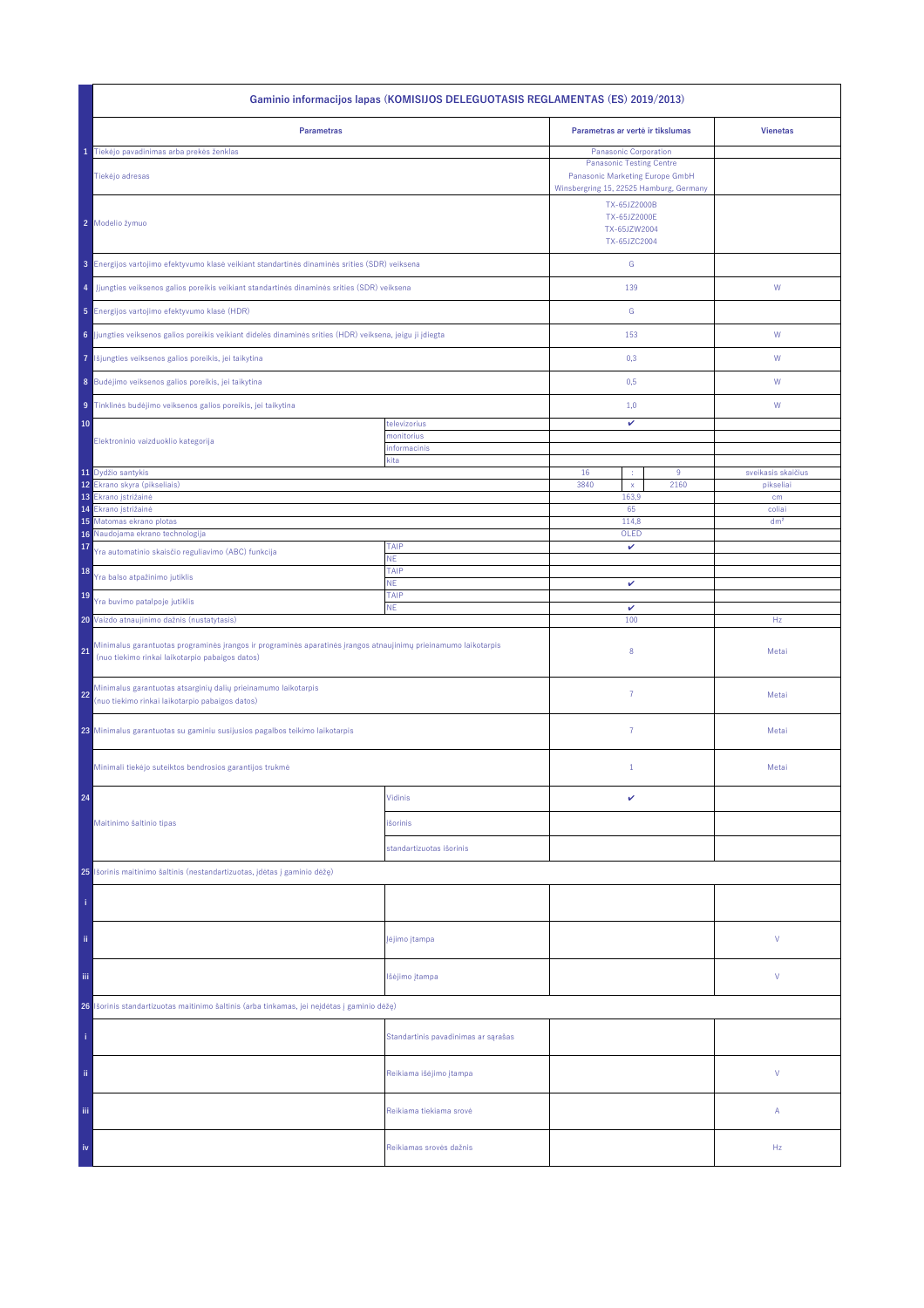| Gaminio informacijos lapas (KOMISIJOS DELEGUOTASIS REGLAMENTAS (ES) 2019/2013)                                                                                           |                                     |                                                                                                                                               |                                 |  |  |
|--------------------------------------------------------------------------------------------------------------------------------------------------------------------------|-------------------------------------|-----------------------------------------------------------------------------------------------------------------------------------------------|---------------------------------|--|--|
| <b>Parametras</b>                                                                                                                                                        |                                     | Parametras ar vertė ir tikslumas                                                                                                              | <b>Vienetas</b>                 |  |  |
| Tiekėjo pavadinimas arba prekės ženklas<br>Tiekėjo adresas                                                                                                               |                                     | <b>Panasonic Corporation</b><br><b>Panasonic Testing Centre</b><br>Panasonic Marketing Europe GmbH<br>Winsbergring 15, 22525 Hamburg, Germany |                                 |  |  |
| 2 Modelio žymuo                                                                                                                                                          |                                     | TX-65JZ2000B<br>TX-65JZ2000E<br>TX-65JZW2004<br>TX-65JZC2004                                                                                  |                                 |  |  |
| 3 Energijos vartojimo efektyvumo klasė veikiant standartinės dinaminės srities (SDR) veiksena                                                                            |                                     | ${\mathsf G}$                                                                                                                                 |                                 |  |  |
| Jjungties veiksenos galios poreikis veikiant standartinės dinaminės srities (SDR) veiksena<br>4                                                                          |                                     | 139                                                                                                                                           | ${\mathsf W}$                   |  |  |
| 5 Energijos vartojimo efektyvumo klasė (HDR)                                                                                                                             |                                     | G                                                                                                                                             |                                 |  |  |
| 6 Jjungties veiksenos galios poreikis veikiant didelės dinaminės srities (HDR) veiksena, jeigu ji įdiegta                                                                |                                     | 153                                                                                                                                           | W                               |  |  |
| Išjungties veiksenos galios poreikis, jei taikytina<br>7                                                                                                                 |                                     | 0,3                                                                                                                                           | W                               |  |  |
| 8 Budėjimo veiksenos galios poreikis, jei taikytina                                                                                                                      |                                     | 0,5                                                                                                                                           | W                               |  |  |
| 9 Tinklinės budėjimo veiksenos galios poreikis, jei taikytina                                                                                                            |                                     | 1,0                                                                                                                                           | W                               |  |  |
| 10                                                                                                                                                                       | televizorius<br>monitorius          | v                                                                                                                                             |                                 |  |  |
| Elektroninio vaizduoklio kategorija                                                                                                                                      | informacinis<br>kita                |                                                                                                                                               |                                 |  |  |
| 11 Dydžio santykis<br>12<br>Ekrano skyra (pikseliais)                                                                                                                    |                                     | 16<br>$9\,$<br>÷<br>3840<br>2160<br>$\mathsf{x}$                                                                                              | sveikasis skaičius<br>pikseliai |  |  |
| 13<br>Ekrano įstrižainė                                                                                                                                                  |                                     | 163,9                                                                                                                                         | cm                              |  |  |
| 14<br>Ekrano įstrižainė<br>15 Matomas ekrano plotas                                                                                                                      |                                     | 65<br>114,8                                                                                                                                   | coliai<br>dm <sup>2</sup>       |  |  |
| Naudojama ekrano technologija<br>16                                                                                                                                      |                                     | OLED                                                                                                                                          |                                 |  |  |
| 17<br>Yra automatinio skaisčio reguliavimo (ABC) funkcija                                                                                                                | TAIP<br>NE.                         | v                                                                                                                                             |                                 |  |  |
| 18<br>Yra balso atpažinimo jutiklis                                                                                                                                      | TAIP<br><b>NE</b>                   | v                                                                                                                                             |                                 |  |  |
| 19<br>Yra buvimo patalpoje jutiklis                                                                                                                                      | TAIP<br><b>NE</b>                   | $\checkmark$                                                                                                                                  |                                 |  |  |
| 20 Vaizdo atnaujinimo dažnis (nustatytasis)                                                                                                                              |                                     | 100                                                                                                                                           | Hz                              |  |  |
| Minimalus garantuotas programinės įrangos ir programinės aparatinės įrangos atnaujinimų prieinamumo laikotarpis<br>21<br>(nuo tiekimo rinkai laikotarpio pabaigos datos) |                                     | 8                                                                                                                                             | Metai                           |  |  |
| Minimalus garantuotas atsarginių dalių prieinamumo laikotarpis<br>22<br>(nuo tiekimo rinkai laikotarpio pabaigos datos)                                                  |                                     | $\overline{7}$                                                                                                                                | Metai                           |  |  |
| 23 Minimalus garantuotas su gaminiu susijusios pagalbos teikimo laikotarpis                                                                                              |                                     | $\overline{7}$                                                                                                                                | Metai                           |  |  |
| Minimali tiekėjo suteiktos bendrosios garantijos trukmė                                                                                                                  |                                     | $1\,$                                                                                                                                         | Metai                           |  |  |
| 24                                                                                                                                                                       | Vidinis                             | v                                                                                                                                             |                                 |  |  |
| Maitinimo šaltinio tipas                                                                                                                                                 | išorinis                            |                                                                                                                                               |                                 |  |  |
|                                                                                                                                                                          | standartizuotas išorinis            |                                                                                                                                               |                                 |  |  |
| 25 Išorinis maitinimo šaltinis (nestandartizuotas, įdėtas į gaminio dėžę)                                                                                                |                                     |                                                                                                                                               |                                 |  |  |
|                                                                                                                                                                          |                                     |                                                                                                                                               |                                 |  |  |
| ii.                                                                                                                                                                      | įėjimo įtampa                       |                                                                                                                                               | ٧                               |  |  |
| Ϊij                                                                                                                                                                      | Išėjimo įtampa                      |                                                                                                                                               | ٧                               |  |  |
| Išorinis standartizuotas maitinimo šaltinis (arba tinkamas, jei neįdėtas į gaminio dėžę)<br>26                                                                           |                                     |                                                                                                                                               |                                 |  |  |
|                                                                                                                                                                          | Standartinis pavadinimas ar sąrašas |                                                                                                                                               |                                 |  |  |
| ii.                                                                                                                                                                      | Reikiama išėjimo įtampa             |                                                                                                                                               | V                               |  |  |
| Ϊij                                                                                                                                                                      | Reikiama tiekiama srovė             |                                                                                                                                               | Α                               |  |  |
| iv                                                                                                                                                                       | Reikiamas srovės dažnis             |                                                                                                                                               | Hz                              |  |  |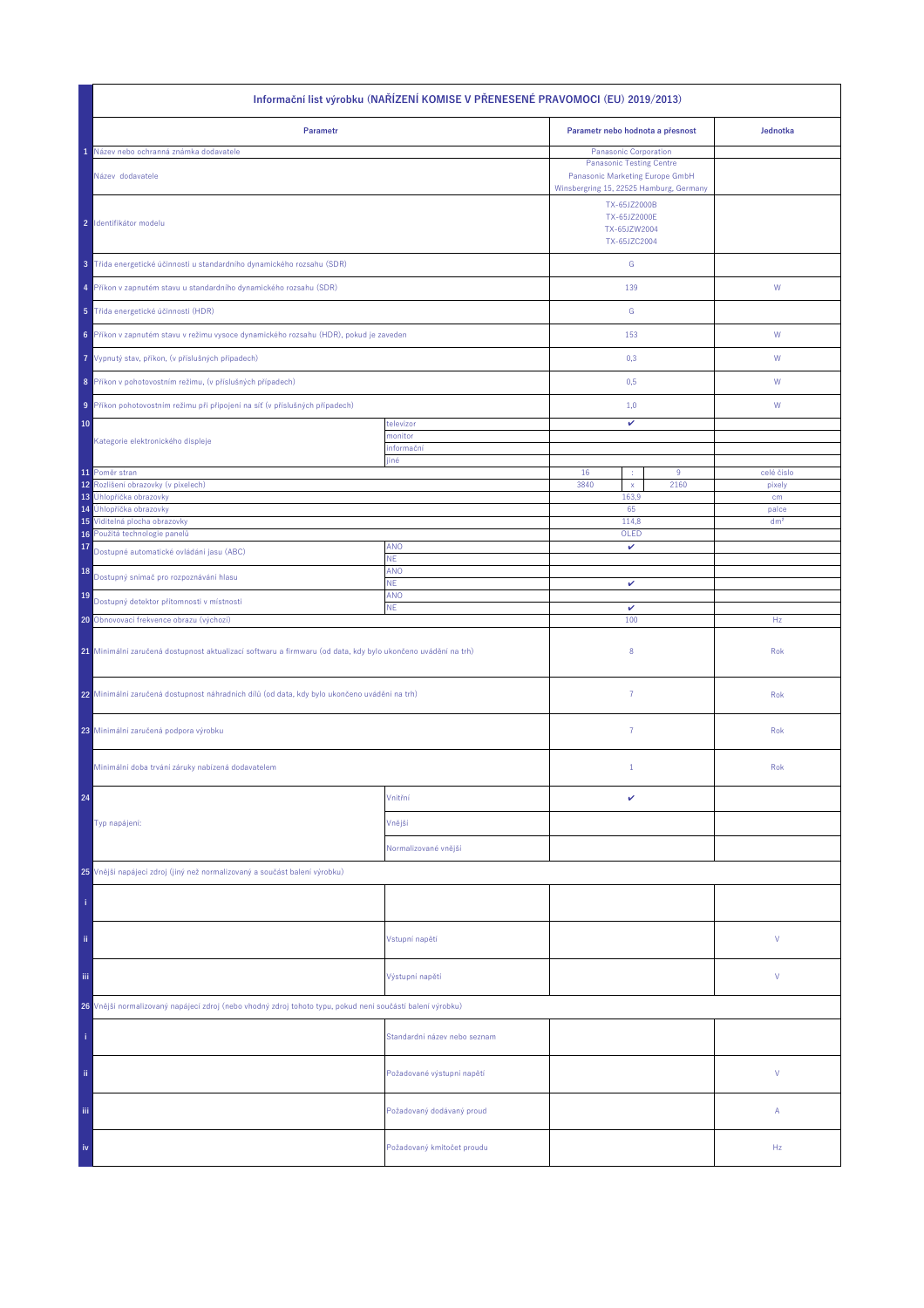| Informační list výrobku (NAŘÍZENÍ KOMISE V PŘENESENÉ PRAVOMOCI (EU) 2019/2013)                               |                              |                                                                                                                               |       |                 |  |
|--------------------------------------------------------------------------------------------------------------|------------------------------|-------------------------------------------------------------------------------------------------------------------------------|-------|-----------------|--|
| Parametr                                                                                                     |                              | Parametr nebo hodnota a přesnost                                                                                              |       | Jednotka        |  |
| Název nebo ochranná známka dodavatele                                                                        |                              | Panasonic Corporation                                                                                                         |       |                 |  |
| Název dodavatele                                                                                             |                              | <b>Panasonic Testing Centre</b><br>Panasonic Marketing Europe GmbH<br>Winsbergring 15, 22525 Hamburg, Germany<br>TX-65JZ2000B |       |                 |  |
| 2 Identifikátor modelu                                                                                       |                              | TX-65JZ2000E<br>TX-65JZW2004<br>TX-65JZC2004                                                                                  |       |                 |  |
| 3 Třída energetické účinnosti u standardního dynamického rozsahu (SDR)                                       |                              | ${\mathbb G}$                                                                                                                 |       |                 |  |
| 4 Příkon v zapnutém stavu u standardního dynamického rozsahu (SDR)                                           |                              | 139                                                                                                                           |       | W               |  |
| 5 Třída energetické účinnosti (HDR)                                                                          |                              | ${\mathbb G}$                                                                                                                 |       |                 |  |
| 6 Příkon v zapnutém stavu v režimu vysoce dynamického rozsahu (HDR), pokud je zaveden                        |                              | 153                                                                                                                           |       | ${\sf W}$       |  |
| Vypnutý stav, příkon, (v příslušných případech)<br>7                                                         |                              | 0,3                                                                                                                           |       | W               |  |
| 8 Příkon v pohotovostním režimu, (v příslušných případech)                                                   |                              | 0,5                                                                                                                           |       | W               |  |
| Příkon pohotovostním režimu při připojení na síť (v příslušných případech)<br>9                              |                              | 1,0                                                                                                                           |       | W               |  |
| 10                                                                                                           | televizor<br>monitor         | v                                                                                                                             |       |                 |  |
| Kategorie elektronického displeje                                                                            | informační<br>jiné           |                                                                                                                               |       |                 |  |
| 11 Poměr stran                                                                                               |                              | 16<br>×                                                                                                                       | $9\,$ | celé číslo      |  |
| Rozlišení obrazovky (v pixelech)<br>12<br>13<br>Úhlopříčka obrazovky                                         |                              | 3840<br>$\mathsf X$<br>163,9                                                                                                  | 2160  | pixely<br>cm    |  |
| Úhlopříčka obrazovky<br>14                                                                                   |                              | 65                                                                                                                            |       | palce           |  |
| 15 Viditelná plocha obrazovky                                                                                |                              | 114,8                                                                                                                         |       | dm <sup>2</sup> |  |
| 16 Použitá technologie panelů<br>17                                                                          | <b>ANO</b>                   | OLED<br>v                                                                                                                     |       |                 |  |
| Dostupné automatické ovládání jasu (ABC)<br>18                                                               | ΝE.<br>ANO                   |                                                                                                                               |       |                 |  |
| Dostupný snímač pro rozpoznávání hlasu                                                                       | <b>NE</b>                    | v                                                                                                                             |       |                 |  |
| 19<br>Dostupný detektor přítomnosti v místnosti                                                              | ANO<br><b>NE</b>             | $\checkmark$                                                                                                                  |       |                 |  |
| 20 Obnovovací frekvence obrazu (výchozí)                                                                     |                              | 100                                                                                                                           |       | Hz              |  |
| 21 Minimální zaručená dostupnost aktualizací softwaru a firmwaru (od data, kdy bylo ukončeno uvádění na trh) |                              | 8                                                                                                                             |       | Rok             |  |
| 22 Minimální zaručená dostupnost náhradních dílů (od data, kdy bylo ukončeno uvádění na trh)                 |                              | $\overline{7}$                                                                                                                |       | Rok             |  |
| 23 Minimální zaručená podpora výrobku                                                                        |                              | 7                                                                                                                             |       | Rok             |  |
| Minimální doba trvání záruky nabízená dodavatelem                                                            |                              | $\mathbf{1}$                                                                                                                  |       | Rok             |  |
| 24                                                                                                           | Vnitřní                      | v                                                                                                                             |       |                 |  |
| Typ napájení:                                                                                                | Vnější                       |                                                                                                                               |       |                 |  |
|                                                                                                              | Normalizované vnější         |                                                                                                                               |       |                 |  |
| 25 Vnější napájecí zdroj (jiný než normalizovaný a součást balení výrobku)                                   |                              |                                                                                                                               |       |                 |  |
|                                                                                                              |                              |                                                                                                                               |       |                 |  |
| ii.                                                                                                          | Vstupní napětí               |                                                                                                                               |       | V               |  |
| Ϊij                                                                                                          | Výstupní napětí              |                                                                                                                               |       | V               |  |
| 26 Vnější normalizovaný napájecí zdroj (nebo vhodný zdroj tohoto typu, pokud není součástí balení výrobku)   |                              |                                                                                                                               |       |                 |  |
|                                                                                                              | Standardní název nebo seznam |                                                                                                                               |       |                 |  |
| ij,                                                                                                          | Požadované výstupní napětí   |                                                                                                                               |       | V               |  |
| Ϊij                                                                                                          | Požadovaný dodávaný proud    |                                                                                                                               |       | Α               |  |
| iv                                                                                                           | Požadovaný kmitočet proudu   |                                                                                                                               |       | Hz              |  |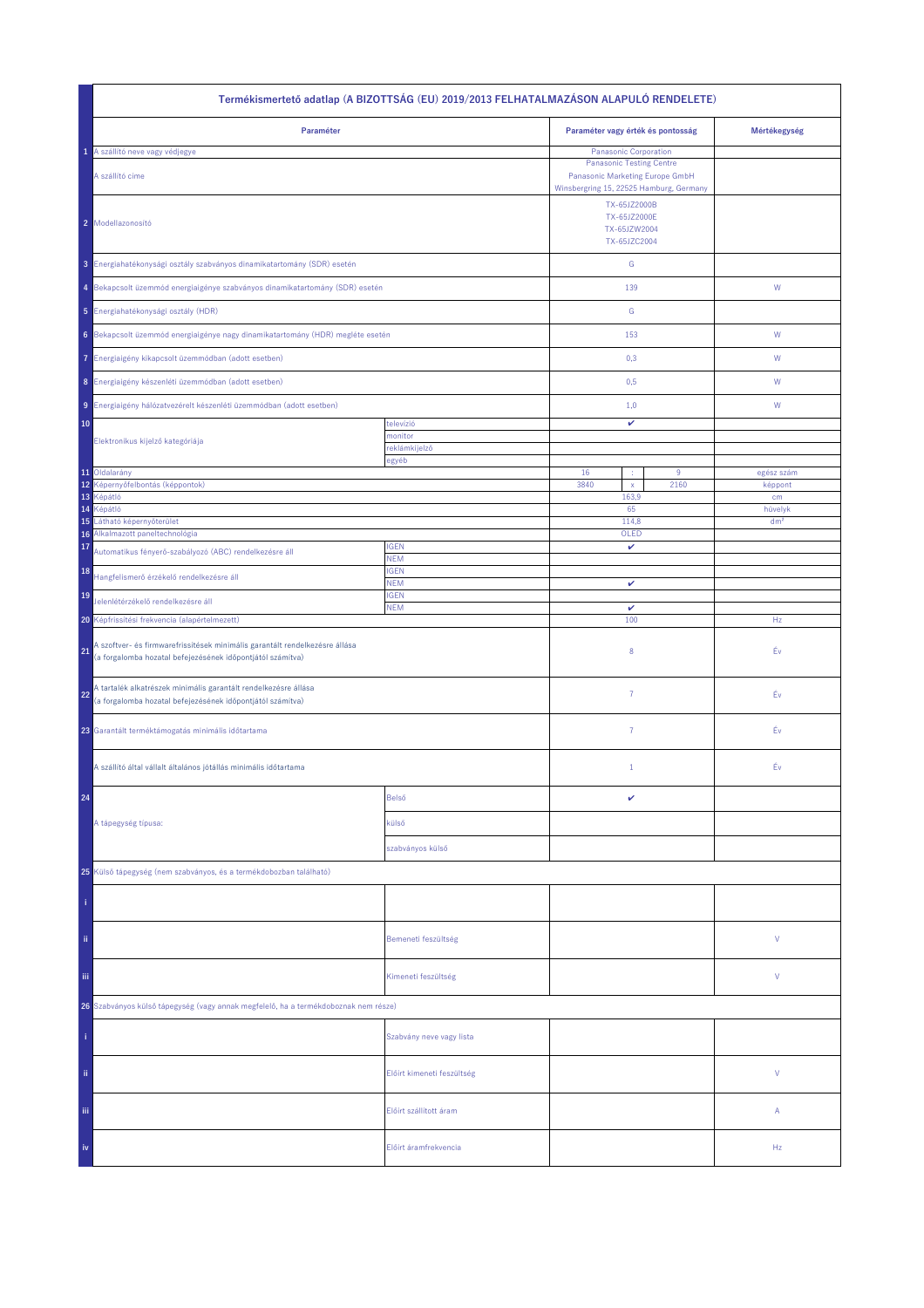| Termékismertető adatlap (A BIZOTTSÁG (EU) 2019/2013 FELHATALMAZÁSON ALAPULÓ RENDELETE)                                                          |                            |                                                                                                         |      |                            |  |  |
|-------------------------------------------------------------------------------------------------------------------------------------------------|----------------------------|---------------------------------------------------------------------------------------------------------|------|----------------------------|--|--|
| Paraméter                                                                                                                                       |                            | Paraméter vagy érték és pontosság                                                                       |      | Mértékegység               |  |  |
| 1 A szállító neve vagy védjegye                                                                                                                 |                            | <b>Panasonic Corporation</b>                                                                            |      |                            |  |  |
| A szállító címe                                                                                                                                 |                            | <b>Panasonic Testing Centre</b><br>Panasonic Marketing Europe GmbH                                      |      |                            |  |  |
| 2 Modellazonosító                                                                                                                               |                            | Winsbergring 15, 22525 Hamburg, Germany<br>TX-65JZ2000B<br>TX-65JZ2000E<br>TX-65JZW2004<br>TX-65JZC2004 |      |                            |  |  |
| 3 Energiahatékonysági osztály szabványos dinamikatartomány (SDR) esetén                                                                         |                            | ${\mathsf G}$                                                                                           |      |                            |  |  |
| 4 Bekapcsolt üzemmód energiaigénye szabványos dinamikatartomány (SDR) esetén                                                                    |                            | 139                                                                                                     |      | ${\sf W}$                  |  |  |
| 5 Energiahatékonysági osztály (HDR)                                                                                                             |                            | ${\mathbb G}$                                                                                           |      |                            |  |  |
| 6 Bekapcsolt üzemmód energiaigénye nagy dinamikatartomány (HDR) megléte esetén                                                                  |                            | 153                                                                                                     |      | ${\mathsf W}$              |  |  |
| Energiaigény kikapcsolt üzemmódban (adott esetben)<br>7.                                                                                        |                            | 0,3                                                                                                     |      | W                          |  |  |
| 8 Energiaigény készenléti üzemmódban (adott esetben)                                                                                            |                            | 0,5                                                                                                     |      | W                          |  |  |
| 9 Energiaigény hálózatvezérelt készenléti üzemmódban (adott esetben)                                                                            |                            | 1,0                                                                                                     |      | W                          |  |  |
| 10                                                                                                                                              | televízió<br>monitor       | v                                                                                                       |      |                            |  |  |
| Elektronikus kijelző kategóriája                                                                                                                | reklámkijelző              |                                                                                                         |      |                            |  |  |
| 11 Oldalarány                                                                                                                                   | egyéb                      | 16<br>÷                                                                                                 | 9    | egész szám                 |  |  |
| 12<br>Képernyőfelbontás (képpontok)                                                                                                             |                            | 3840<br>$\mathsf{x}$                                                                                    | 2160 | képpont                    |  |  |
| 13<br>Képátló                                                                                                                                   |                            | 163,9                                                                                                   |      | cm                         |  |  |
| 14<br>Képátló<br>15<br>Látható képernyőterület                                                                                                  |                            | 65                                                                                                      |      | hüvelyk<br>dm <sup>2</sup> |  |  |
| Alkalmazott paneltechnológia<br>16                                                                                                              |                            | 114,8<br>OLED                                                                                           |      |                            |  |  |
| 17<br>Automatikus fényerő-szabályozó (ABC) rendelkezésre áll                                                                                    | <b>IGEN</b><br><b>NEM</b>  | v                                                                                                       |      |                            |  |  |
| 18<br>Hangfelismerő érzékelő rendelkezésre áll                                                                                                  | <b>IGEN</b><br><b>NEM</b>  | v                                                                                                       |      |                            |  |  |
| 19<br>Jelenlétérzékelő rendelkezésre áll                                                                                                        | <b>IGEN</b><br><b>NEM</b>  | v                                                                                                       |      |                            |  |  |
| 20 Képfrissítési frekvencia (alapértelmezett)                                                                                                   |                            | 100                                                                                                     |      | Hz                         |  |  |
| A szoftver- és firmwarefrissítések minimális garantált rendelkezésre állása<br>21<br>(a forgalomba hozatal befejezésének időpontjától számítva) |                            | 8                                                                                                       |      | Év                         |  |  |
| A tartalék alkatrészek minimális garantált rendelkezésre állása<br>22<br>(a forgalomba hozatal befejezésének időpontjától számítva)             |                            | 7                                                                                                       |      | Éν                         |  |  |
| 23 Garantált terméktámogatás minimális időtartama                                                                                               |                            | $\overline{7}$                                                                                          |      | Éν                         |  |  |
| A szállító által vállalt általános jótállás minimális időtartama                                                                                |                            | $\mathbf{1}$                                                                                            |      | Év                         |  |  |
| 24                                                                                                                                              | Belső                      | v                                                                                                       |      |                            |  |  |
| A tápegység típusa:                                                                                                                             | külső                      |                                                                                                         |      |                            |  |  |
|                                                                                                                                                 | szabványos külső           |                                                                                                         |      |                            |  |  |
| 25 Külső tápegység (nem szabványos, és a termékdobozban található)                                                                              |                            |                                                                                                         |      |                            |  |  |
|                                                                                                                                                 |                            |                                                                                                         |      |                            |  |  |
| ii.                                                                                                                                             | Bemeneti feszültség        |                                                                                                         |      | V                          |  |  |
| Ϊij                                                                                                                                             | Kimeneti feszültség        |                                                                                                         |      | V                          |  |  |
| 26 Szabványos külső tápegység (vagy annak megfelelő, ha a termékdoboznak nem része)                                                             |                            |                                                                                                         |      |                            |  |  |
|                                                                                                                                                 | Szabvány neve vagy lista   |                                                                                                         |      |                            |  |  |
| ii.                                                                                                                                             | Előírt kimeneti feszültség |                                                                                                         |      | V                          |  |  |
| Ϊij                                                                                                                                             | Előírt szállított áram     |                                                                                                         |      | Α                          |  |  |
| iv                                                                                                                                              | Előírt áramfrekvencia      |                                                                                                         |      | Hz                         |  |  |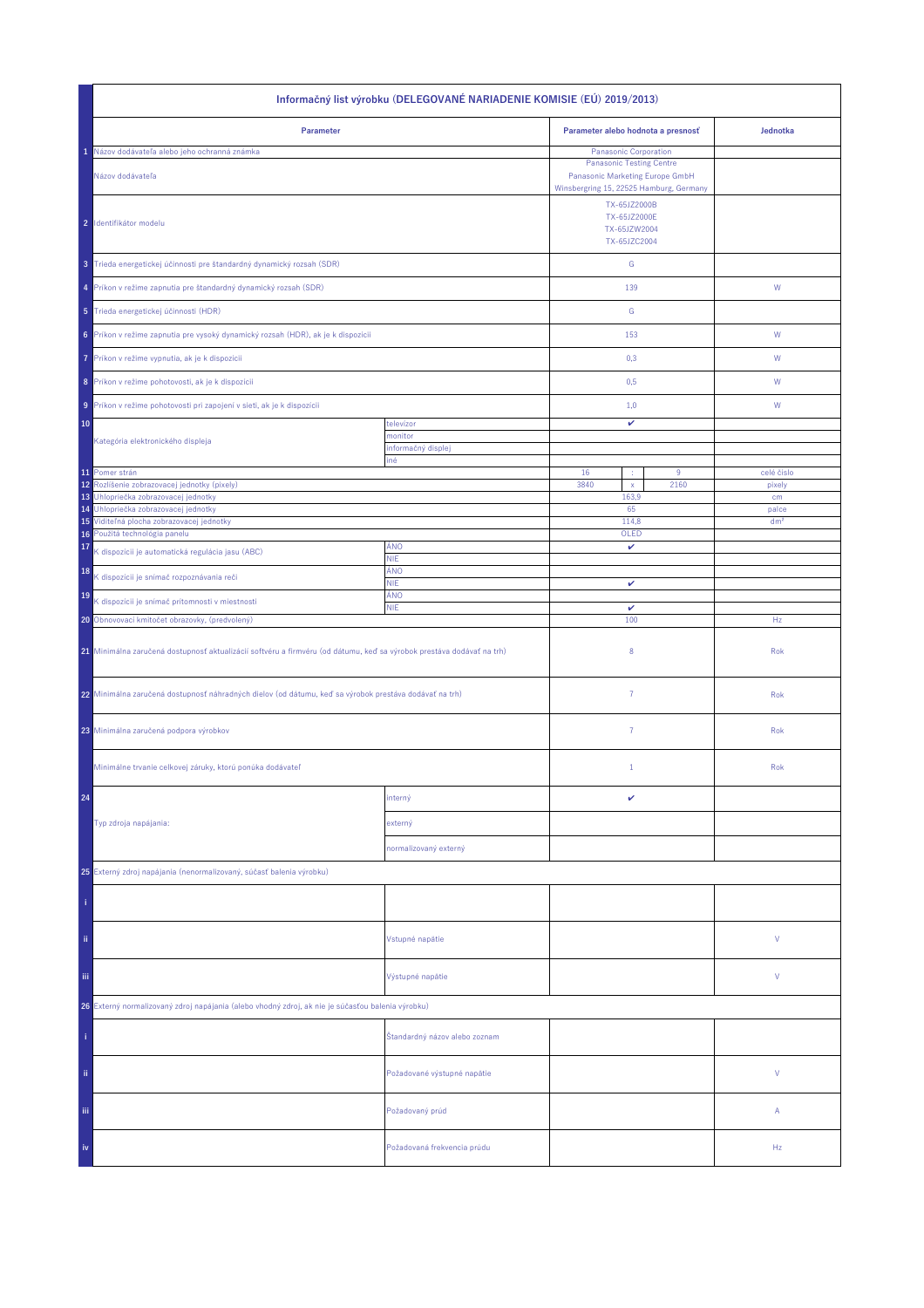| Informačný list výrobku (DELEGOVANÉ NARIADENIE KOMISIE (EÚ) 2019/2013)                                                |                               |                                                                                                               |                          |  |  |
|-----------------------------------------------------------------------------------------------------------------------|-------------------------------|---------------------------------------------------------------------------------------------------------------|--------------------------|--|--|
| Parameter                                                                                                             |                               | Parameter alebo hodnota a presnosť                                                                            | Jednotka                 |  |  |
| Názov dodávateľa alebo jeho ochranná známka                                                                           |                               | Panasonic Corporation                                                                                         |                          |  |  |
| Názov dodávateľa                                                                                                      |                               | <b>Panasonic Testing Centre</b><br>Panasonic Marketing Europe GmbH<br>Winsbergring 15, 22525 Hamburg, Germany |                          |  |  |
| 2 Identifikátor modelu                                                                                                |                               | TX-65JZ2000B<br>TX-65JZ2000E<br>TX-65JZW2004<br>TX-65JZC2004                                                  |                          |  |  |
| 3 Trieda energetickej účinnosti pre štandardný dynamický rozsah (SDR)                                                 |                               | ${\mathbb G}$                                                                                                 |                          |  |  |
| 4 Príkon v režime zapnutia pre štandardný dynamický rozsah (SDR)                                                      |                               | 139                                                                                                           | W                        |  |  |
| 5 Trieda energetickej účinnosti (HDR)                                                                                 |                               | G                                                                                                             |                          |  |  |
| 6 Príkon v režime zapnutia pre vysoký dynamický rozsah (HDR), ak je k dispozícii                                      |                               | 153                                                                                                           | W                        |  |  |
| Príkon v režime vypnutia, ak je k dispozícii<br>7                                                                     |                               | 0,3                                                                                                           | W                        |  |  |
| 8 Príkon v režime pohotovosti, ak je k dispozícii                                                                     |                               | 0,5                                                                                                           | W                        |  |  |
| 9 Príkon v režime pohotovosti pri zapojení v sieti, ak je k dispozícii                                                |                               | 1,0                                                                                                           | W                        |  |  |
| 10                                                                                                                    | televízor                     | v                                                                                                             |                          |  |  |
| Kategória elektronického displeja                                                                                     | monitor                       |                                                                                                               |                          |  |  |
|                                                                                                                       | informačný displej<br>iné     |                                                                                                               |                          |  |  |
| 11 Pomer strán                                                                                                        |                               | 16<br>9<br>×                                                                                                  | celé číslo               |  |  |
| 12<br>Rozlíšenie zobrazovacej jednotky (pixely)                                                                       |                               | 3840<br>2160<br>$\mathsf X$                                                                                   | pixely                   |  |  |
| Uhlopriečka zobrazovacej jednotky<br>13                                                                               |                               | 163,9                                                                                                         | cm                       |  |  |
| Uhlopriečka zobrazovacej jednotky<br>14<br>15 Viditeľná plocha zobrazovacej jednotky                                  |                               | 65<br>114,8                                                                                                   | palce<br>dm <sup>2</sup> |  |  |
| 16 Použitá technológia panelu                                                                                         |                               | OLED                                                                                                          |                          |  |  |
| 17<br>K dispozícii je automatická regulácia jasu (ABC)                                                                | ÁNO<br><b>NIE</b>             | v                                                                                                             |                          |  |  |
| 18<br>K dispozícii je snímač rozpoznávania reči                                                                       | ÁNO<br><b>NIE</b>             | v                                                                                                             |                          |  |  |
| 19<br>K dispozícii je snímač prítomnosti v miestnosti                                                                 | ÁNO<br><b>NIE</b>             | $\checkmark$                                                                                                  |                          |  |  |
| 20 Obnovovací kmitočet obrazovky, (predvolený)                                                                        |                               | 100                                                                                                           | Hz                       |  |  |
| 21 Minimálna zaručená dostupnosť aktualizácií softvéru a firmvéru (od dátumu, keď sa výrobok prestáva dodávať na trh) |                               | 8                                                                                                             | Rok                      |  |  |
| 22 Minimálna zaručená dostupnosť náhradných dielov (od dátumu, keď sa výrobok prestáva dodávať na trh)                |                               | $\overline{7}$                                                                                                | Rok                      |  |  |
| 23 Minimálna zaručená podpora výrobkov                                                                                |                               | 7                                                                                                             | Rok                      |  |  |
| Minimálne trvanie celkovej záruky, ktorú ponúka dodávateľ                                                             |                               | $\mathbf{1}$                                                                                                  | Rok                      |  |  |
| 24                                                                                                                    | interný                       | v                                                                                                             |                          |  |  |
| Typ zdroja napájania:                                                                                                 | externý                       |                                                                                                               |                          |  |  |
|                                                                                                                       | normalizovaný externý         |                                                                                                               |                          |  |  |
| 25 Externý zdroj napájania (nenormalizovaný, súčasť balenia výrobku)                                                  |                               |                                                                                                               |                          |  |  |
|                                                                                                                       |                               |                                                                                                               |                          |  |  |
| ii.                                                                                                                   | Vstupné napätie               |                                                                                                               | V                        |  |  |
| Ϊij                                                                                                                   | Výstupné napätie              |                                                                                                               | V                        |  |  |
| 26 Externý normalizovaný zdroj napájania (alebo vhodný zdroj, ak nie je súčasťou balenia výrobku)                     |                               |                                                                                                               |                          |  |  |
|                                                                                                                       | Štandardný názov alebo zoznam |                                                                                                               |                          |  |  |
| ii.                                                                                                                   | Požadované výstupné napätie   |                                                                                                               | V                        |  |  |
| Ϊij                                                                                                                   | Požadovaný prúd               |                                                                                                               | Α                        |  |  |
| iv                                                                                                                    | Požadovaná frekvencia prúdu   |                                                                                                               | Hz                       |  |  |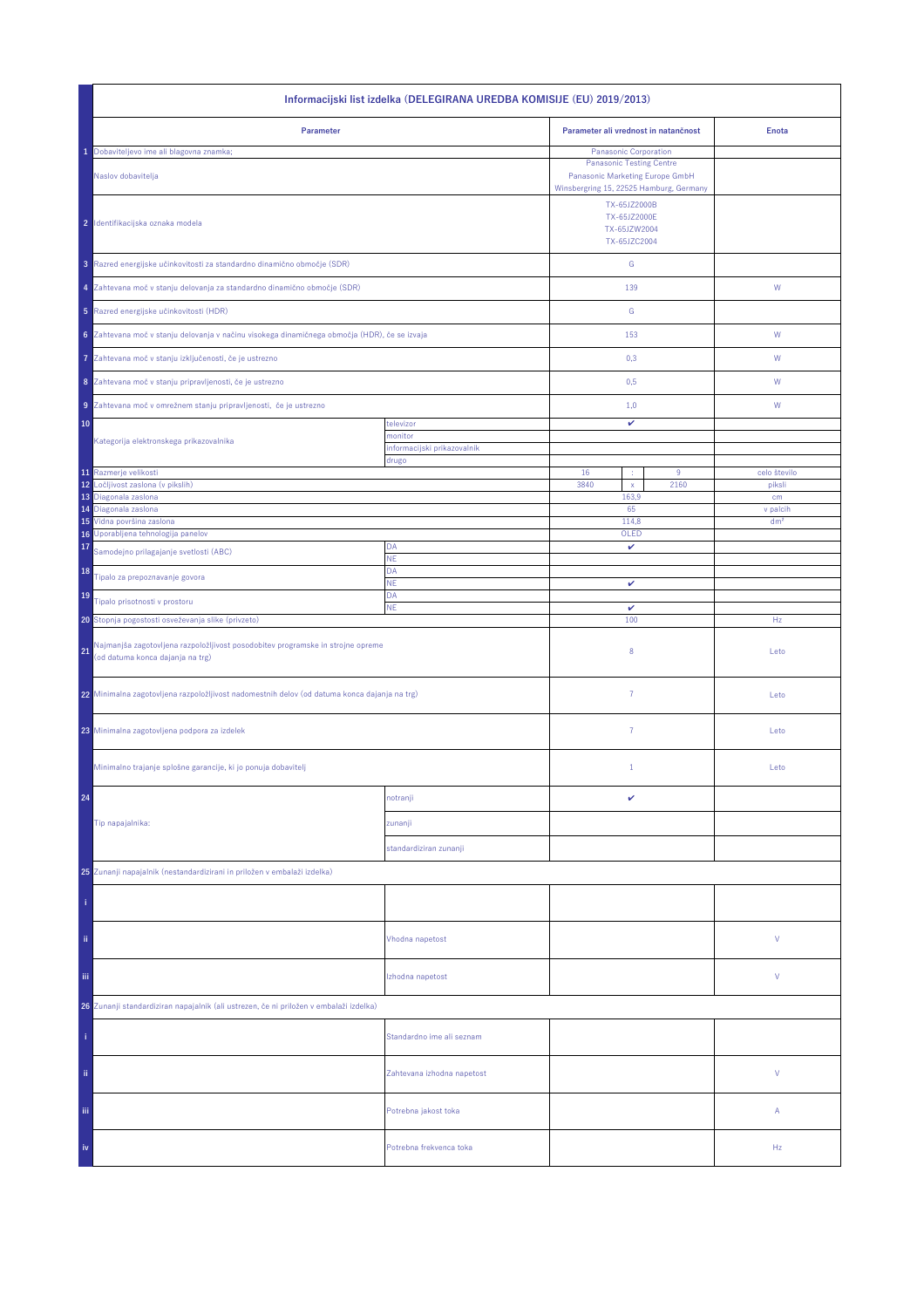| Informacijski list izdelka (DELEGIRANA UREDBA KOMISIJE (EU) 2019/2013)                                                    |                                        |                                                                                                               |                 |  |  |
|---------------------------------------------------------------------------------------------------------------------------|----------------------------------------|---------------------------------------------------------------------------------------------------------------|-----------------|--|--|
| Parameter                                                                                                                 |                                        | Parameter ali vrednost in natančnost                                                                          | <b>Enota</b>    |  |  |
| Dobaviteljevo ime ali blagovna znamka;                                                                                    |                                        | Panasonic Corporation                                                                                         |                 |  |  |
| Naslov dobavitelja                                                                                                        |                                        | <b>Panasonic Testing Centre</b><br>Panasonic Marketing Europe GmbH<br>Winsbergring 15, 22525 Hamburg, Germany |                 |  |  |
| 2 Identifikacijska oznaka modela                                                                                          |                                        | TX-65JZ2000B<br>TX-65JZ2000E<br>TX-65JZW2004<br>TX-65JZC2004                                                  |                 |  |  |
| 3 Razred energijske učinkovitosti za standardno dinamično območje (SDR)                                                   |                                        | ${\mathbb G}$                                                                                                 |                 |  |  |
| 4 Zahtevana moč v stanju delovanja za standardno dinamično območje (SDR)                                                  |                                        | 139                                                                                                           | W               |  |  |
| 5 Razred energijske učinkovitosti (HDR)                                                                                   |                                        | ${\mathbb G}$                                                                                                 |                 |  |  |
| 6 Zahtevana moč v stanju delovanja v načinu visokega dinamičnega območja (HDR), če se izvaja                              |                                        | 153                                                                                                           | ${\mathsf W}$   |  |  |
| Zahtevana moč v stanju izključenosti, če je ustrezno<br>7                                                                 |                                        | 0,3                                                                                                           | W               |  |  |
| 8 Zahtevana moč v stanju pripravljenosti, če je ustrezno                                                                  |                                        | 0,5                                                                                                           | W               |  |  |
| 9 Zahtevana moč v omrežnem stanju pripravljenosti, če je ustrezno                                                         |                                        | 1,0                                                                                                           | W               |  |  |
| 10                                                                                                                        | televizor                              | v                                                                                                             |                 |  |  |
| Kategorija elektronskega prikazovalnika                                                                                   | monitor<br>informacijski prikazovalnik |                                                                                                               |                 |  |  |
|                                                                                                                           | drugo                                  |                                                                                                               |                 |  |  |
| 11 Razmerje velikosti<br>12<br>Ločljivost zaslona (v pikslih)                                                             |                                        | 16<br>9<br>3840<br>2160                                                                                       | celo število    |  |  |
| 13 Diagonala zaslona                                                                                                      |                                        | $\mathsf X$<br>163,9                                                                                          | piksli<br>cm    |  |  |
| 14 Diagonala zaslona                                                                                                      |                                        | 65                                                                                                            | v palcih        |  |  |
| 15 Vidna površina zaslona<br>16 Uporabljena tehnologija panelov                                                           |                                        | 114,8<br>OLED                                                                                                 | dm <sup>2</sup> |  |  |
| 17<br>Samodejno prilagajanje svetlosti (ABC)                                                                              | DA                                     | v                                                                                                             |                 |  |  |
| 18                                                                                                                        | NE<br>DA                               |                                                                                                               |                 |  |  |
| Tipalo za prepoznavanje govora                                                                                            | <b>NE</b>                              | v                                                                                                             |                 |  |  |
| 19<br>Tipalo prisotnosti v prostoru                                                                                       | DA<br><b>NE</b>                        | $\checkmark$                                                                                                  |                 |  |  |
| 20 Stopnja pogostosti osveževanja slike (privzeto)                                                                        |                                        | 100                                                                                                           | Hz              |  |  |
| Najmanjša zagotovljena razpoložljivost posodobitev programske in strojne opreme<br>21<br>(od datuma konca dajanja na trg) |                                        | 8                                                                                                             | Leto            |  |  |
| 22 Minimalna zagotovljena razpoložljivost nadomestnih delov (od datuma konca dajanja na trg)                              |                                        | $\overline{7}$                                                                                                | Leto            |  |  |
| 23 Minimalna zagotovljena podpora za izdelek                                                                              |                                        | $\overline{7}$                                                                                                | Leto            |  |  |
| Minimalno trajanje splošne garancije, ki jo ponuja dobavitelj                                                             |                                        | $\mathbf{1}$                                                                                                  | Leto            |  |  |
| 24                                                                                                                        | notranji                               | v                                                                                                             |                 |  |  |
| Tip napajalnika:                                                                                                          | zunanji                                |                                                                                                               |                 |  |  |
|                                                                                                                           | standardiziran zunanji                 |                                                                                                               |                 |  |  |
|                                                                                                                           |                                        |                                                                                                               |                 |  |  |
| 25 Zunanji napajalnik (nestandardizirani in priložen v embalaži izdelka)                                                  |                                        |                                                                                                               |                 |  |  |
|                                                                                                                           |                                        |                                                                                                               |                 |  |  |
| ii.                                                                                                                       | Vhodna napetost                        |                                                                                                               | ٧               |  |  |
| Ϊij                                                                                                                       | Izhodna napetost                       |                                                                                                               | ٧               |  |  |
| 26 Zunanji standardiziran napajalnik (ali ustrezen, če ni priložen v embalaži izdelka)                                    |                                        |                                                                                                               |                 |  |  |
|                                                                                                                           | Standardno ime ali seznam              |                                                                                                               |                 |  |  |
| ii.                                                                                                                       | Zahtevana izhodna napetost             |                                                                                                               | V               |  |  |
| iii.                                                                                                                      | Potrebna jakost toka                   |                                                                                                               | Α               |  |  |
| iv                                                                                                                        | Potrebna frekvenca toka                |                                                                                                               | Hz              |  |  |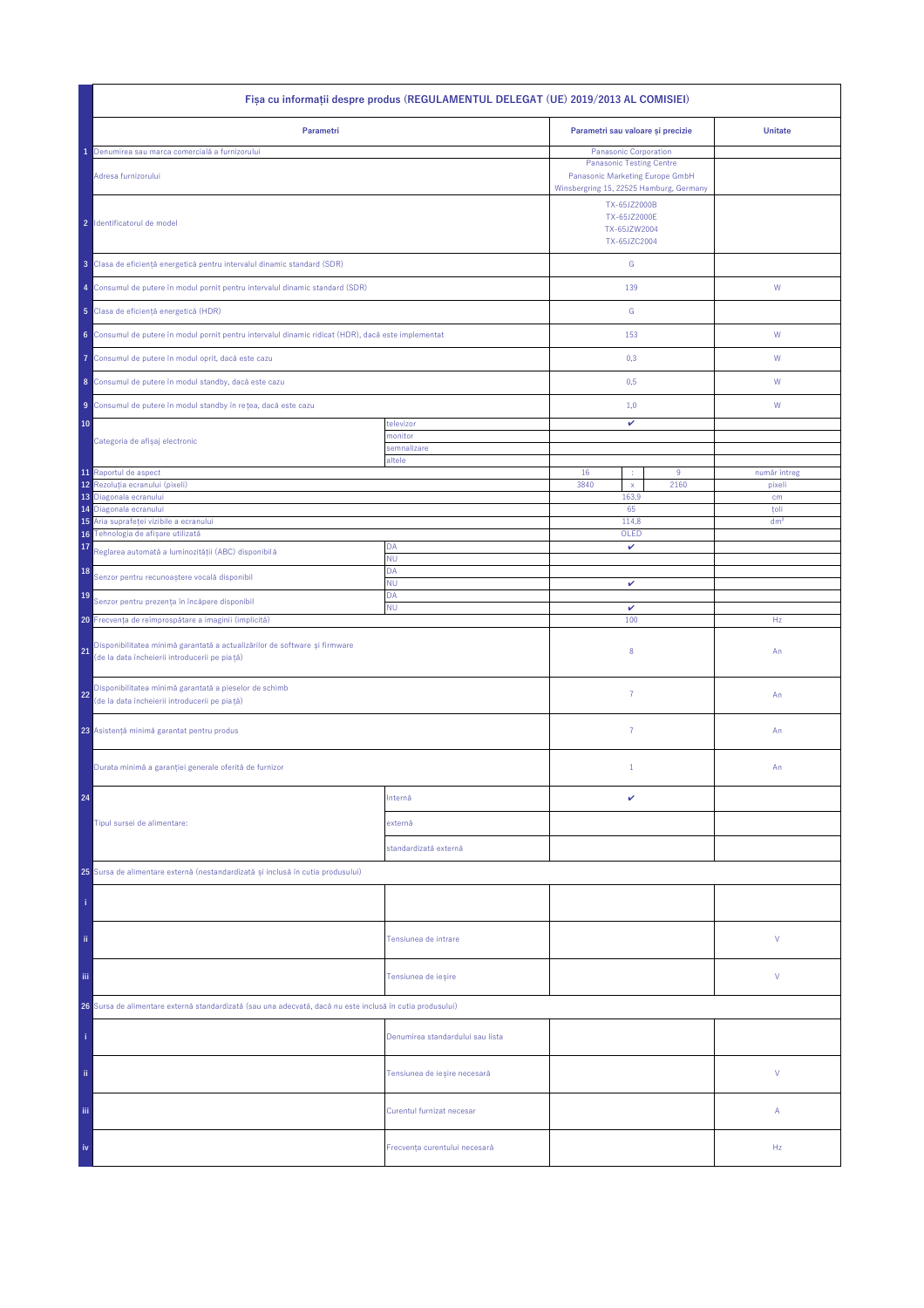| Fisa cu informații despre produs (REGULAMENTUL DELEGAT (UE) 2019/2013 AL COMISIEI)                                                |                                  |                                                                                                                                        |      |                         |  |
|-----------------------------------------------------------------------------------------------------------------------------------|----------------------------------|----------------------------------------------------------------------------------------------------------------------------------------|------|-------------------------|--|
| Parametri                                                                                                                         |                                  | Parametri sau valoare și precizie                                                                                                      |      | <b>Unitate</b>          |  |
| Denumirea sau marca comercială a furnizorului<br>Adresa furnizorului                                                              |                                  | Panasonic Corporation<br><b>Panasonic Testing Centre</b><br>Panasonic Marketing Europe GmbH<br>Winsbergring 15, 22525 Hamburg, Germany |      |                         |  |
| 2 Identificatorul de model                                                                                                        |                                  | TX-65JZ2000B<br>TX-65JZ2000E<br>TX-65JZW2004<br>TX-65JZC2004                                                                           |      |                         |  |
| 3 Clasa de eficiență energetică pentru intervalul dinamic standard (SDR)                                                          |                                  | ${\mathsf G}$                                                                                                                          |      |                         |  |
| 4 Consumul de putere în modul pornit pentru intervalul dinamic standard (SDR)                                                     |                                  | 139                                                                                                                                    |      | W                       |  |
| 5 Clasa de eficiență energetică (HDR)                                                                                             |                                  | G                                                                                                                                      |      |                         |  |
| 6 Consumul de putere în modul pornit pentru intervalul dinamic ridicat (HDR), dacă este implementat                               |                                  | 153                                                                                                                                    |      | W                       |  |
| Consumul de putere în modul oprit, dacă este cazu<br>7                                                                            |                                  | 0,3                                                                                                                                    |      | W                       |  |
| 8 Consumul de putere în modul standby, dacă este cazu                                                                             |                                  | 0,5                                                                                                                                    |      | W                       |  |
| 9 Consumul de putere în modul standby în rețea, dacă este cazu                                                                    |                                  | 1,0                                                                                                                                    |      | W                       |  |
| 10                                                                                                                                | televizor                        | v                                                                                                                                      |      |                         |  |
| Categoria de afișaj electronic                                                                                                    | monitor<br>semnalizare           |                                                                                                                                        |      |                         |  |
| 11 Raportul de aspect                                                                                                             | altele                           | 16<br>÷                                                                                                                                | 9    | număr întreg            |  |
| 12 <sup>°</sup><br>Rezoluția ecranului (pixeli)                                                                                   |                                  | 3840<br>$\mathsf{x}$                                                                                                                   | 2160 | pixeli                  |  |
| 13<br>Diagonala ecranului                                                                                                         |                                  | 163,9                                                                                                                                  |      | cm                      |  |
| Diagonala ecranului<br>14<br>Aria suprafeței vizibile a ecranului<br>15                                                           |                                  | 65<br>114,8                                                                                                                            |      | toli<br>dm <sup>2</sup> |  |
| Tehnologia de afișare utilizată<br>16                                                                                             |                                  | OLED                                                                                                                                   |      |                         |  |
| 17<br>Reglarea automată a luminozității (ABC) disponibilă                                                                         | DA                               | v                                                                                                                                      |      |                         |  |
| 18<br>Senzor pentru recunoaștere vocală disponibil                                                                                | <b>NU</b><br>DA                  |                                                                                                                                        |      |                         |  |
| 19                                                                                                                                | ΝU<br>DA                         | v                                                                                                                                      |      |                         |  |
| Senzor pentru prezența în încăpere disponibil                                                                                     | <b>NU</b>                        | $\checkmark$<br>100                                                                                                                    |      |                         |  |
| 20 Frecvența de reîmprospătare a imaginii (implicită)                                                                             |                                  |                                                                                                                                        |      | Hz                      |  |
| Disponibilitatea minimă garantată a actualizărilor de software și firmware<br>21<br>(de la data încheierii introducerii pe piață) |                                  | 8                                                                                                                                      |      | An                      |  |
| Disponibilitatea minimă garantată a pieselor de schimb<br>22<br>(de la data încheierii introducerii pe piață)                     |                                  | $\overline{7}$                                                                                                                         |      | An                      |  |
| 23 Asistență minimă garantat pentru produs                                                                                        |                                  | $\overline{7}$                                                                                                                         |      | An                      |  |
| Durata minimă a garanției generale oferită de furnizor                                                                            |                                  | $1\,$                                                                                                                                  |      | An                      |  |
| 24                                                                                                                                | Internă                          | v                                                                                                                                      |      |                         |  |
| Tipul sursei de alimentare:                                                                                                       | externă                          |                                                                                                                                        |      |                         |  |
|                                                                                                                                   | standardizată externă            |                                                                                                                                        |      |                         |  |
| 25 Sursa de alimentare externă (nestandardizată și inclusă în cutia produsului)                                                   |                                  |                                                                                                                                        |      |                         |  |
|                                                                                                                                   |                                  |                                                                                                                                        |      |                         |  |
| ii.                                                                                                                               | Tensiunea de intrare             |                                                                                                                                        |      | ٧                       |  |
| Ϊij                                                                                                                               | Tensiunea de ieșire              |                                                                                                                                        |      | ٧                       |  |
| 26 Sursa de alimentare externă standardizată (sau una adecvată, dacă nu este inclusă în cutia produsului)                         |                                  |                                                                                                                                        |      |                         |  |
|                                                                                                                                   | Denumirea standardului sau lista |                                                                                                                                        |      |                         |  |
| ii.                                                                                                                               | Tensiunea de ieșire necesară     |                                                                                                                                        |      | V                       |  |
| Ϊij                                                                                                                               | Curentul furnizat necesar        |                                                                                                                                        |      | Α                       |  |
| iv                                                                                                                                | Frecvența curentului necesară    |                                                                                                                                        |      | Hz                      |  |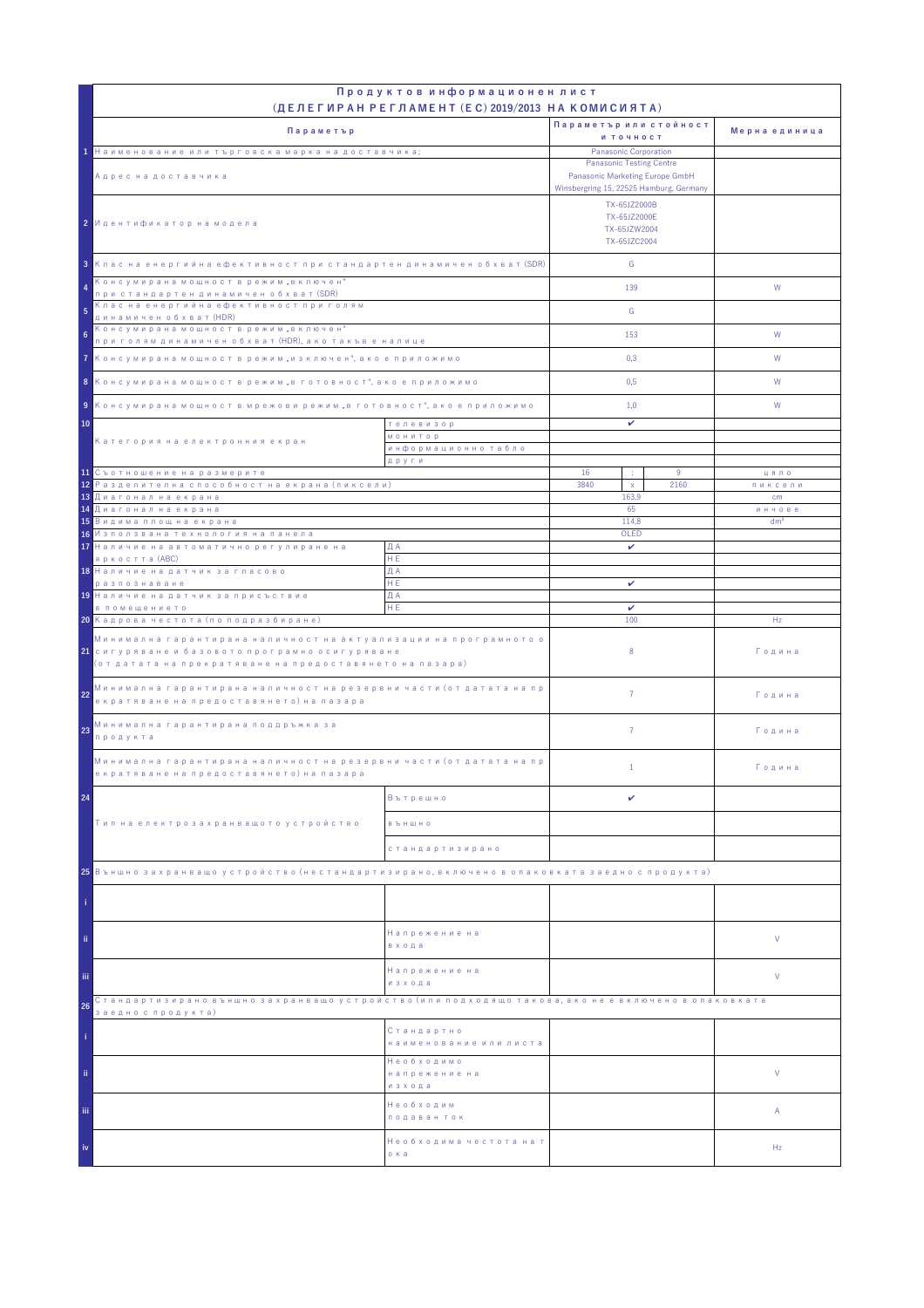|                                                                                                                                                                                            | Продуктов информационен лист                      |                                                                                                                               |                                              |                 |
|--------------------------------------------------------------------------------------------------------------------------------------------------------------------------------------------|---------------------------------------------------|-------------------------------------------------------------------------------------------------------------------------------|----------------------------------------------|-----------------|
|                                                                                                                                                                                            | (ДЕЛЕГИРАН РЕГЛАМЕНТ (EC) 2019/2013 НА КОМИСИЯТА) | Параметър или стойност                                                                                                        |                                              |                 |
| Параметър                                                                                                                                                                                  |                                                   | и точност                                                                                                                     |                                              | Мерна единица   |
| 1 Наименование или търговска марка на доставчика;                                                                                                                                          |                                                   | Panasonic Corporation                                                                                                         |                                              |                 |
| Адрес на доставчика                                                                                                                                                                        |                                                   | <b>Panasonic Testing Centre</b><br>Panasonic Marketing Europe GmbH<br>Winsbergring 15, 22525 Hamburg, Germany<br>TX-65JZ2000B |                                              |                 |
| 2 Идентификатор на модела                                                                                                                                                                  |                                                   |                                                                                                                               | TX-65JZ2000E<br>TX-65JZW2004<br>TX-65JZC2004 |                 |
| 3 Клас на енергийна ефективност при стандартен динамичен обхват (SDR)                                                                                                                      |                                                   | G                                                                                                                             |                                              |                 |
| Консумирана мощност в режим "включен"<br>4<br>при стандартен динамичен обхват (SDR)                                                                                                        |                                                   | 139                                                                                                                           |                                              | W               |
| Клас на енергийна ефективност при голям<br>5<br>динамичен обхват (HDR)                                                                                                                     |                                                   | G                                                                                                                             |                                              |                 |
| Консумирана мощност в режим "включен"<br>6<br>при голям динамичен обхват (HDR), ако такъв е налице                                                                                         |                                                   | 153                                                                                                                           |                                              | W               |
| 7 Консумирана мощност в режим "изключен", ако е приложимо                                                                                                                                  |                                                   | 0,3                                                                                                                           |                                              | W               |
| 8 Консумирана мощност в режим "в готовност", ако е приложимо                                                                                                                               |                                                   | 0,5                                                                                                                           |                                              | W               |
| 9 Консумирана мощност в мрежови режим "в готовност", ако е приложимо                                                                                                                       |                                                   | 1,0                                                                                                                           |                                              | W               |
| 10<br>телевизор                                                                                                                                                                            |                                                   | v                                                                                                                             |                                              |                 |
| Категория на електронния екран                                                                                                                                                             | <b>МОНИТОР</b><br>информационно табло             |                                                                                                                               |                                              |                 |
|                                                                                                                                                                                            | други                                             |                                                                                                                               |                                              |                 |
| 11 Съотношение на размерите<br><mark>12</mark> Разделителна способност на екрана (пиксели)                                                                                                 |                                                   | 16<br>÷<br>3840<br>$\mathsf X$                                                                                                | 9<br>2160                                    | цяло<br>пиксели |
| 13 Диагонал на екрана                                                                                                                                                                      |                                                   | 163.9                                                                                                                         |                                              | cm<br>инчове    |
| <mark>14 Диагонал на екрана</mark>                                                                                                                                                         |                                                   | 65<br>114,8                                                                                                                   |                                              |                 |
| <mark>15</mark> Видима площ на екрана<br>16 Използвана технология на панела                                                                                                                |                                                   | OLED                                                                                                                          |                                              | dm <sup>2</sup> |
| 17 Наличие на автоматично регулиране на                                                                                                                                                    | ДА                                                | $\checkmark$                                                                                                                  |                                              |                 |
| яркостта (ABC)<br>18 Наличие на датчик за гласово                                                                                                                                          | HE.<br>ДА                                         |                                                                                                                               |                                              |                 |
| разпознаване                                                                                                                                                                               | HE.                                               | v                                                                                                                             |                                              |                 |
| 19 Наличие на датчик за присъствие                                                                                                                                                         | ДА                                                |                                                                                                                               |                                              |                 |
| в помещението<br>20 Кадрова честота (по подразбиране)                                                                                                                                      | HE                                                | v<br>100                                                                                                                      |                                              | Hz              |
| Минимална гарантирана наличност на актуализации на програмното о<br><mark>21</mark> сигуряване и базовото програмно осигуряване<br>(от датата на прекратяване на предоставянето на пазара) |                                                   | 8                                                                                                                             |                                              | Година          |
| Минимална гарантирана наличност на резервни части (от датата на пр<br>22<br>екратяване на предоставянето) на пазара                                                                        |                                                   | $\overline{7}$                                                                                                                |                                              | Година          |
| Минимална гарантирана поддръжка за<br>23<br>продукта                                                                                                                                       |                                                   | $\overline{7}$                                                                                                                |                                              | Година          |
| Минимална гарантирана наличност на резервни части (от датата на пр<br>екратяване на предоставянето) на пазара                                                                              |                                                   | $\mathbf{1}$                                                                                                                  |                                              | Година          |
| 24                                                                                                                                                                                         | Вътрешно                                          | v                                                                                                                             |                                              |                 |
| Тип на електрозахранващото устройство                                                                                                                                                      | <b>B Ъ Н Ш Н О</b>                                |                                                                                                                               |                                              |                 |
|                                                                                                                                                                                            | стандартизирано                                   |                                                                                                                               |                                              |                 |
| 25 Външно захранващо устройство (нестандартизирано, включено в опаковката заедно с продукта)                                                                                               |                                                   |                                                                                                                               |                                              |                 |
|                                                                                                                                                                                            |                                                   |                                                                                                                               |                                              |                 |
| ii.                                                                                                                                                                                        | Напрежение на<br>входа                            |                                                                                                                               |                                              | V               |
| iii.                                                                                                                                                                                       | Напрежение на<br>изхода                           |                                                                                                                               |                                              | V               |
| Стандартизирано външно захранващо устройство (или подходящо такова, ако не е включено в опаковката<br>26                                                                                   |                                                   |                                                                                                                               |                                              |                 |
| заедно с продукта)                                                                                                                                                                         | Стандартно<br>наименование или листа              |                                                                                                                               |                                              |                 |
| ii.                                                                                                                                                                                        | Необходимо<br>напрежение на<br>изхода             |                                                                                                                               |                                              | V               |
| iii.                                                                                                                                                                                       | Необходим<br>подаван ток                          |                                                                                                                               |                                              | Α               |
| iv                                                                                                                                                                                         | Необходима честота на т<br>о ка                   |                                                                                                                               |                                              | Hz              |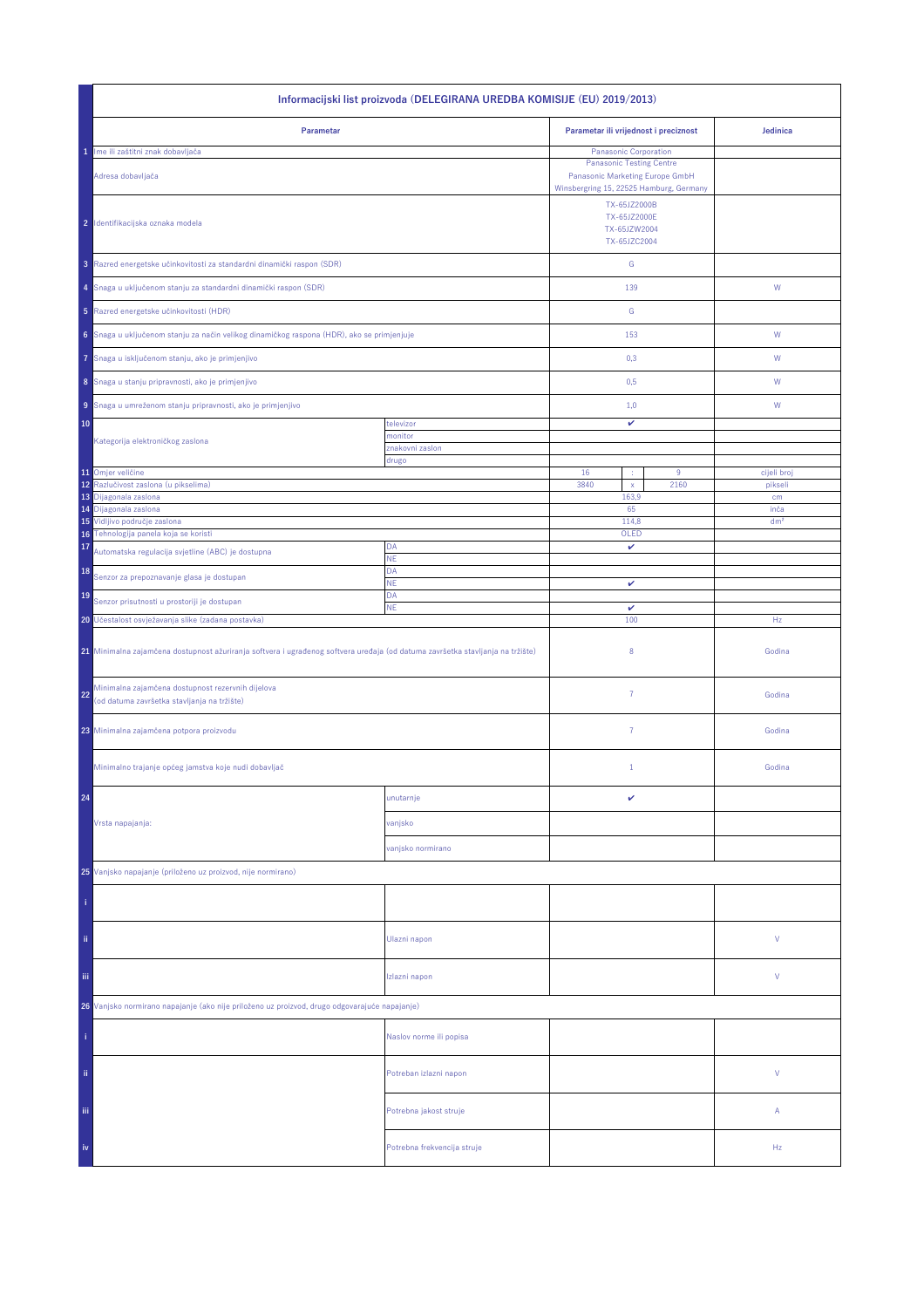| Informacijski list proizvoda (DELEGIRANA UREDBA KOMISIJE (EU) 2019/2013)                                                       |                             |                                              |                                                                                                                               |                 |  |
|--------------------------------------------------------------------------------------------------------------------------------|-----------------------------|----------------------------------------------|-------------------------------------------------------------------------------------------------------------------------------|-----------------|--|
| Parametar                                                                                                                      |                             | Parametar ili vrijednost i preciznost        |                                                                                                                               | Jedinica        |  |
| Ime ili zaštitni znak dobavljača<br>1                                                                                          |                             | Panasonic Corporation                        |                                                                                                                               |                 |  |
| Adresa dobavljača                                                                                                              |                             |                                              | <b>Panasonic Testing Centre</b><br>Panasonic Marketing Europe GmbH<br>Winsbergring 15, 22525 Hamburg, Germany<br>TX-65JZ2000B |                 |  |
| 2 Identifikacijska oznaka modela                                                                                               |                             | TX-65JZ2000E<br>TX-65JZW2004<br>TX-65JZC2004 |                                                                                                                               |                 |  |
| 3 Razred energetske učinkovitosti za standardni dinamički raspon (SDR)                                                         |                             | ${\mathbb G}$                                |                                                                                                                               |                 |  |
| 4 Snaga u uključenom stanju za standardni dinamički raspon (SDR)                                                               |                             | 139                                          |                                                                                                                               | W               |  |
| 5 Razred energetske učinkovitosti (HDR)                                                                                        |                             | ${\mathbb G}$                                |                                                                                                                               |                 |  |
| 6 Snaga u uključenom stanju za način velikog dinamičkog raspona (HDR), ako se primjenjuje                                      |                             | 153                                          |                                                                                                                               | ${\mathsf W}$   |  |
| Snaga u isključenom stanju, ako je primjenjivo<br>7                                                                            |                             | 0,3                                          |                                                                                                                               | W               |  |
| 8 Snaga u stanju pripravnosti, ako je primjenjivo                                                                              |                             | 0,5                                          |                                                                                                                               | W               |  |
| 9 Snaga u umreženom stanju pripravnosti, ako je primjenjivo                                                                    |                             | 1,0                                          |                                                                                                                               | W               |  |
| 10                                                                                                                             | televizor<br>monitor        | v                                            |                                                                                                                               |                 |  |
| Kategorija elektroničkog zaslona                                                                                               | znakovni zaslon             |                                              |                                                                                                                               |                 |  |
| 11 Omjer veličine                                                                                                              | drugo                       | 16                                           | 9                                                                                                                             | cijeli broj     |  |
| Razlučivost zaslona (u pikselima)<br>12                                                                                        |                             | 3840<br>$\mathsf X$                          | 2160                                                                                                                          | pikseli         |  |
| 13<br>Dijagonala zaslona                                                                                                       |                             | 163,9                                        |                                                                                                                               | cm              |  |
| 14 Dijagonala zaslona                                                                                                          |                             | 65                                           |                                                                                                                               | inča            |  |
| 15 Vidljivo područje zaslona<br>16 Tehnologija panela koja se koristi                                                          |                             | 114,8<br>OLED                                |                                                                                                                               | dm <sup>2</sup> |  |
| 17<br>Automatska regulacija svjetline (ABC) je dostupna                                                                        | DA<br>NE                    | v                                            |                                                                                                                               |                 |  |
| 18<br>Senzor za prepoznavanje glasa je dostupan                                                                                | DA<br><b>NE</b>             | v                                            |                                                                                                                               |                 |  |
| 19<br>Senzor prisutnosti u prostoriji je dostupan                                                                              | DA<br>ΝE                    | $\checkmark$                                 |                                                                                                                               |                 |  |
| 20 Učestalost osvježavanja slike (zadana postavka)                                                                             |                             | 100                                          |                                                                                                                               | Hz              |  |
| 21 Minimalna zajamčena dostupnost ažuriranja softvera i ugrađenog softvera uređaja (od datuma završetka stavljanja na tržište) |                             | 8                                            |                                                                                                                               | Godina          |  |
| Minimalna zajamčena dostupnost rezervnih dijelova<br>22<br>(od datuma završetka stavljanja na tržište)                         |                             | $\overline{7}$                               |                                                                                                                               | Godina          |  |
| 23 Minimalna zajamčena potpora proizvodu                                                                                       |                             | 7                                            |                                                                                                                               | Godina          |  |
| Minimalno trajanje općeg jamstva koje nudi dobavljač                                                                           |                             | $\mathbf{1}$                                 |                                                                                                                               | Godina          |  |
| 24                                                                                                                             | unutarnje                   | v                                            |                                                                                                                               |                 |  |
| Vrsta napajanja:                                                                                                               | vanjsko                     |                                              |                                                                                                                               |                 |  |
|                                                                                                                                | vanjsko normirano           |                                              |                                                                                                                               |                 |  |
| 25 Vanjsko napajanje (priloženo uz proizvod, nije normirano)                                                                   |                             |                                              |                                                                                                                               |                 |  |
|                                                                                                                                |                             |                                              |                                                                                                                               |                 |  |
| ii.                                                                                                                            | Ulazni napon                |                                              |                                                                                                                               | V               |  |
| Ϊij                                                                                                                            | Izlazni napon               |                                              |                                                                                                                               | V               |  |
| 26 Vanjsko normirano napajanje (ako nije priloženo uz proizvod, drugo odgovarajuće napajanje)                                  |                             |                                              |                                                                                                                               |                 |  |
|                                                                                                                                | Naslov norme ili popisa     |                                              |                                                                                                                               |                 |  |
| ii.                                                                                                                            | Potreban izlazni napon      |                                              |                                                                                                                               | V               |  |
| iii,                                                                                                                           | Potrebna jakost struje      |                                              |                                                                                                                               | А               |  |
| iv                                                                                                                             | Potrebna frekvencija struje |                                              |                                                                                                                               | Hz              |  |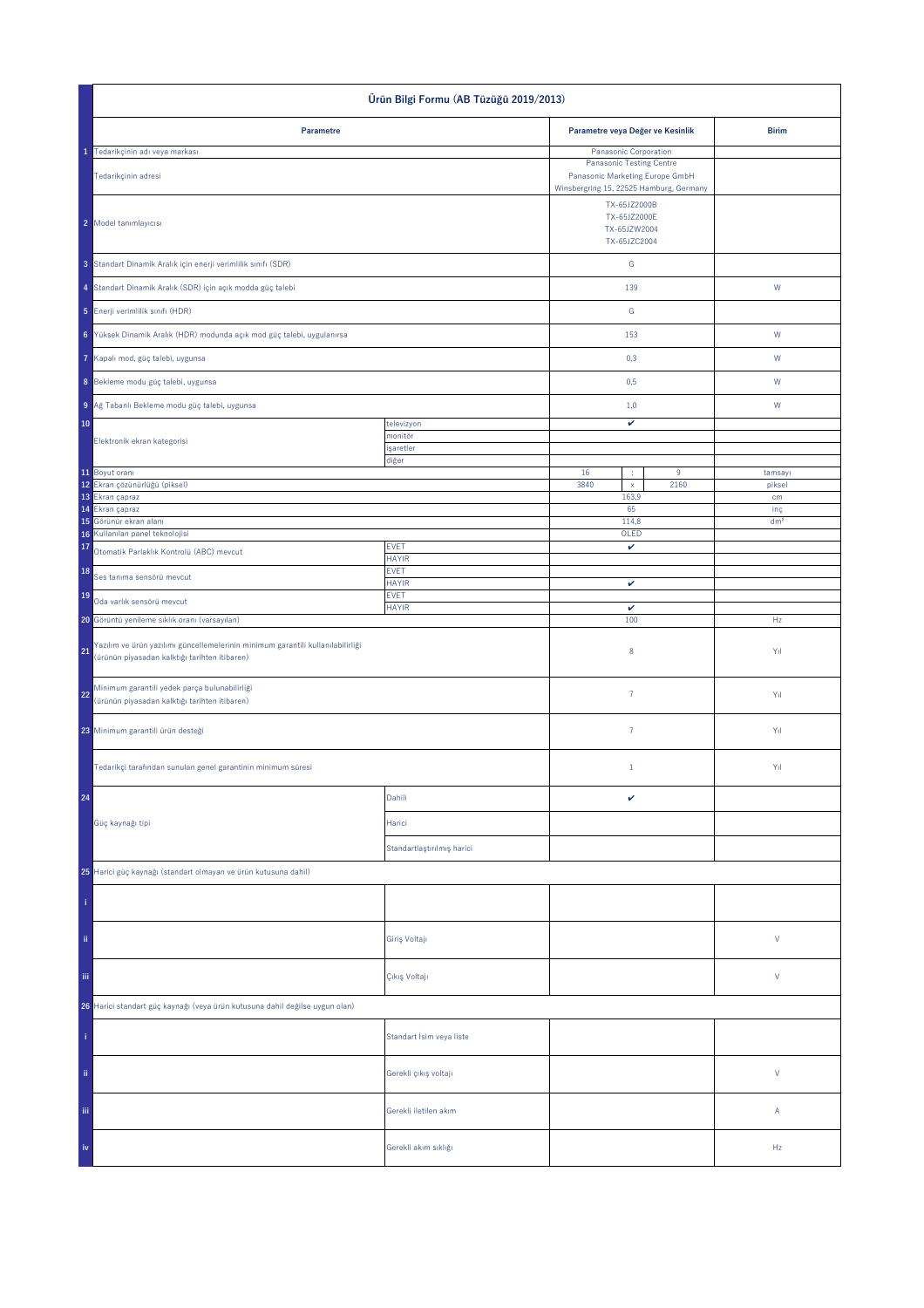| Ürün Bilgi Formu (AB Tüzüğü 2019/2013)                                                                                                 |                             |                                                                                                               |                       |                 |
|----------------------------------------------------------------------------------------------------------------------------------------|-----------------------------|---------------------------------------------------------------------------------------------------------------|-----------------------|-----------------|
| Parametre                                                                                                                              |                             | Parametre veya Değer ve Kesinlik                                                                              |                       | <b>Birim</b>    |
| 1 Tedarikçinin adı veya markası                                                                                                        |                             |                                                                                                               | Panasonic Corporation |                 |
| Tedarikçinin adresi                                                                                                                    |                             | <b>Panasonic Testing Centre</b><br>Panasonic Marketing Europe GmbH<br>Winsbergring 15, 22525 Hamburg, Germany |                       |                 |
| 2 Model tanımlayıcısı                                                                                                                  |                             | TX-65JZ2000B<br>TX-65JZ2000E<br>TX-65JZW2004                                                                  |                       |                 |
| 3 Standart Dinamik Aralık için enerji verimlilik sınıfı (SDR)                                                                          |                             | TX-65JZC2004<br>G                                                                                             |                       |                 |
| 4 Standart Dinamik Aralık (SDR) için açık modda güç talebi                                                                             |                             | 139                                                                                                           |                       | ${\sf W}$       |
| 5 Enerji verimlilik sınıfı (HDR)                                                                                                       |                             | G                                                                                                             |                       |                 |
| 6 Yüksek Dinamik Aralık (HDR) modunda açık mod güç talebi, uygulanırsa                                                                 |                             | 153                                                                                                           |                       | W               |
| Kapalı mod, güç talebi, uygunsa<br>7                                                                                                   |                             | 0,3                                                                                                           |                       | W               |
| 8 Bekleme modu güç talebi, uygunsa                                                                                                     |                             | 0,5                                                                                                           |                       | ${\sf W}$       |
| 9 Ağ Tabanlı Bekleme modu güç talebi, uygunsa<br>10                                                                                    | televizyon                  | 1,0<br>v                                                                                                      |                       | ${\sf W}$       |
| Elektronik ekran kategorisi                                                                                                            | monitör<br>işaretler        |                                                                                                               |                       |                 |
|                                                                                                                                        | diğer                       |                                                                                                               |                       |                 |
| 11 Boyut oranı                                                                                                                         |                             | 16<br>÷.                                                                                                      | $\overline{9}$        | tamsayı         |
| 12 Ekran çözünürlüğü (piksel)<br>13 Ekran çapraz                                                                                       |                             | 3840<br>$\mathsf{x}$<br>163,9                                                                                 | 2160                  | piksel<br>cm    |
| 14 Ekran çapraz                                                                                                                        |                             | 65                                                                                                            |                       | inç             |
| 15 Görünür ekran alanı                                                                                                                 |                             | 114,8                                                                                                         |                       | dm <sup>2</sup> |
| Kullanılan panel teknolojisi<br>16<br>17                                                                                               | <b>EVET</b>                 | OLED<br>$\checkmark$                                                                                          |                       |                 |
| Otomatik Parlaklık Kontrolü (ABC) mevcut<br>18                                                                                         | <b>HAYIR</b><br><b>EVET</b> |                                                                                                               |                       |                 |
| Ses tanıma sensörü mevcut<br>19                                                                                                        | <b>HAYIR</b><br><b>EVET</b> | $\checkmark$                                                                                                  |                       |                 |
| Oda varlık sensörü mevcut<br>20 Görüntü yenileme sıklık oranı (varsayılan)                                                             | <b>HAYIR</b>                | v<br>100                                                                                                      |                       | Hz              |
| Yazılım ve ürün yazılımı güncellemelerinin minimum garantili kullanılabilirliği<br>21<br>(ürünün piyasadan kalktığı tarihten itibaren) |                             | $\bf 8$                                                                                                       |                       | Yıl             |
| Minimum garantili yedek parça bulunabilirliği<br>22<br>(ürünün piyasadan kalktığı tarihten itibaren)                                   |                             | $\bf 7$                                                                                                       |                       | Yıl             |
| 23 Minimum garantili ürün desteği                                                                                                      |                             | $\overline{7}$                                                                                                |                       | Yıl             |
| Tedarikçi tarafından sunulan genel garantinin minimum süresi                                                                           |                             | $1\,$                                                                                                         |                       | Yıl             |
| 24                                                                                                                                     | Dahili                      | $\checkmark$                                                                                                  |                       |                 |
| Güç kaynağı tipi                                                                                                                       | Harici                      |                                                                                                               |                       |                 |
|                                                                                                                                        | Standartlaştırılmış harici  |                                                                                                               |                       |                 |
| 25 Harici güç kaynağı (standart olmayan ve ürün kutusuna dahil)                                                                        |                             |                                                                                                               |                       |                 |
|                                                                                                                                        |                             |                                                                                                               |                       |                 |
| ii.                                                                                                                                    | Giriş Voltajı               |                                                                                                               |                       | $\mathsf{V}$    |
| Ϊij                                                                                                                                    | Çıkış Voltajı               |                                                                                                               |                       | $\mathsf{V}$    |
| 26 Harici standart güç kaynağı (veya ürün kutusuna dahil değilse uygun olan)                                                           |                             |                                                                                                               |                       |                 |
|                                                                                                                                        | Standart İsim veya liste    |                                                                                                               |                       |                 |
| ii.                                                                                                                                    | Gerekli çıkış voltajı       |                                                                                                               |                       | $\mathsf{V}$    |
| Ϊij                                                                                                                                    | Gerekli iletilen akım       |                                                                                                               |                       | Α               |
| iv                                                                                                                                     | Gerekli akım sıklığı        |                                                                                                               |                       | Hz              |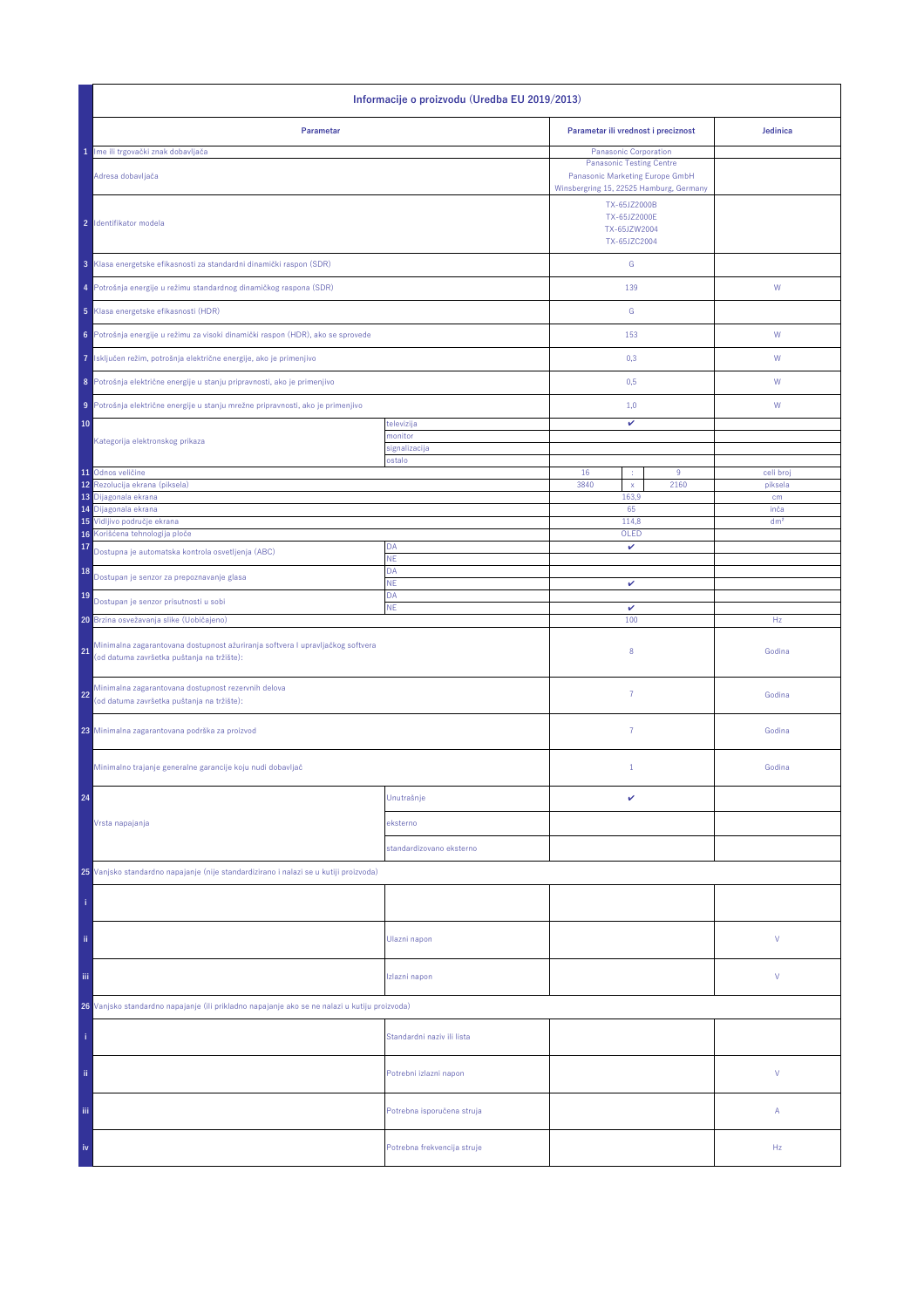| Informacije o proizvodu (Uredba EU 2019/2013)                                                                                      |                                         |                                                              |                         |  |  |
|------------------------------------------------------------------------------------------------------------------------------------|-----------------------------------------|--------------------------------------------------------------|-------------------------|--|--|
| Parametar                                                                                                                          |                                         | Parametar ili vrednost i preciznost                          | Jedinica                |  |  |
| 1 Ime ili trgovački znak dobavljača                                                                                                |                                         | Panasonic Corporation                                        |                         |  |  |
| Adresa dobavljača                                                                                                                  | Winsbergring 15, 22525 Hamburg, Germany |                                                              |                         |  |  |
| 2 Identifikator modela                                                                                                             |                                         | TX-65JZ2000B<br>TX-65JZ2000E<br>TX-65JZW2004<br>TX-65JZC2004 |                         |  |  |
| 3 Klasa energetske efikasnosti za standardni dinamički raspon (SDR)                                                                |                                         | G                                                            |                         |  |  |
| Potrošnja energije u režimu standardnog dinamičkog raspona (SDR)<br>4                                                              |                                         | 139                                                          | W                       |  |  |
| 5 Klasa energetske efikasnosti (HDR)                                                                                               |                                         | G                                                            |                         |  |  |
| Potrošnja energije u režimu za visoki dinamički raspon (HDR), ako se sprovede<br>6                                                 |                                         | 153                                                          | W                       |  |  |
| Isključen režim, potrošnja električne energije, ako je primenjivo<br>7                                                             |                                         | 0,3                                                          | W                       |  |  |
| 8 Potrošnja električne energije u stanju pripravnosti, ako je primenjivo                                                           |                                         | 0,5                                                          | W                       |  |  |
| Potrošnja električne energije u stanju mrežne pripravnosti, ako je primenjivo<br>9                                                 |                                         | 1,0                                                          | W                       |  |  |
| 10                                                                                                                                 | televizija                              | v                                                            |                         |  |  |
| Kategorija elektronskog prikaza                                                                                                    | nonitor<br>signalizacija                |                                                              |                         |  |  |
|                                                                                                                                    | ostalo                                  |                                                              |                         |  |  |
| 11 Odnos veličine<br>Rezolucija ekrana (piksela)<br>12                                                                             |                                         | 16<br>9<br>÷<br>3840<br>2160<br>$\mathsf X$                  | celi broj<br>piksela    |  |  |
| 13 Dijagonala ekrana                                                                                                               |                                         | 163,9                                                        | cm                      |  |  |
| 14 Dijagonala ekrana<br>15 Vidljivo područje ekrana                                                                                |                                         | 65<br>114,8                                                  | inča<br>dm <sup>2</sup> |  |  |
| 16 Korišćena tehnologija ploče                                                                                                     |                                         | OLED                                                         |                         |  |  |
| 17<br>Dostupna je automatska kontrola osvetljenja (ABC)                                                                            | DA<br><b>NE</b>                         | v                                                            |                         |  |  |
| 18<br>Dostupan je senzor za prepoznavanje glasa                                                                                    | DA<br>NE                                | $\checkmark$                                                 |                         |  |  |
| 19<br>Dostupan je senzor prisutnosti u sobi                                                                                        | DA<br><b>NE</b>                         | v                                                            |                         |  |  |
| 20 Brzina osvežavanja slike (Uobičajeno)                                                                                           |                                         | 100                                                          | Hz                      |  |  |
| Minimalna zagarantovana dostupnost ažuriranja softvera I upravljačkog softvera<br>21<br>(od datuma završetka puštanja na tržište): |                                         | 8                                                            | Godina                  |  |  |
| Minimalna zagarantovana dostupnost rezervnih delova<br>22<br>(od datuma završetka puštanja na tržište):                            |                                         | $\overline{7}$                                               | Godina                  |  |  |
| 23 Minimalna zagarantovana podrška za proizvod                                                                                     |                                         | $\overline{7}$                                               | Godina                  |  |  |
| Minimalno trajanje generalne garancije koju nudi dobavljač                                                                         |                                         | $1\,$                                                        | Godina                  |  |  |
| 24                                                                                                                                 | Unutrašnje                              | v                                                            |                         |  |  |
| Vrsta napajanja                                                                                                                    | eksterno                                |                                                              |                         |  |  |
|                                                                                                                                    | standardizovano eksterno                |                                                              |                         |  |  |
| 25 Vanjsko standardno napajanje (nije standardizirano i nalazi se u kutiji proizvoda)                                              |                                         |                                                              |                         |  |  |
|                                                                                                                                    |                                         |                                                              |                         |  |  |
| ii.                                                                                                                                | Ulazni napon                            |                                                              | V                       |  |  |
| iii.                                                                                                                               | Izlazni napon                           |                                                              | V                       |  |  |
| 26 Vanjsko standardno napajanje (ili prikladno napajanje ako se ne nalazi u kutiju proizvoda)                                      |                                         |                                                              |                         |  |  |
|                                                                                                                                    | Standardni naziv ili lista              |                                                              |                         |  |  |
| ii.                                                                                                                                | Potrebni izlazni napon                  |                                                              | V                       |  |  |
| Ϊij                                                                                                                                | Potrebna isporučena struja              |                                                              | А                       |  |  |
| iv                                                                                                                                 | Potrebna frekvencija struje             |                                                              | Hz                      |  |  |